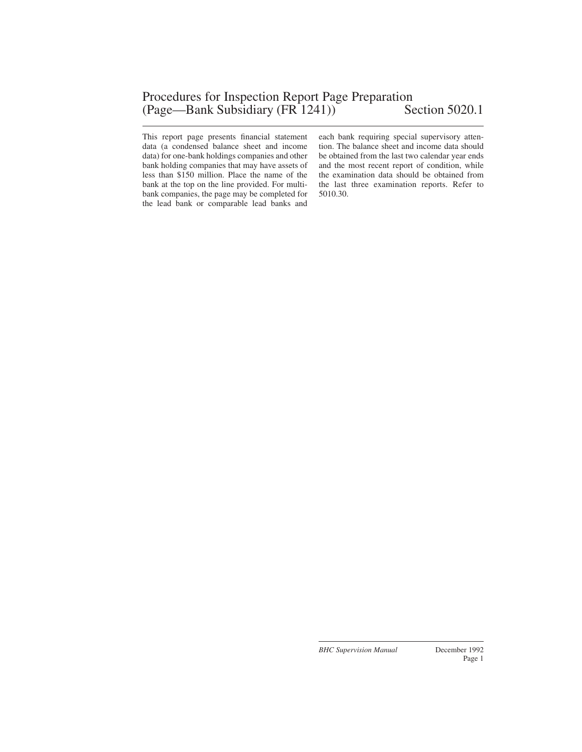This report page presents financial statement data (a condensed balance sheet and income data) for one-bank holdings companies and other bank holding companies that may have assets of less than \$150 million. Place the name of the bank at the top on the line provided. For multibank companies, the page may be completed for the lead bank or comparable lead banks and

each bank requiring special supervisory attention. The balance sheet and income data should be obtained from the last two calendar year ends and the most recent report of condition, while the examination data should be obtained from the last three examination reports. Refer to 5010.30.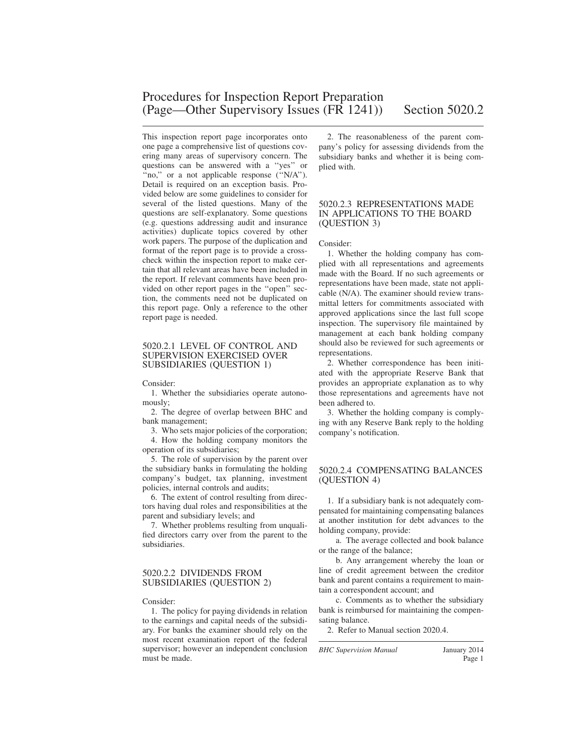This inspection report page incorporates onto one page a comprehensive list of questions covering many areas of supervisory concern. The questions can be answered with a ''yes'' or "no," or a not applicable response ("N/A"). Detail is required on an exception basis. Provided below are some guidelines to consider for several of the listed questions. Many of the questions are self-explanatory. Some questions (e.g. questions addressing audit and insurance activities) duplicate topics covered by other work papers. The purpose of the duplication and format of the report page is to provide a crosscheck within the inspection report to make certain that all relevant areas have been included in the report. If relevant comments have been provided on other report pages in the ''open'' section, the comments need not be duplicated on this report page. Only a reference to the other report page is needed.

#### 5020.2.1 LEVEL OF CONTROL AND SUPERVISION EXERCISED OVER SUBSIDIARIES (QUESTION 1)

Consider:

1. Whether the subsidiaries operate autonomously;

2. The degree of overlap between BHC and bank management;

3. Who sets major policies of the corporation; 4. How the holding company monitors the

operation of its subsidiaries;

5. The role of supervision by the parent over the subsidiary banks in formulating the holding company's budget, tax planning, investment policies, internal controls and audits;

6. The extent of control resulting from directors having dual roles and responsibilities at the parent and subsidiary levels; and

7. Whether problems resulting from unqualified directors carry over from the parent to the subsidiaries.

#### 5020.2.2 DIVIDENDS FROM SUBSIDIARIES (QUESTION 2)

Consider:

1. The policy for paying dividends in relation to the earnings and capital needs of the subsidiary. For banks the examiner should rely on the most recent examination report of the federal supervisor; however an independent conclusion must be made.

2. The reasonableness of the parent company's policy for assessing dividends from the subsidiary banks and whether it is being complied with.

#### 5020.2.3 REPRESENTATIONS MADE IN APPLICATIONS TO THE BOARD (QUESTION 3)

#### Consider:

1. Whether the holding company has complied with all representations and agreements made with the Board. If no such agreements or representations have been made, state not applicable (N/A). The examiner should review transmittal letters for commitments associated with approved applications since the last full scope inspection. The supervisory file maintained by management at each bank holding company should also be reviewed for such agreements or representations.

2. Whether correspondence has been initiated with the appropriate Reserve Bank that provides an appropriate explanation as to why those representations and agreements have not been adhered to.

3. Whether the holding company is complying with any Reserve Bank reply to the holding company's notification.

### 5020.2.4 COMPENSATING BALANCES (QUESTION 4)

1. If a subsidiary bank is not adequately compensated for maintaining compensating balances at another institution for debt advances to the holding company, provide:

a. The average collected and book balance or the range of the balance;

b. Any arrangement whereby the loan or line of credit agreement between the creditor bank and parent contains a requirement to maintain a correspondent account; and

c. Comments as to whether the subsidiary bank is reimbursed for maintaining the compensating balance.

2. Refer to Manual section 2020.4.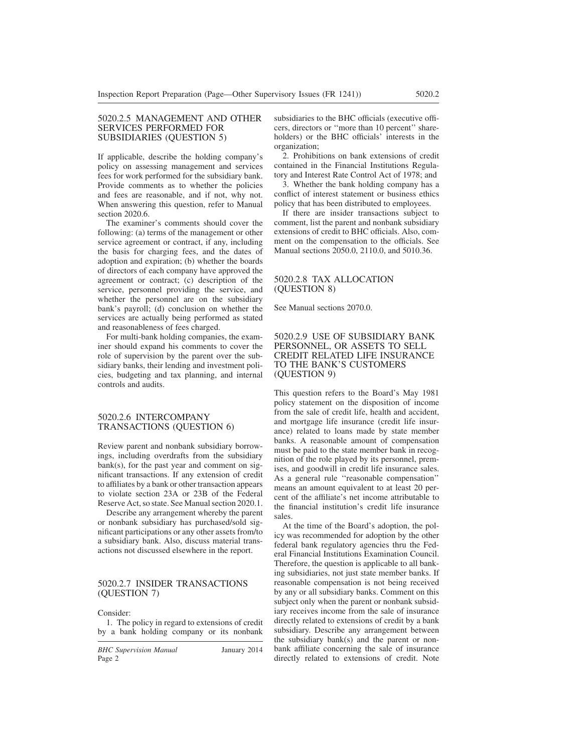#### 5020.2.5 MANAGEMENT AND OTHER SERVICES PERFORMED FOR SUBSIDIARIES (QUESTION 5)

If applicable, describe the holding company's policy on assessing management and services fees for work performed for the subsidiary bank. Provide comments as to whether the policies and fees are reasonable, and if not, why not. When answering this question, refer to Manual section 2020.6.

The examiner's comments should cover the following: (a) terms of the management or other service agreement or contract, if any, including the basis for charging fees, and the dates of adoption and expiration; (b) whether the boards of directors of each company have approved the agreement or contract; (c) description of the service, personnel providing the service, and whether the personnel are on the subsidiary bank's payroll; (d) conclusion on whether the services are actually being performed as stated and reasonableness of fees charged.

For multi-bank holding companies, the examiner should expand his comments to cover the role of supervision by the parent over the subsidiary banks, their lending and investment policies, budgeting and tax planning, and internal controls and audits.

#### 5020.2.6 INTERCOMPANY TRANSACTIONS (QUESTION 6)

Review parent and nonbank subsidiary borrowings, including overdrafts from the subsidiary  $bank(s)$ , for the past year and comment on significant transactions. If any extension of credit to affiliates by a bank or other transaction appears to violate section 23A or 23B of the Federal Reserve Act, so state. See Manual section 2020.1.

Describe any arrangement whereby the parent or nonbank subsidiary has purchased/sold significant participations or any other assets from/to a subsidiary bank. Also, discuss material transactions not discussed elsewhere in the report.

#### 5020.2.7 INSIDER TRANSACTIONS (QUESTION 7)

Consider:

1. The policy in regard to extensions of credit by a bank holding company or its nonbank

*BHC Supervision Manual* January 2014 Page 2

subsidiaries to the BHC officials (executive officers, directors or ''more than 10 percent'' shareholders) or the BHC officials' interests in the organization;

2. Prohibitions on bank extensions of credit contained in the Financial Institutions Regulatory and Interest Rate Control Act of 1978; and

3. Whether the bank holding company has a conflict of interest statement or business ethics policy that has been distributed to employees.

If there are insider transactions subject to comment, list the parent and nonbank subsidiary extensions of credit to BHC officials. Also, comment on the compensation to the officials. See Manual sections 2050.0, 2110.0, and 5010.36.

#### 5020.2.8 TAX ALLOCATION (QUESTION 8)

See Manual sections 2070.0.

#### 5020.2.9 USE OF SUBSIDIARY BANK PERSONNEL, OR ASSETS TO SELL CREDIT RELATED LIFE INSURANCE TO THE BANK'S CUSTOMERS (QUESTION 9)

This question refers to the Board's May 1981 policy statement on the disposition of income from the sale of credit life, health and accident, and mortgage life insurance (credit life insurance) related to loans made by state member banks. A reasonable amount of compensation must be paid to the state member bank in recognition of the role played by its personnel, premises, and goodwill in credit life insurance sales. As a general rule ''reasonable compensation'' means an amount equivalent to at least 20 percent of the affiliate's net income attributable to the financial institution's credit life insurance sales.

At the time of the Board's adoption, the policy was recommended for adoption by the other federal bank regulatory agencies thru the Federal Financial Institutions Examination Council. Therefore, the question is applicable to all banking subsidiaries, not just state member banks. If reasonable compensation is not being received by any or all subsidiary banks. Comment on this subject only when the parent or nonbank subsidiary receives income from the sale of insurance directly related to extensions of credit by a bank subsidiary. Describe any arrangement between the subsidiary bank(s) and the parent or nonbank affiliate concerning the sale of insurance directly related to extensions of credit. Note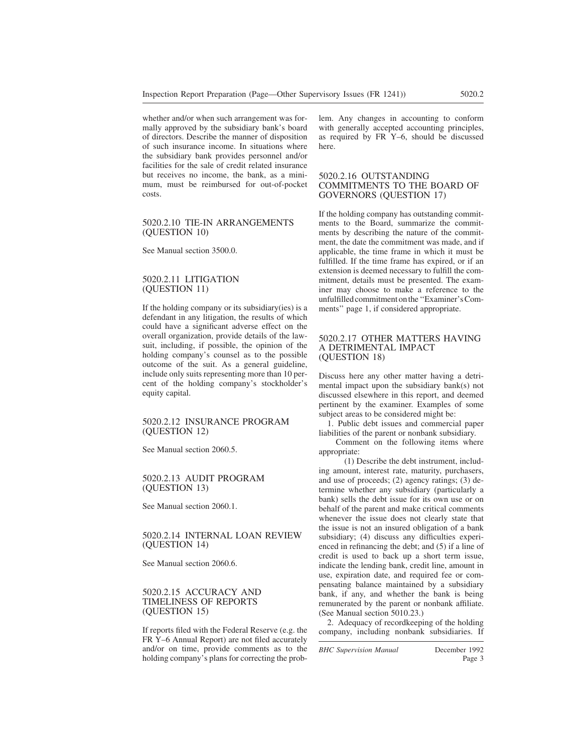whether and/or when such arrangement was formally approved by the subsidiary bank's board of directors. Describe the manner of disposition of such insurance income. In situations where the subsidiary bank provides personnel and/or facilities for the sale of credit related insurance but receives no income, the bank, as a minimum, must be reimbursed for out-of-pocket costs.

#### 5020.2.10 TIE-IN ARRANGEMENTS (QUESTION 10)

See Manual section 3500.0.

#### 5020.2.11 LITIGATION (QUESTION 11)

If the holding company or its subsidiary(ies) is a defendant in any litigation, the results of which could have a significant adverse effect on the overall organization, provide details of the lawsuit, including, if possible, the opinion of the holding company's counsel as to the possible outcome of the suit. As a general guideline, include only suits representing more than 10 percent of the holding company's stockholder's equity capital.

#### 5020.2.12 INSURANCE PROGRAM (QUESTION 12)

See Manual section 2060.5.

#### 5020.2.13 AUDIT PROGRAM (QUESTION 13)

See Manual section 2060.1.

#### 5020.2.14 INTERNAL LOAN REVIEW (QUESTION 14)

See Manual section 2060.6.

#### 5020.2.15 ACCURACY AND TIMELINESS OF REPORTS (QUESTION 15)

If reports filed with the Federal Reserve (e.g. the FR Y–6 Annual Report) are not filed accurately and/or on time, provide comments as to the holding company's plans for correcting the problem. Any changes in accounting to conform with generally accepted accounting principles, as required by FR Y–6, should be discussed here.

#### 5020.2.16 OUTSTANDING COMMITMENTS TO THE BOARD OF GOVERNORS (QUESTION 17)

If the holding company has outstanding commitments to the Board, summarize the commitments by describing the nature of the commitment, the date the commitment was made, and if applicable, the time frame in which it must be fulfilled. If the time frame has expired, or if an extension is deemed necessary to fulfill the commitment, details must be presented. The examiner may choose to make a reference to the unfulfilledcommitmentonthe''Examiner'sComments'' page 1, if considered appropriate.

#### 5020.2.17 OTHER MATTERS HAVING A DETRIMENTAL IMPACT (QUESTION 18)

Discuss here any other matter having a detrimental impact upon the subsidiary bank(s) not discussed elsewhere in this report, and deemed pertinent by the examiner. Examples of some subject areas to be considered might be:

1. Public debt issues and commercial paper liabilities of the parent or nonbank subsidiary.

Comment on the following items where appropriate:

(1) Describe the debt instrument, including amount, interest rate, maturity, purchasers, and use of proceeds; (2) agency ratings; (3) determine whether any subsidiary (particularly a bank) sells the debt issue for its own use or on behalf of the parent and make critical comments whenever the issue does not clearly state that the issue is not an insured obligation of a bank subsidiary; (4) discuss any difficulties experienced in refinancing the debt; and (5) if a line of credit is used to back up a short term issue, indicate the lending bank, credit line, amount in use, expiration date, and required fee or compensating balance maintained by a subsidiary bank, if any, and whether the bank is being remunerated by the parent or nonbank affiliate. (See Manual section 5010.23.)

2. Adequacy of recordkeeping of the holding company, including nonbank subsidiaries. If

*BHC Supervision Manual* December 1992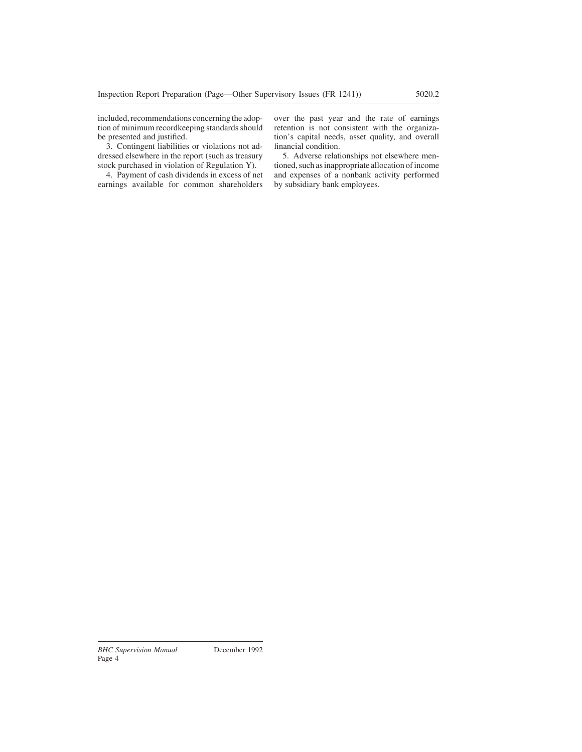included, recommendations concerning the adoption of minimum recordkeeping standards should be presented and justified.

3. Contingent liabilities or violations not addressed elsewhere in the report (such as treasury stock purchased in violation of Regulation Y).

4. Payment of cash dividends in excess of net earnings available for common shareholders over the past year and the rate of earnings retention is not consistent with the organization's capital needs, asset quality, and overall financial condition.

5. Adverse relationships not elsewhere mentioned, such as inappropriate allocation of income and expenses of a nonbank activity performed by subsidiary bank employees.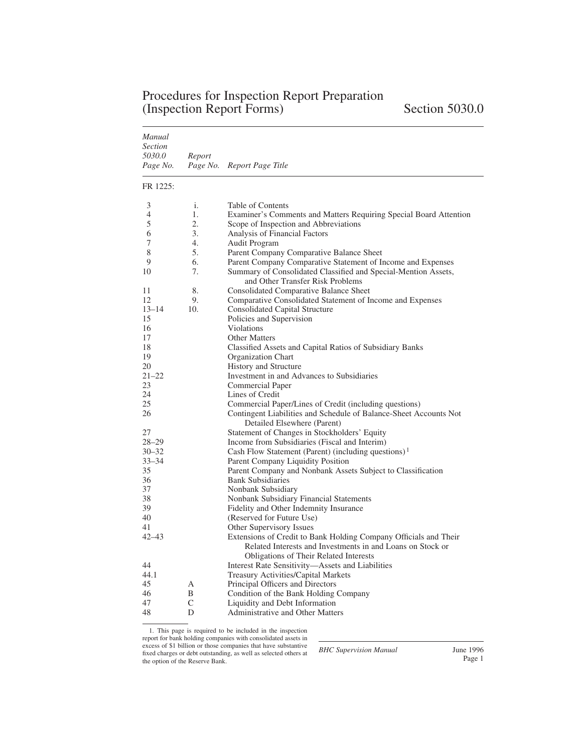| <b>Procedures for Inspection Report Preparation</b> |  |
|-----------------------------------------------------|--|
| (Inspection Report Forms)                           |  |

| Manual<br><i>Section</i><br>5030.0<br>Page No. | Report<br>Page No. | Report Page Title                                                                                  |
|------------------------------------------------|--------------------|----------------------------------------------------------------------------------------------------|
| FR 1225:                                       |                    |                                                                                                    |
| 3                                              | i.                 | Table of Contents                                                                                  |
| 4                                              | 1.                 | Examiner's Comments and Matters Requiring Special Board Attention                                  |
| 5                                              | 2.                 | Scope of Inspection and Abbreviations                                                              |
| 6                                              | 3.                 | Analysis of Financial Factors                                                                      |
| 7                                              | $4_{\cdot}$        | Audit Program                                                                                      |
| 8                                              | 5.                 | Parent Company Comparative Balance Sheet                                                           |
| 9                                              | 6.                 | Parent Company Comparative Statement of Income and Expenses                                        |
| 10                                             | 7.                 | Summary of Consolidated Classified and Special-Mention Assets,<br>and Other Transfer Risk Problems |
| 11                                             | 8.                 | <b>Consolidated Comparative Balance Sheet</b>                                                      |
| 12                                             | 9.                 | Comparative Consolidated Statement of Income and Expenses                                          |
| $13 - 14$                                      | 10.                | Consolidated Capital Structure                                                                     |
| 15                                             |                    | Policies and Supervision                                                                           |
| 16                                             |                    | <b>Violations</b>                                                                                  |
| 17                                             |                    | <b>Other Matters</b>                                                                               |
| 18                                             |                    | Classified Assets and Capital Ratios of Subsidiary Banks                                           |
| 19                                             |                    | Organization Chart                                                                                 |
| 20                                             |                    | <b>History and Structure</b>                                                                       |
| 21–22                                          |                    | Investment in and Advances to Subsidiaries                                                         |
| 23                                             |                    | <b>Commercial Paper</b>                                                                            |
| 24                                             |                    | Lines of Credit                                                                                    |
| 25                                             |                    | Commercial Paper/Lines of Credit (including questions)                                             |
| 26                                             |                    | Contingent Liabilities and Schedule of Balance-Sheet Accounts Not<br>Detailed Elsewhere (Parent)   |
| 27                                             |                    | Statement of Changes in Stockholders' Equity                                                       |
| $28 - 29$                                      |                    | Income from Subsidiaries (Fiscal and Interim)                                                      |
| $30 - 32$                                      |                    | Cash Flow Statement (Parent) (including questions) <sup>1</sup>                                    |
| 33–34                                          |                    | Parent Company Liquidity Position                                                                  |
| 35                                             |                    | Parent Company and Nonbank Assets Subject to Classification                                        |
| 36                                             |                    | <b>Bank Subsidiaries</b>                                                                           |
| 37                                             |                    | Nonbank Subsidiary                                                                                 |
| 38                                             |                    | Nonbank Subsidiary Financial Statements                                                            |
| 39                                             |                    | Fidelity and Other Indemnity Insurance                                                             |
| 40                                             |                    | (Reserved for Future Use)                                                                          |
| 41                                             |                    | Other Supervisory Issues                                                                           |
| 42–43                                          |                    | Extensions of Credit to Bank Holding Company Officials and Their                                   |
|                                                |                    | Related Interests and Investments in and Loans on Stock or                                         |
|                                                |                    | Obligations of Their Related Interests                                                             |
| 44                                             |                    | Interest Rate Sensitivity-Assets and Liabilities                                                   |
| 44.1                                           |                    | Treasury Activities/Capital Markets                                                                |
| 45<br>46                                       | А<br>B             | Principal Officers and Directors<br>Condition of the Bank Holding Company                          |
| 47                                             | C                  | Liquidity and Debt Information                                                                     |
| 48                                             | D                  | Administrative and Other Matters                                                                   |
|                                                |                    |                                                                                                    |

1. This page is required to be included in the inspection report for bank holding companies with consolidated assets in excess of \$1 billion or those companies that have substantive fixed charges or debt outstanding, as well as selected others at the option of the Reserve Bank.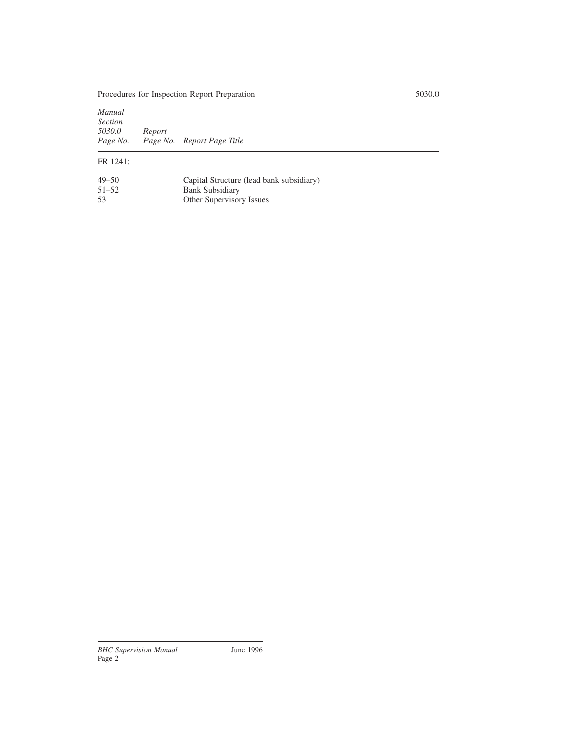| Manual<br><b>Section</b> |        |                            |  |
|--------------------------|--------|----------------------------|--|
| 5030.0                   | Report |                            |  |
| Page No.                 |        | Page No. Report Page Title |  |
|                          |        |                            |  |

## FR 1241:

| $49 - 50$ | Capital Structure (lead bank subsidiary) |
|-----------|------------------------------------------|
| $51 - 52$ | <b>Bank Subsidiary</b>                   |
| .53       | Other Supervisory Issues                 |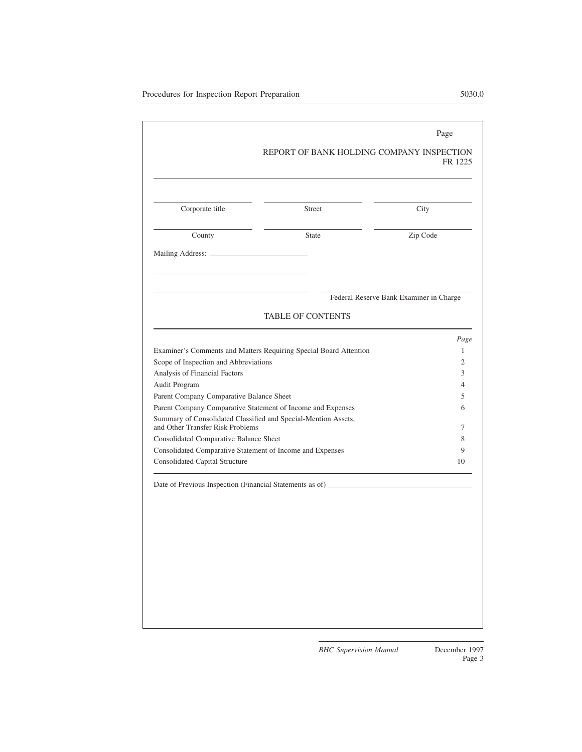|                                          |                                                                                                    | Page                                    |  |
|------------------------------------------|----------------------------------------------------------------------------------------------------|-----------------------------------------|--|
|                                          | REPORT OF BANK HOLDING COMPANY INSPECTION                                                          | FR 1225                                 |  |
|                                          |                                                                                                    |                                         |  |
| Corporate title                          | Street                                                                                             | City                                    |  |
| County                                   | <b>State</b>                                                                                       | Zip Code                                |  |
|                                          |                                                                                                    |                                         |  |
|                                          |                                                                                                    |                                         |  |
|                                          |                                                                                                    | Federal Reserve Bank Examiner in Charge |  |
|                                          | <b>TABLE OF CONTENTS</b>                                                                           |                                         |  |
|                                          |                                                                                                    | Page                                    |  |
|                                          | Examiner's Comments and Matters Requiring Special Board Attention                                  | 1                                       |  |
| Scope of Inspection and Abbreviations    | $\overline{2}$                                                                                     |                                         |  |
| Analysis of Financial Factors            | 3                                                                                                  |                                         |  |
| Audit Program                            | $\overline{4}$                                                                                     |                                         |  |
| Parent Company Comparative Balance Sheet | 5                                                                                                  |                                         |  |
|                                          | Parent Company Comparative Statement of Income and Expenses                                        | 6                                       |  |
| and Other Transfer Risk Problems         | Summary of Consolidated Classified and Special-Mention Assets,                                     | 7                                       |  |
| Consolidated Comparative Balance Sheet   |                                                                                                    | 8                                       |  |
|                                          |                                                                                                    | 9                                       |  |
|                                          | Consolidated Comparative Statement of Income and Expenses<br><b>Consolidated Capital Structure</b> |                                         |  |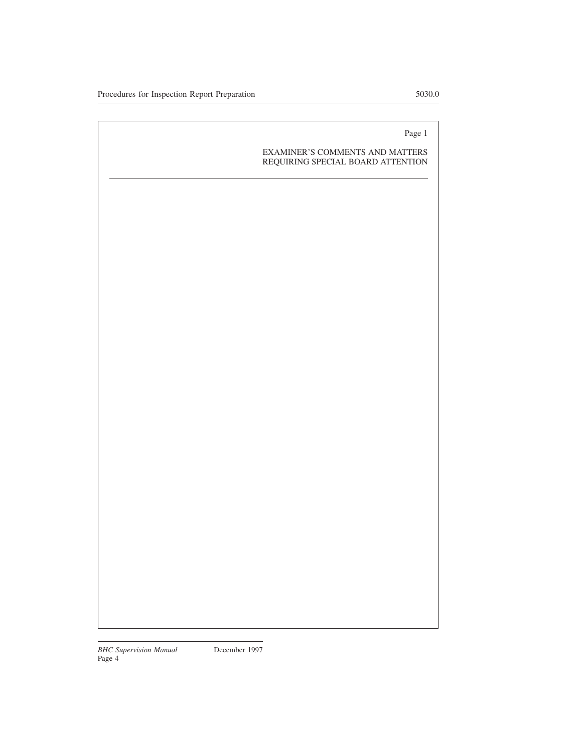### EXAMINER'S COMMENTS AND MATTERS REQUIRING SPECIAL BOARD ATTENTION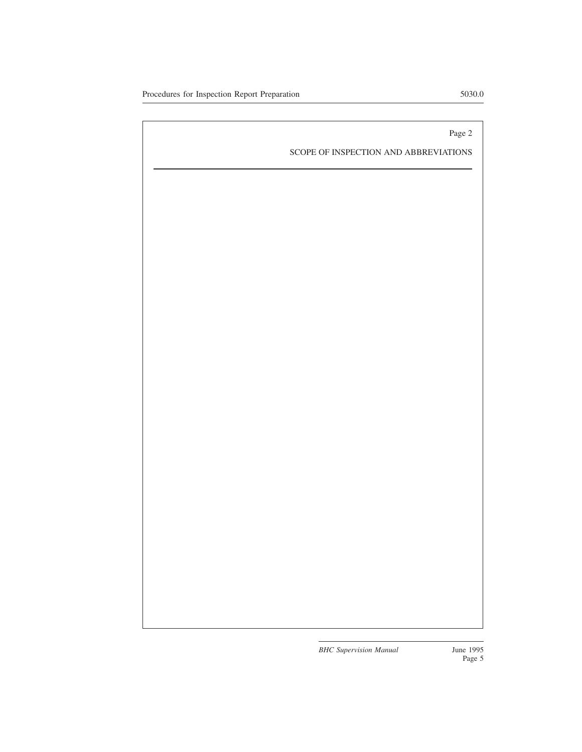SCOPE OF INSPECTION AND ABBREVIATIONS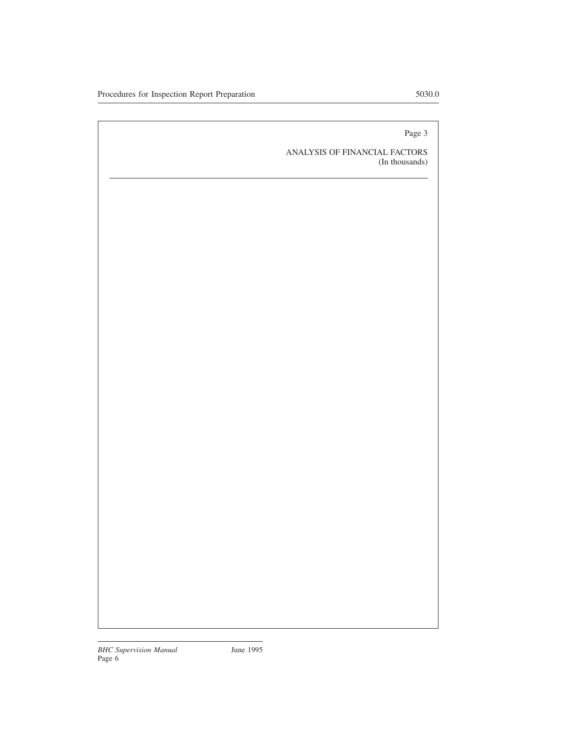ANALYSIS OF FINANCIAL FACTORS (In thousands)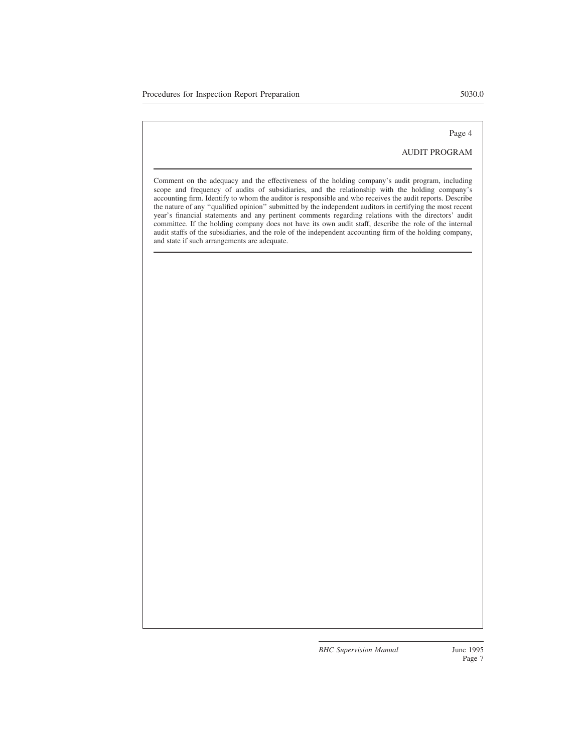#### AUDIT PROGRAM

Comment on the adequacy and the effectiveness of the holding company's audit program, including scope and frequency of audits of subsidiaries, and the relationship with the holding company's accounting firm. Identify to whom the auditor is responsible and who receives the audit reports. Describe the nature of any ''qualified opinion'' submitted by the independent auditors in certifying the most recent year's financial statements and any pertinent comments regarding relations with the directors' audit committee. If the holding company does not have its own audit staff, describe the role of the internal audit staffs of the subsidiaries, and the role of the independent accounting firm of the holding company, and state if such arrangements are adequate.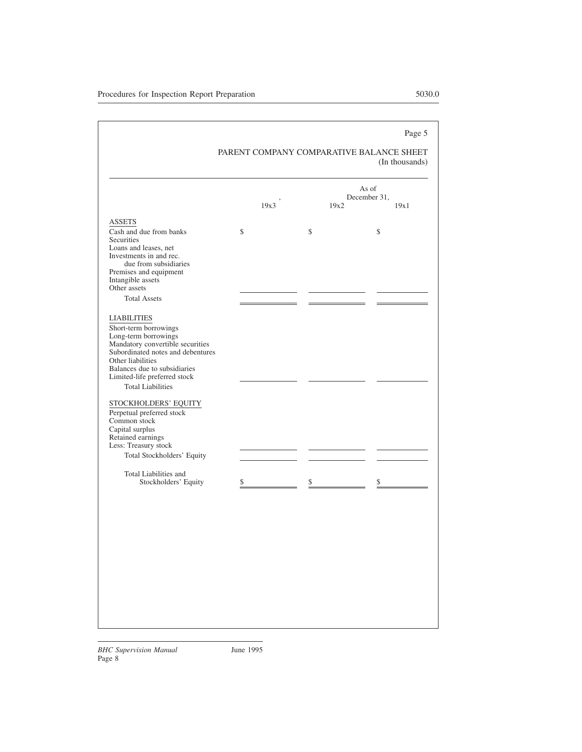#### PARENT COMPANY COMPARATIVE BALANCE SHEET (In thousands)

|                                                                                                                                                                                                                                                                                       |      |      | As of<br>December 31, |
|---------------------------------------------------------------------------------------------------------------------------------------------------------------------------------------------------------------------------------------------------------------------------------------|------|------|-----------------------|
|                                                                                                                                                                                                                                                                                       | 19x3 | 19x2 | 19x1                  |
| <b>ASSETS</b>                                                                                                                                                                                                                                                                         |      |      |                       |
| Cash and due from banks<br>Securities<br>Loans and leases, net<br>Investments in and rec.<br>due from subsidiaries<br>Premises and equipment<br>Intangible assets<br>Other assets                                                                                                     | \$   | \$   | \$                    |
| <b>Total Assets</b>                                                                                                                                                                                                                                                                   |      |      |                       |
| <b>LIABILITIES</b><br>Short-term borrowings<br>Long-term borrowings<br>Mandatory convertible securities<br>Subordinated notes and debentures<br>Other liabilities<br>Balances due to subsidiaries<br>Limited-life preferred stock<br><b>Total Liabilities</b><br>STOCKHOLDERS' EQUITY |      |      |                       |
| Perpetual preferred stock<br>Common stock<br>Capital surplus<br>Retained earnings<br>Less: Treasury stock<br>Total Stockholders' Equity                                                                                                                                               |      |      |                       |
| Total Liabilities and<br>Stockholders' Equity                                                                                                                                                                                                                                         | \$   | \$   | \$                    |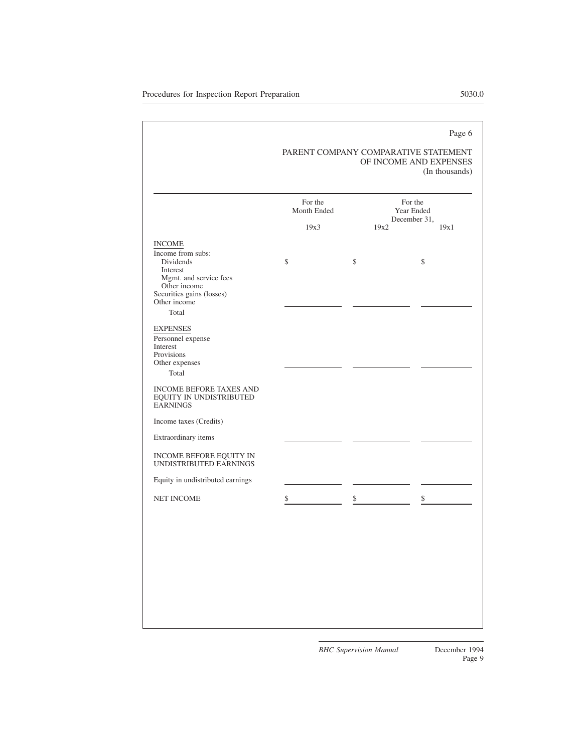#### PARENT COMPANY COMPARATIVE STATEMENT OF INCOME AND EXPENSES (In thousands)

| <b>INCOME</b><br>Income from subs:<br>Dividends<br>Interest<br>Mgmt. and service fees<br>Other income<br>Securities gains (losses)<br>Other income<br>Total<br><b>EXPENSES</b><br>Personnel expense<br>Interest<br>Provisions<br>Other expenses<br>Total<br><b>INCOME BEFORE TAXES AND</b><br>EQUITY IN UNDISTRIBUTED | 19x3<br>\$ | 19x2<br>\$ | 19x1<br>\$ |
|-----------------------------------------------------------------------------------------------------------------------------------------------------------------------------------------------------------------------------------------------------------------------------------------------------------------------|------------|------------|------------|
|                                                                                                                                                                                                                                                                                                                       |            |            |            |
|                                                                                                                                                                                                                                                                                                                       |            |            |            |
|                                                                                                                                                                                                                                                                                                                       |            |            |            |
|                                                                                                                                                                                                                                                                                                                       |            |            |            |
| <b>EARNINGS</b>                                                                                                                                                                                                                                                                                                       |            |            |            |
| Income taxes (Credits)                                                                                                                                                                                                                                                                                                |            |            |            |
| Extraordinary items                                                                                                                                                                                                                                                                                                   |            |            |            |
| INCOME BEFORE EQUITY IN<br>UNDISTRIBUTED EARNINGS                                                                                                                                                                                                                                                                     |            |            |            |
| Equity in undistributed earnings                                                                                                                                                                                                                                                                                      |            |            |            |
| NET INCOME                                                                                                                                                                                                                                                                                                            | \$         | S          | \$         |
|                                                                                                                                                                                                                                                                                                                       |            |            |            |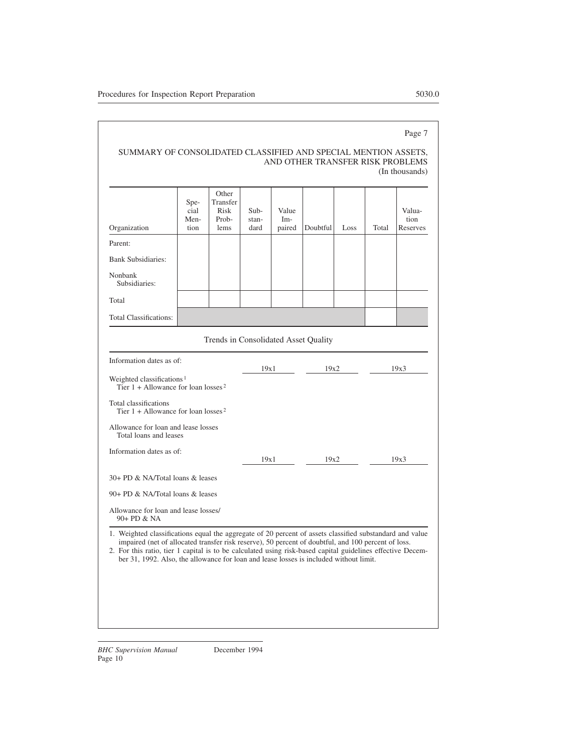| SUMMARY OF CONSOLIDATED CLASSIFIED AND SPECIAL MENTION ASSETS. |                                  |                |
|----------------------------------------------------------------|----------------------------------|----------------|
|                                                                | AND OTHER TRANSFER RISK PROBLEMS |                |
|                                                                |                                  | (In thousands) |

| Organization                                                                               | Spe-<br>cial<br>Men-<br>tion | Other<br>Transfer<br>Risk<br>Prob-<br>lems | $Sub-$<br>stan-<br>dard | Value<br>Im-<br>paired | Doubtful | Loss | Total | Valua-<br>tion<br>Reserves |
|--------------------------------------------------------------------------------------------|------------------------------|--------------------------------------------|-------------------------|------------------------|----------|------|-------|----------------------------|
| Parent:                                                                                    |                              |                                            |                         |                        |          |      |       |                            |
| <b>Bank Subsidiaries:</b>                                                                  |                              |                                            |                         |                        |          |      |       |                            |
| Nonbank<br>Subsidiaries:                                                                   |                              |                                            |                         |                        |          |      |       |                            |
| Total                                                                                      |                              |                                            |                         |                        |          |      |       |                            |
| <b>Total Classifications:</b>                                                              |                              |                                            |                         |                        |          |      |       |                            |
|                                                                                            |                              | Trends in Consolidated Asset Quality       |                         |                        |          |      |       |                            |
| Information dates as of:                                                                   |                              |                                            | 19x1                    |                        | 19x2     |      |       | 19x3                       |
| Weighted classifications <sup>1</sup><br>Tier $1 +$ Allowance for loan losses <sup>2</sup> |                              |                                            |                         |                        |          |      |       |                            |
| Total classifications<br>Tier $1 +$ Allowance for loan losses <sup>2</sup>                 |                              |                                            |                         |                        |          |      |       |                            |
| Allowance for loan and lease losses<br>Total loans and leases                              |                              |                                            |                         |                        |          |      |       |                            |
| Information dates as of:                                                                   |                              |                                            | 19x1                    |                        | 19x2     |      |       | 19x3                       |
| 30+ PD & NA/Total loans & leases                                                           |                              |                                            |                         |                        |          |      |       |                            |
| 90+ PD & NA/Total loans & leases                                                           |                              |                                            |                         |                        |          |      |       |                            |
| Allowance for loan and lease losses/<br>90+ PD & NA                                        |                              |                                            |                         |                        |          |      |       |                            |

1. Weighted classifications equal the aggregate of 20 percent of assets classified substandard and value impaired (net of allocated transfer risk reserve), 50 percent of doubtful, and 100 percent of loss.

2. For this ratio, tier 1 capital is to be calculated using risk-based capital guidelines effective December 31, 1992. Also, the allowance for loan and lease losses is included without limit.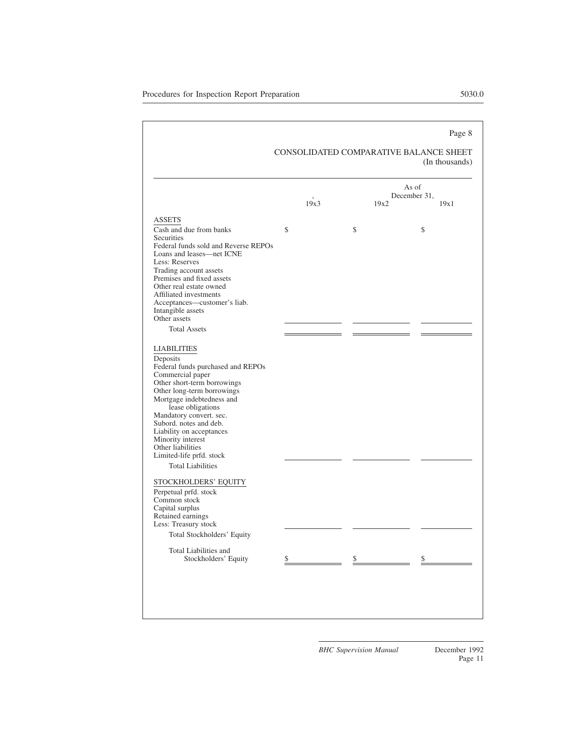# CONSOLIDATED COMPARATIVE BALANCE SHEET

|                                                                                                                                                                                                                                                                                                                                                                                           |               |      | As of<br>December 31. |
|-------------------------------------------------------------------------------------------------------------------------------------------------------------------------------------------------------------------------------------------------------------------------------------------------------------------------------------------------------------------------------------------|---------------|------|-----------------------|
|                                                                                                                                                                                                                                                                                                                                                                                           | 19x3          | 19x2 | 19x1                  |
| <b>ASSETS</b>                                                                                                                                                                                                                                                                                                                                                                             |               |      |                       |
| Cash and due from banks<br><b>Securities</b><br>Federal funds sold and Reverse REPOs<br>Loans and leases—net ICNE<br>Less: Reserves<br>Trading account assets<br>Premises and fixed assets<br>Other real estate owned<br>Affiliated investments<br>Acceptances—customer's liab.<br>Intangible assets<br>Other assets<br><b>Total Assets</b>                                               | $\mathcal{S}$ | \$   | \$                    |
|                                                                                                                                                                                                                                                                                                                                                                                           |               |      |                       |
| <b>LIABILITIES</b><br>Deposits<br>Federal funds purchased and REPOs<br>Commercial paper<br>Other short-term borrowings<br>Other long-term borrowings<br>Mortgage indebtedness and<br>lease obligations<br>Mandatory convert. sec.<br>Subord. notes and deb.<br>Liability on acceptances<br>Minority interest<br>Other liabilities<br>Limited-life prfd. stock<br><b>Total Liabilities</b> |               |      |                       |
| STOCKHOLDERS' EQUITY<br>Perpetual prfd. stock<br>Common stock<br>Capital surplus<br>Retained earnings<br>Less: Treasury stock<br>Total Stockholders' Equity                                                                                                                                                                                                                               |               |      |                       |
| Total Liabilities and                                                                                                                                                                                                                                                                                                                                                                     |               |      |                       |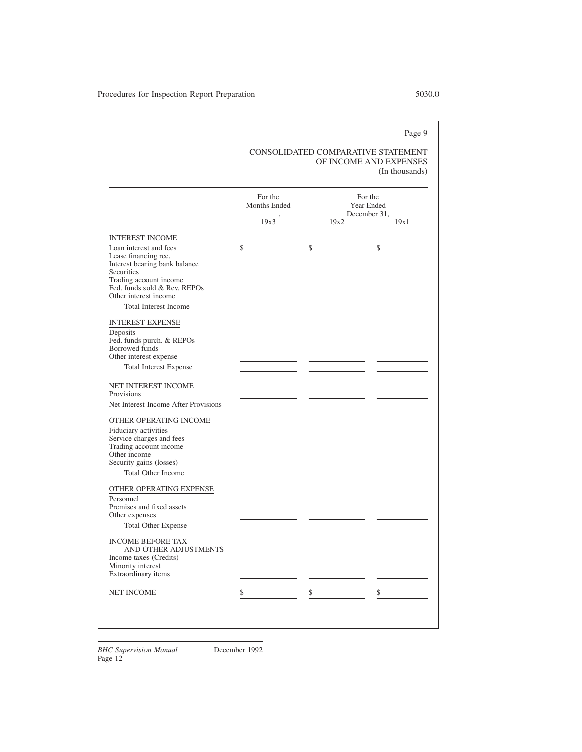#### CONSOLIDATED COMPARATIVE STATEMENT OF INCOME AND EXPENSES (In thousands)

|                                                                                                                                                                                  | For the<br>Months Ended |      | For the<br>Year Ended<br>December 31. |
|----------------------------------------------------------------------------------------------------------------------------------------------------------------------------------|-------------------------|------|---------------------------------------|
|                                                                                                                                                                                  | 19x3                    | 19x2 | 19x1                                  |
| <b>INTEREST INCOME</b>                                                                                                                                                           |                         |      |                                       |
| Loan interest and fees<br>Lease financing rec.<br>Interest bearing bank balance<br>Securities<br>Trading account income<br>Fed. funds sold & Rev. REPOs<br>Other interest income | \$                      | \$   | \$                                    |
| <b>Total Interest Income</b>                                                                                                                                                     |                         |      |                                       |
| <b>INTEREST EXPENSE</b><br>Deposits<br>Fed. funds purch. & REPOs<br><b>Borrowed</b> funds<br>Other interest expense<br><b>Total Interest Expense</b>                             |                         |      |                                       |
| NET INTEREST INCOME<br>Provisions                                                                                                                                                |                         |      |                                       |
| Net Interest Income After Provisions                                                                                                                                             |                         |      |                                       |
| OTHER OPERATING INCOME<br>Fiduciary activities<br>Service charges and fees<br>Trading account income<br>Other income<br>Security gains (losses)<br><b>Total Other Income</b>     |                         |      |                                       |
| OTHER OPERATING EXPENSE<br>Personnel<br>Premises and fixed assets<br>Other expenses<br><b>Total Other Expense</b>                                                                |                         |      |                                       |
| <b>INCOME BEFORE TAX</b><br>AND OTHER ADJUSTMENTS<br>Income taxes (Credits)<br>Minority interest<br>Extraordinary items                                                          |                         |      |                                       |
| <b>NET INCOME</b>                                                                                                                                                                | \$                      | \$   | \$                                    |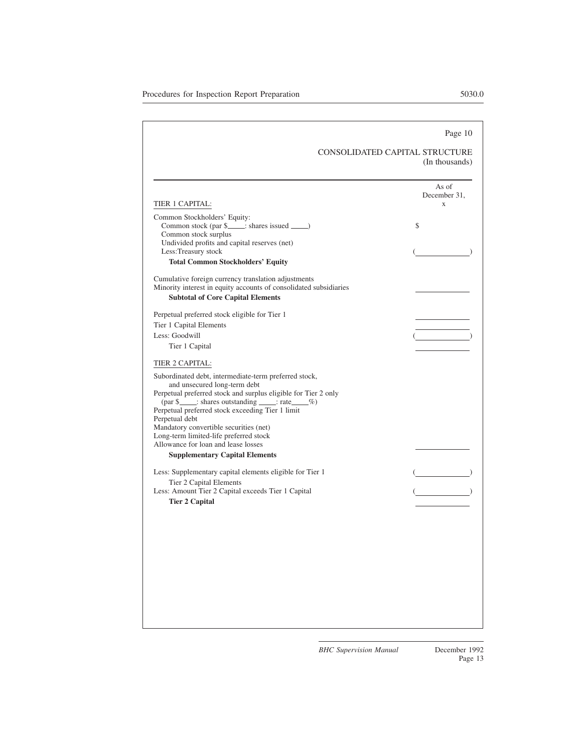#### CONSOLIDATED CAPITAL STRUCTURE (In thousands)

| TIER 1 CAPITAL:                                                                                         | As of<br>December 31,<br>X |
|---------------------------------------------------------------------------------------------------------|----------------------------|
|                                                                                                         |                            |
| Common Stockholders' Equity:<br>Common stock (par \$____; shares issued ____)                           | \$                         |
| Common stock surplus                                                                                    |                            |
| Undivided profits and capital reserves (net)                                                            |                            |
| Less:Treasury stock                                                                                     |                            |
| <b>Total Common Stockholders' Equity</b>                                                                |                            |
| Cumulative foreign currency translation adjustments                                                     |                            |
| Minority interest in equity accounts of consolidated subsidiaries                                       |                            |
| <b>Subtotal of Core Capital Elements</b>                                                                |                            |
| Perpetual preferred stock eligible for Tier 1                                                           |                            |
| Tier 1 Capital Elements                                                                                 |                            |
| Less: Goodwill                                                                                          |                            |
| Tier 1 Capital                                                                                          |                            |
| TIER 2 CAPITAL:                                                                                         |                            |
| Subordinated debt, intermediate-term preferred stock,                                                   |                            |
| and unsecured long-term debt                                                                            |                            |
| Perpetual preferred stock and surplus eligible for Tier 2 only                                          |                            |
| (par \$_____: shares outstanding _____: rate ____%)<br>Perpetual preferred stock exceeding Tier 1 limit |                            |
| Perpetual debt                                                                                          |                            |
| Mandatory convertible securities (net)                                                                  |                            |
| Long-term limited-life preferred stock                                                                  |                            |
| Allowance for loan and lease losses                                                                     |                            |
| <b>Supplementary Capital Elements</b>                                                                   |                            |
| Less: Supplementary capital elements eligible for Tier 1                                                |                            |
| Tier 2 Capital Elements                                                                                 |                            |
| Less: Amount Tier 2 Capital exceeds Tier 1 Capital                                                      |                            |
| <b>Tier 2 Capital</b>                                                                                   |                            |
|                                                                                                         |                            |
|                                                                                                         |                            |
|                                                                                                         |                            |
|                                                                                                         |                            |
|                                                                                                         |                            |
|                                                                                                         |                            |
|                                                                                                         |                            |
|                                                                                                         |                            |
|                                                                                                         |                            |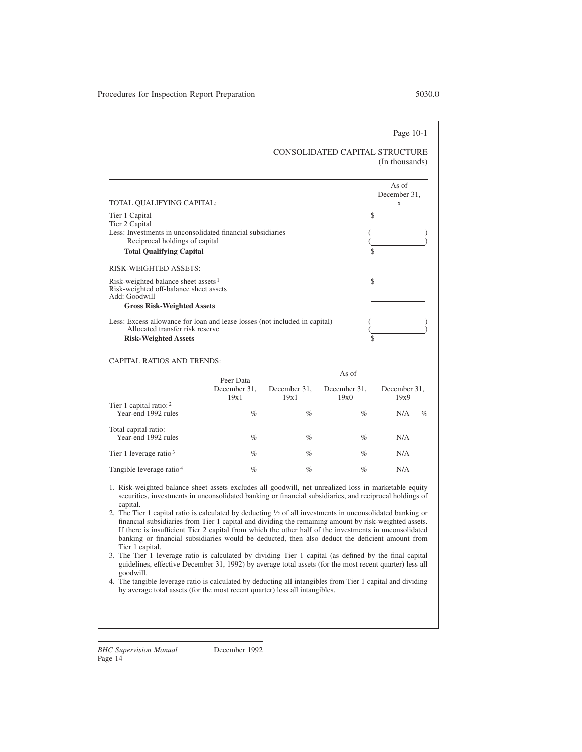#### Page 10-1

#### CONSOLIDATED CAPITAL STRUCTURE (In thousands)

| TOTAL QUALIFYING CAPITAL:                                                                                                                    |                      |                      |                      | As of<br>December 31.<br>X |
|----------------------------------------------------------------------------------------------------------------------------------------------|----------------------|----------------------|----------------------|----------------------------|
| Tier 1 Capital                                                                                                                               |                      |                      | \$                   |                            |
| Tier 2 Capital<br>Less: Investments in unconsolidated financial subsidiaries                                                                 |                      |                      |                      |                            |
| Reciprocal holdings of capital                                                                                                               |                      |                      |                      |                            |
| <b>Total Qualifying Capital</b>                                                                                                              |                      |                      | \$                   |                            |
| RISK-WEIGHTED ASSETS:                                                                                                                        |                      |                      |                      |                            |
| Risk-weighted balance sheet assets $1$<br>Risk-weighted off-balance sheet assets<br>Add: Goodwill                                            |                      |                      | \$                   |                            |
| <b>Gross Risk-Weighted Assets</b>                                                                                                            |                      |                      |                      |                            |
| Less: Excess allowance for loan and lease losses (not included in capital)<br>Allocated transfer risk reserve<br><b>Risk-Weighted Assets</b> |                      |                      |                      |                            |
| <b>CAPITAL RATIOS AND TRENDS:</b>                                                                                                            |                      |                      |                      |                            |
|                                                                                                                                              | Peer Data            |                      | As of                |                            |
|                                                                                                                                              | December 31.<br>19x1 | December 31,<br>19x1 | December 31,<br>19x0 | December 31,<br>19x9       |
| Tier 1 capital ratio: $2^{\circ}$<br>Year-end 1992 rules                                                                                     | $\%$                 | $\%$                 | $\%$                 | N/A<br>$\%$                |
| Total capital ratio:<br>Year-end 1992 rules                                                                                                  | $\%$                 | $\%$                 | $\%$                 | N/A                        |
| Tier 1 leverage ratio $3$                                                                                                                    | $\%$                 | $\%$                 | $\%$                 | N/A                        |
| Tangible leverage ratio <sup>4</sup>                                                                                                         | $\%$                 | $\%$                 | $\%$                 | N/A                        |

1. Risk-weighted balance sheet assets excludes all goodwill, net unrealized loss in marketable equity securities, investments in unconsolidated banking or financial subsidiaries, and reciprocal holdings of capital.

2. The Tier 1 capital ratio is calculated by deducting <sup>1</sup> ⁄<sup>2</sup> of all investments in unconsolidated banking or financial subsidiaries from Tier 1 capital and dividing the remaining amount by risk-weighted assets. If there is insufficient Tier 2 capital from which the other half of the investments in unconsolidated banking or financial subsidiaries would be deducted, then also deduct the deficient amount from Tier 1 capital.

3. The Tier 1 leverage ratio is calculated by dividing Tier 1 capital (as defined by the final capital guidelines, effective December 31, 1992) by average total assets (for the most recent quarter) less all goodwill.

4. The tangible leverage ratio is calculated by deducting all intangibles from Tier 1 capital and dividing by average total assets (for the most recent quarter) less all intangibles.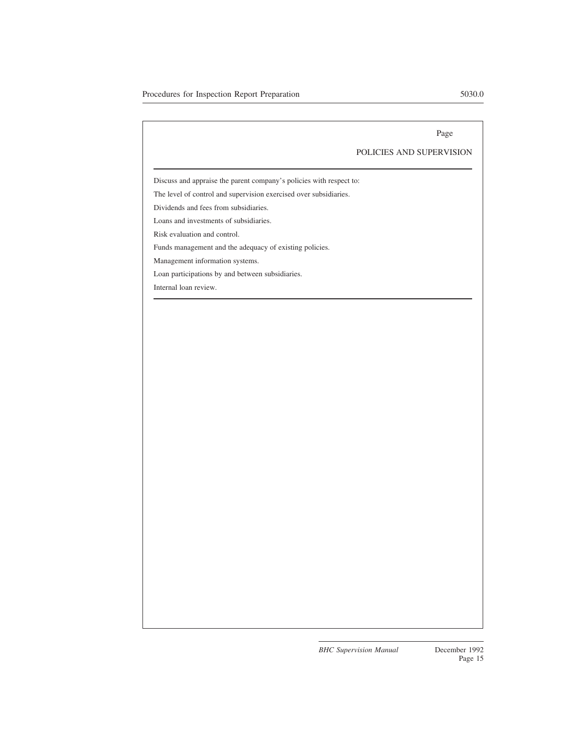#### POLICIES AND SUPERVISION

Discuss and appraise the parent company's policies with respect to:

The level of control and supervision exercised over subsidiaries.

Dividends and fees from subsidiaries.

Loans and investments of subsidiaries.

Risk evaluation and control.

Funds management and the adequacy of existing policies.

Management information systems.

Loan participations by and between subsidiaries.

Internal loan review.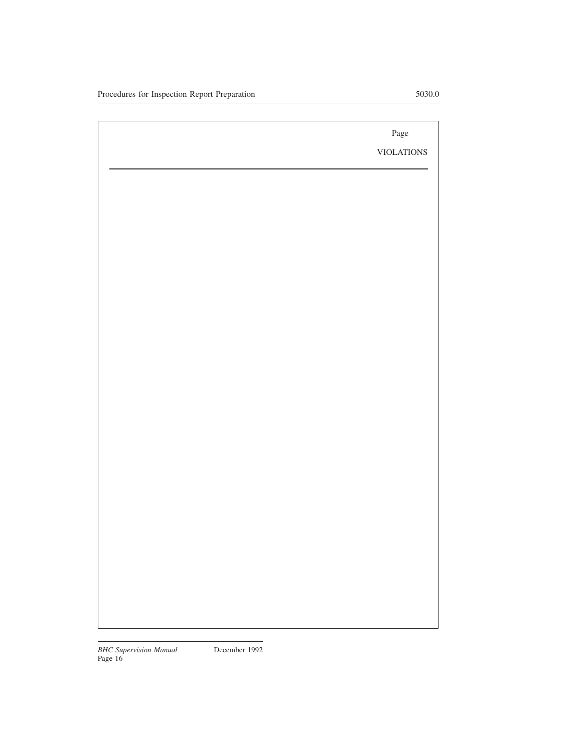VIOLATIONS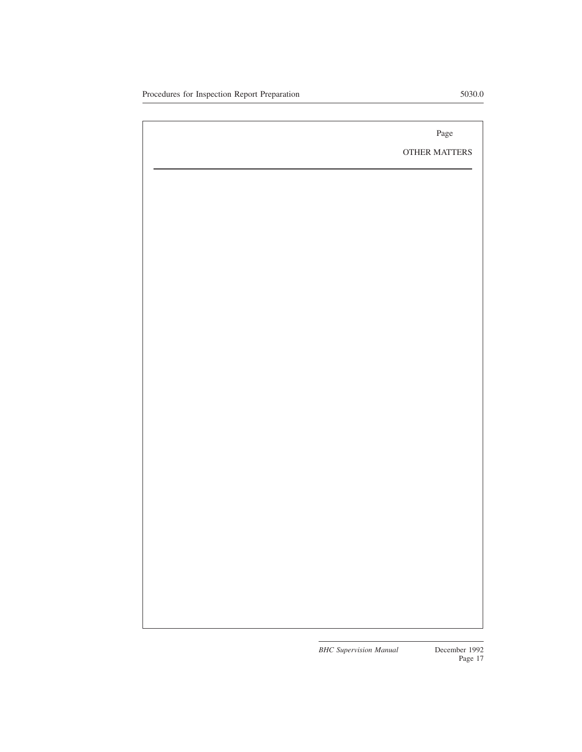OTHER MATTERS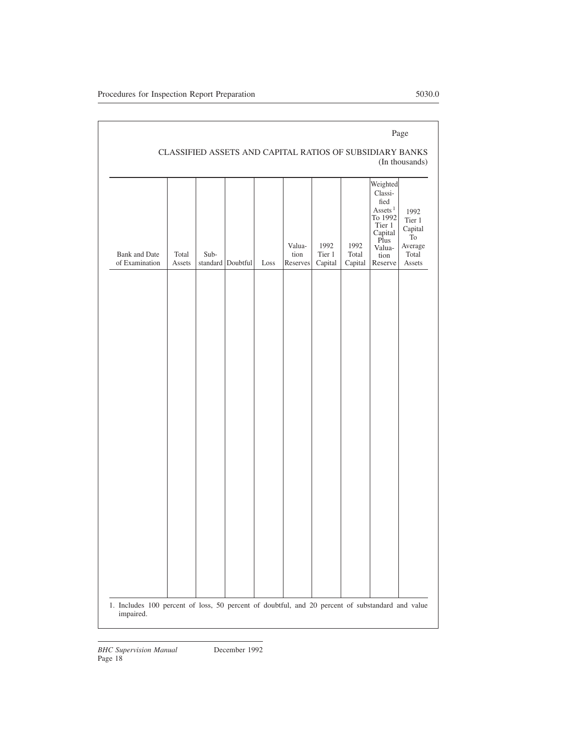| <b>Bank</b> and Date<br>of Examination | Total<br>Assets | Sub- | standard Doubtful | Loss | Valua-<br>tion<br>Reserves | 1992<br>Tier 1<br>Capital | 1992<br>Total<br>Capital | Weighted<br>Classi-<br>fied<br>Assets $^{\rm l}$<br>To 1992<br>Tier 1<br>Capital<br>Plus<br>Valua-<br>tion<br>Reserve | 1992<br>Tier 1<br>Capital<br>T <sub>o</sub><br>Average<br>Total<br>Assets |
|----------------------------------------|-----------------|------|-------------------|------|----------------------------|---------------------------|--------------------------|-----------------------------------------------------------------------------------------------------------------------|---------------------------------------------------------------------------|
|                                        |                 |      |                   |      |                            |                           |                          |                                                                                                                       |                                                                           |
|                                        |                 |      |                   |      |                            |                           |                          |                                                                                                                       |                                                                           |
|                                        |                 |      |                   |      |                            |                           |                          |                                                                                                                       |                                                                           |
|                                        |                 |      |                   |      |                            |                           |                          |                                                                                                                       |                                                                           |
|                                        |                 |      |                   |      |                            |                           |                          |                                                                                                                       |                                                                           |
|                                        |                 |      |                   |      |                            |                           |                          |                                                                                                                       |                                                                           |
|                                        |                 |      |                   |      |                            |                           |                          |                                                                                                                       |                                                                           |
|                                        |                 |      |                   |      |                            |                           |                          |                                                                                                                       |                                                                           |
|                                        |                 |      |                   |      |                            |                           |                          |                                                                                                                       |                                                                           |
|                                        |                 |      |                   |      |                            |                           |                          |                                                                                                                       |                                                                           |
|                                        |                 |      |                   |      |                            |                           |                          |                                                                                                                       |                                                                           |
|                                        |                 |      |                   |      |                            |                           |                          |                                                                                                                       |                                                                           |
|                                        |                 |      |                   |      |                            |                           |                          |                                                                                                                       |                                                                           |

# CLASSIFIED ASSETS AND CAPITAL RATIOS OF SUBSIDIARY BANKS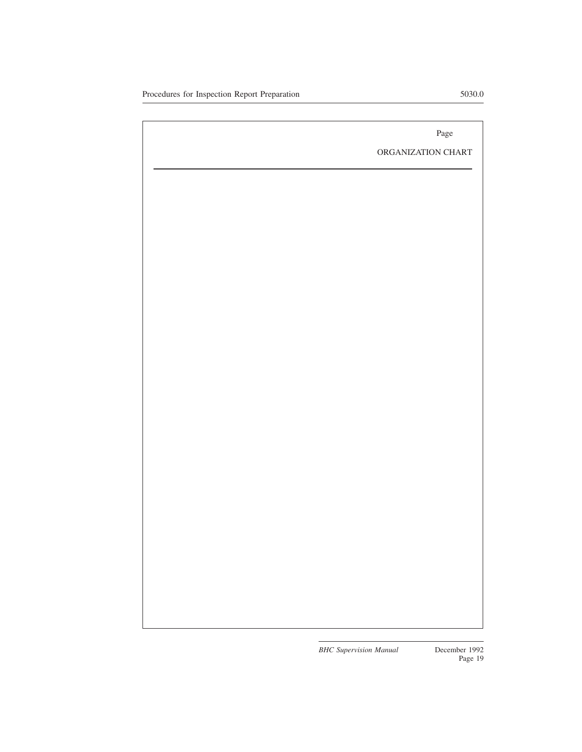ORGANIZATION CHART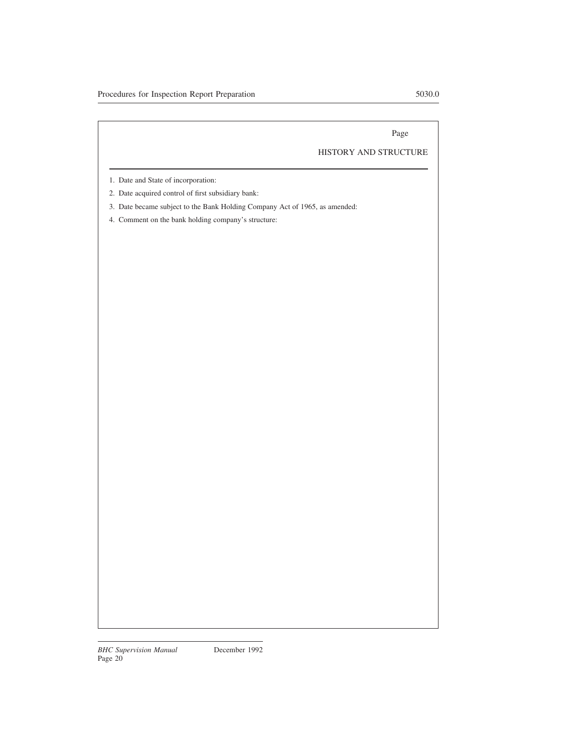## HISTORY AND STRUCTURE

- 1. Date and State of incorporation:
- 2. Date acquired control of first subsidiary bank:
- 3. Date became subject to the Bank Holding Company Act of 1965, as amended:
- 4. Comment on the bank holding company's structure: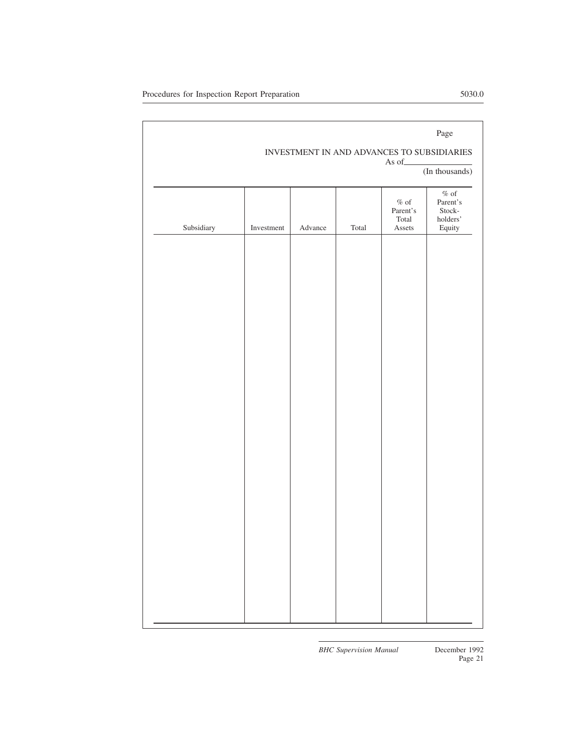## INVESTMENT IN AND ADVANCES TO SUBSIDIARIES

As of

(In thousands)

| Subsidiary | Investment | Advance | $\operatorname{\mathsf{Total}}$ | $\%$ of<br>Parent's<br>Total<br>Assets | $\%$ of<br>Parent's<br>Stock-<br>holders'<br>${\bf Equity}$ |
|------------|------------|---------|---------------------------------|----------------------------------------|-------------------------------------------------------------|
|            |            |         |                                 |                                        |                                                             |
|            |            |         |                                 |                                        |                                                             |
|            |            |         |                                 |                                        |                                                             |
|            |            |         |                                 |                                        |                                                             |
|            |            |         |                                 |                                        |                                                             |
|            |            |         |                                 |                                        |                                                             |
|            |            |         |                                 |                                        |                                                             |
|            |            |         |                                 |                                        |                                                             |
|            |            |         |                                 |                                        |                                                             |
|            |            |         |                                 |                                        |                                                             |
|            |            |         |                                 |                                        |                                                             |
|            |            |         |                                 |                                        |                                                             |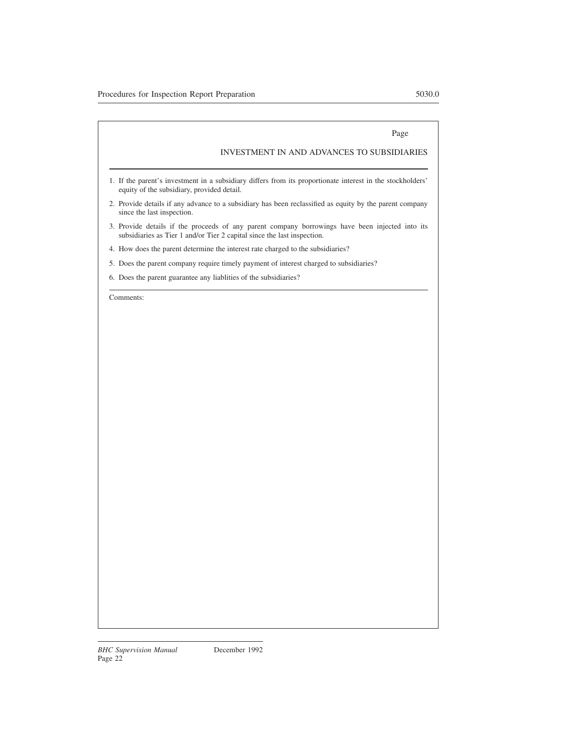## INVESTMENT IN AND ADVANCES TO SUBSIDIARIES

- 1. If the parent's investment in a subsidiary differs from its proportionate interest in the stockholders' equity of the subsidiary, provided detail.
- 2. Provide details if any advance to a subsidiary has been reclassified as equity by the parent company since the last inspection.
- 3. Provide details if the proceeds of any parent company borrowings have been injected into its subsidiaries as Tier 1 and/or Tier 2 capital since the last inspection.
- 4. How does the parent determine the interest rate charged to the subsidiaries?
- 5. Does the parent company require timely payment of interest charged to subsidiaries?
- 6. Does the parent guarantee any liablities of the subsidiaries?

Comments: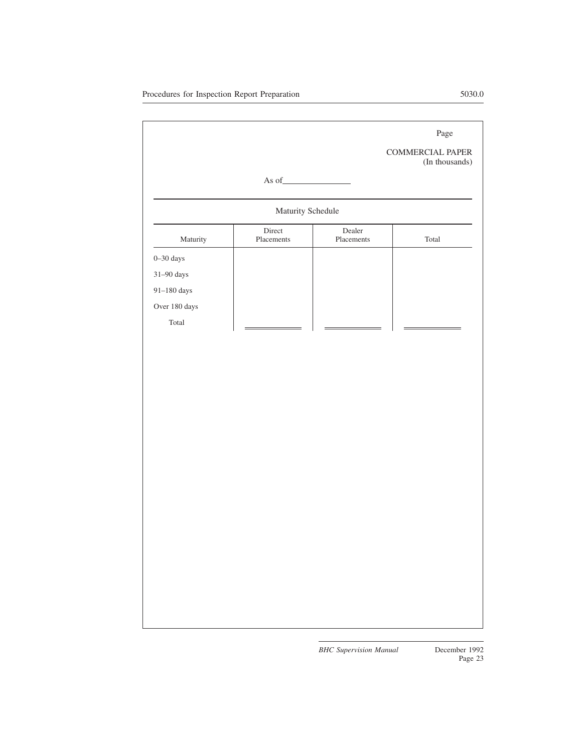COMMERCIAL PAPER (In thousands)

## As of

# Maturity Schedule Maturity Direct Placements Dealer Placements Total 0–30 days 31–90 days 91–180 days Over 180 days Total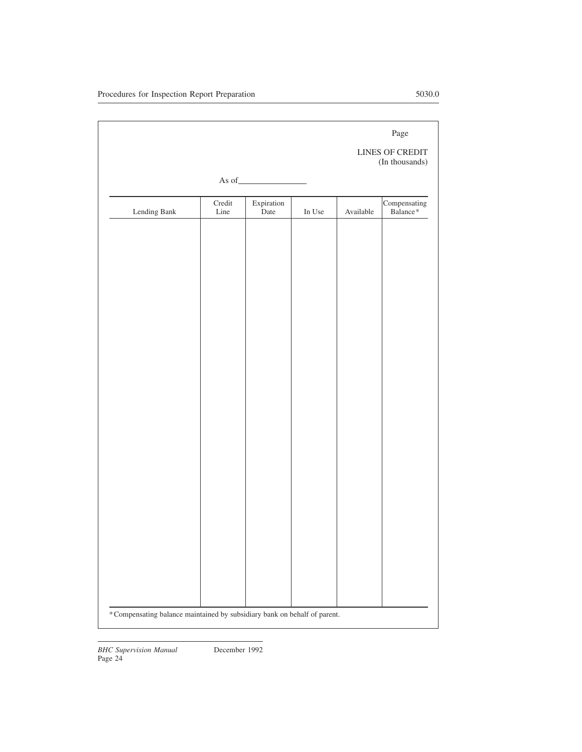|                                                                          |                |                    |             |           | Page<br><b>LINES OF CREDIT</b><br>(In thousands) |
|--------------------------------------------------------------------------|----------------|--------------------|-------------|-----------|--------------------------------------------------|
|                                                                          |                |                    |             |           |                                                  |
| Lending Bank                                                             | Credit<br>Line | Expiration<br>Date | In Use $\,$ | Available | Compensating<br>Balance*                         |
|                                                                          |                |                    |             |           |                                                  |
|                                                                          |                |                    |             |           |                                                  |
|                                                                          |                |                    |             |           |                                                  |
|                                                                          |                |                    |             |           |                                                  |
|                                                                          |                |                    |             |           |                                                  |
|                                                                          |                |                    |             |           |                                                  |
|                                                                          |                |                    |             |           |                                                  |
|                                                                          |                |                    |             |           |                                                  |
|                                                                          |                |                    |             |           |                                                  |
|                                                                          |                |                    |             |           |                                                  |
|                                                                          |                |                    |             |           |                                                  |
|                                                                          |                |                    |             |           |                                                  |
|                                                                          |                |                    |             |           |                                                  |
|                                                                          |                |                    |             |           |                                                  |
| *Compensating balance maintained by subsidiary bank on behalf of parent. |                |                    |             |           |                                                  |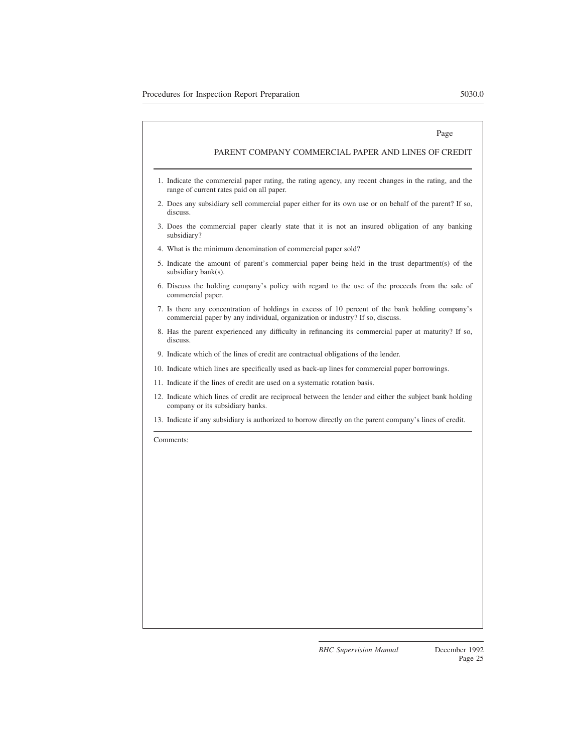#### PARENT COMPANY COMMERCIAL PAPER AND LINES OF CREDIT

- 1. Indicate the commercial paper rating, the rating agency, any recent changes in the rating, and the range of current rates paid on all paper.
- 2. Does any subsidiary sell commercial paper either for its own use or on behalf of the parent? If so, discuss.
- 3. Does the commercial paper clearly state that it is not an insured obligation of any banking subsidiary?
- 4. What is the minimum denomination of commercial paper sold?
- 5. Indicate the amount of parent's commercial paper being held in the trust department(s) of the subsidiary bank(s).
- 6. Discuss the holding company's policy with regard to the use of the proceeds from the sale of commercial paper.
- 7. Is there any concentration of holdings in excess of 10 percent of the bank holding company's commercial paper by any individual, organization or industry? If so, discuss.
- 8. Has the parent experienced any difficulty in refinancing its commercial paper at maturity? If so, discuss.
- 9. Indicate which of the lines of credit are contractual obligations of the lender.
- 10. Indicate which lines are specifically used as back-up lines for commercial paper borrowings.
- 11. Indicate if the lines of credit are used on a systematic rotation basis.
- 12. Indicate which lines of credit are reciprocal between the lender and either the subject bank holding company or its subsidiary banks.
- 13. Indicate if any subsidiary is authorized to borrow directly on the parent company's lines of credit.

Comments: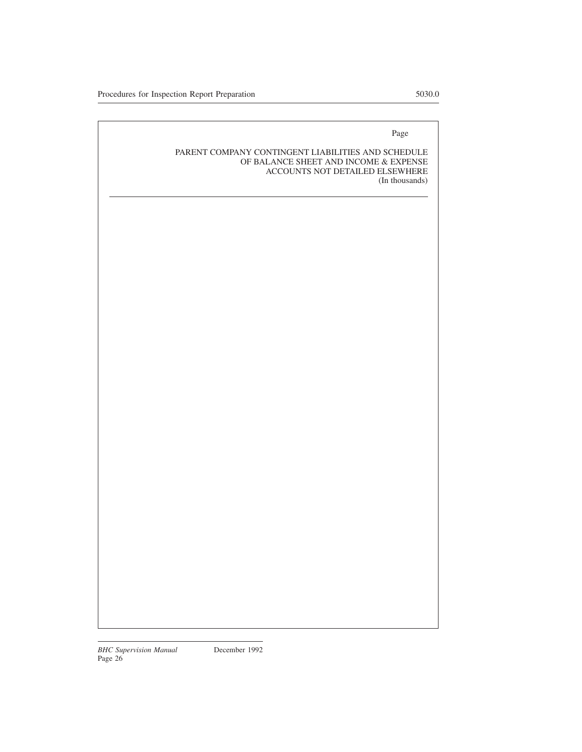#### PARENT COMPANY CONTINGENT LIABILITIES AND SCHEDULE OF BALANCE SHEET AND INCOME & EXPENSE ACCOUNTS NOT DETAILED ELSEWHERE (In thousands)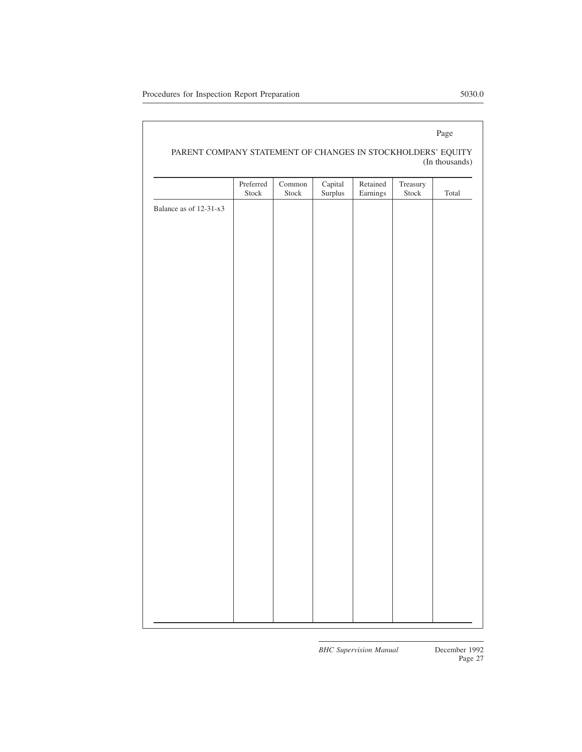#### PARENT COMPANY STATEMENT OF CHANGES IN STOCKHOLDERS' EQUITY (In thousands)

|                        | Preferred<br>Stock | Common<br>Stock | Capital<br>Surplus | Retained<br>Earnings | Treasury<br>Stock | Total |
|------------------------|--------------------|-----------------|--------------------|----------------------|-------------------|-------|
| Balance as of 12-31-x3 |                    |                 |                    |                      |                   |       |
|                        |                    |                 |                    |                      |                   |       |
|                        |                    |                 |                    |                      |                   |       |
|                        |                    |                 |                    |                      |                   |       |
|                        |                    |                 |                    |                      |                   |       |
|                        |                    |                 |                    |                      |                   |       |
|                        |                    |                 |                    |                      |                   |       |
|                        |                    |                 |                    |                      |                   |       |
|                        |                    |                 |                    |                      |                   |       |
|                        |                    |                 |                    |                      |                   |       |
|                        |                    |                 |                    |                      |                   |       |
|                        |                    |                 |                    |                      |                   |       |
|                        |                    |                 |                    |                      |                   |       |
|                        |                    |                 |                    |                      |                   |       |
|                        |                    |                 |                    |                      |                   |       |
|                        |                    |                 |                    |                      |                   |       |
|                        |                    |                 |                    |                      |                   |       |
|                        |                    |                 |                    |                      |                   |       |
|                        |                    |                 |                    |                      |                   |       |
|                        |                    |                 |                    |                      |                   |       |
|                        |                    |                 |                    |                      |                   |       |
|                        |                    |                 |                    |                      |                   |       |
|                        |                    |                 |                    |                      |                   |       |
|                        |                    |                 |                    |                      |                   |       |
|                        |                    |                 |                    |                      |                   |       |
|                        |                    |                 |                    |                      |                   |       |
|                        |                    |                 |                    |                      |                   |       |
|                        |                    |                 |                    |                      |                   |       |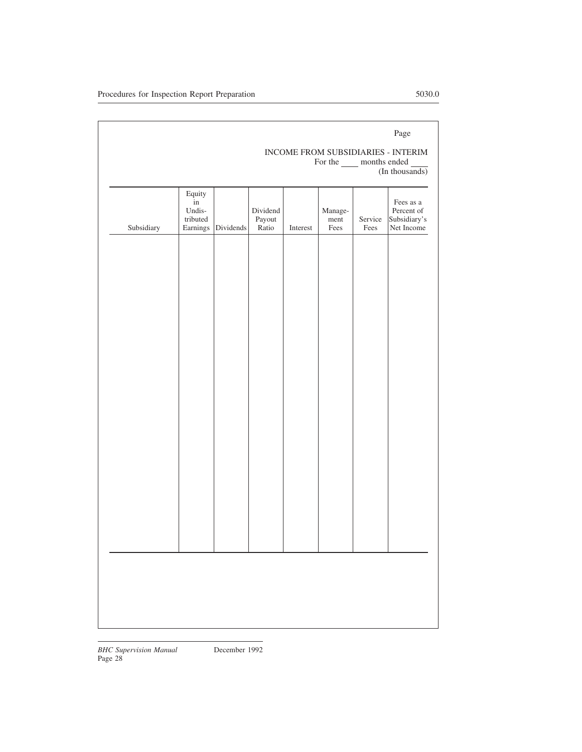|            |                                                        |                    |                             |          | For the _____ months ended |                 | Page<br>INCOME FROM SUBSIDIARIES - INTERIM<br>(In thousands) |
|------------|--------------------------------------------------------|--------------------|-----------------------------|----------|----------------------------|-----------------|--------------------------------------------------------------|
| Subsidiary | Equity<br>$\overline{\text{in}}$<br>Undis-<br>tributed | Earnings Dividends | Dividend<br>Payout<br>Ratio | Interest | Manage-<br>ment<br>Fees    | Service<br>Fees | Fees as a<br>Percent of<br>Subsidiary's<br>Net Income        |
|            |                                                        |                    |                             |          |                            |                 |                                                              |
|            |                                                        |                    |                             |          |                            |                 |                                                              |
|            |                                                        |                    |                             |          |                            |                 |                                                              |
|            |                                                        |                    |                             |          |                            |                 |                                                              |
|            |                                                        |                    |                             |          |                            |                 |                                                              |
|            |                                                        |                    |                             |          |                            |                 |                                                              |
|            |                                                        |                    |                             |          |                            |                 |                                                              |
|            |                                                        |                    |                             |          |                            |                 |                                                              |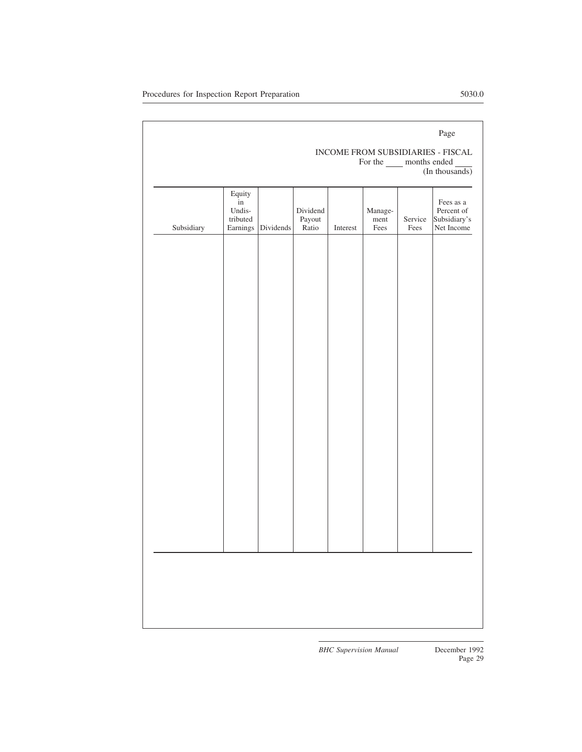#### INCOME FROM SUBSIDIARIES - FISCAL For the \_\_\_\_\_ months ended (In thousands)

Subsidiary Equity in Undistributed<br>Earnings Dividends Dividend Payout Interest Management Fees Service Fees Fees as a Percent of Subsidiary's Net Income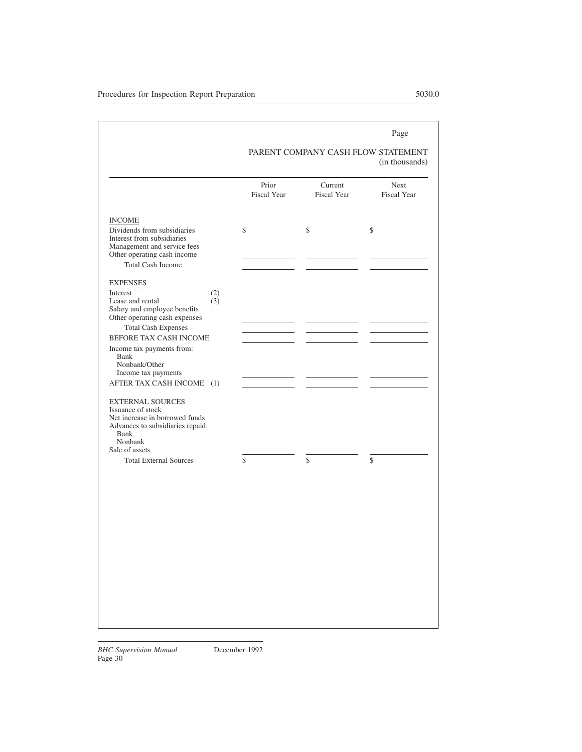#### PARENT COMPANY CASH FLOW STATEMENT (in thousands)

|                                                                                          | Prior<br><b>Fiscal Year</b> | Current<br><b>Fiscal Year</b> | <b>Next</b><br><b>Fiscal Year</b> |
|------------------------------------------------------------------------------------------|-----------------------------|-------------------------------|-----------------------------------|
| <b>INCOME</b><br>Dividends from subsidiaries                                             | \$                          | \$                            | \$                                |
| Interest from subsidiaries<br>Management and service fees<br>Other operating cash income |                             |                               |                                   |
| <b>Total Cash Income</b>                                                                 |                             |                               |                                   |
| <b>EXPENSES</b>                                                                          |                             |                               |                                   |
| Interest<br>(2)                                                                          |                             |                               |                                   |
| Lease and rental<br>(3)<br>Salary and employee benefits<br>Other operating cash expenses |                             |                               |                                   |
| <b>Total Cash Expenses</b>                                                               |                             |                               |                                   |
| BEFORE TAX CASH INCOME                                                                   |                             |                               |                                   |
| Income tax payments from:<br>Bank<br>Nonbank/Other                                       |                             |                               |                                   |
| Income tax payments                                                                      |                             |                               |                                   |
| AFTER TAX CASH INCOME<br>(1)                                                             |                             |                               |                                   |
| <b>EXTERNAL SOURCES</b><br>Issuance of stock                                             |                             |                               |                                   |
| Net increase in borrowed funds<br>Advances to subsidiaries repaid:<br>Bank<br>Nonbank    |                             |                               |                                   |
| Sale of assets                                                                           |                             |                               |                                   |
| <b>Total External Sources</b>                                                            | $\mathcal{S}$               | $\mathcal{S}$                 | \$                                |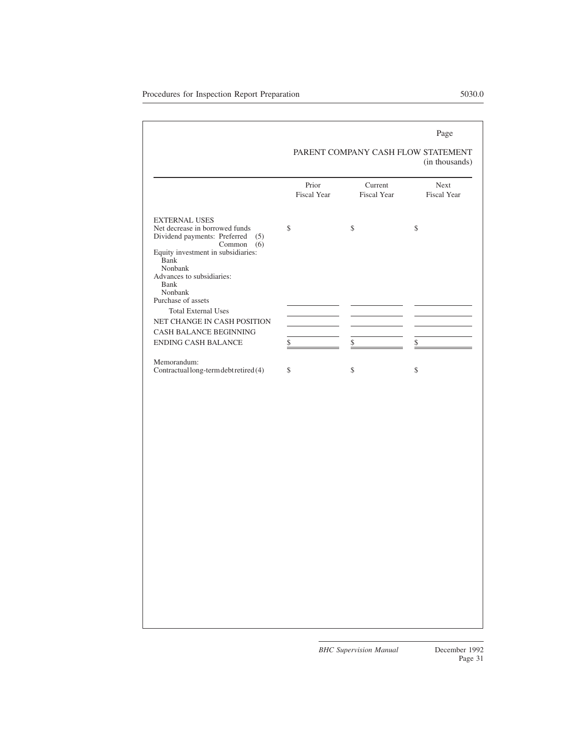#### PARENT COMPANY CASH FLOW STATEMENT (in thousands)

|                                                                                                                                                                                                              | Prior<br><b>Fiscal Year</b> | Current<br><b>Fiscal Year</b> | Next<br><b>Fiscal Year</b> |
|--------------------------------------------------------------------------------------------------------------------------------------------------------------------------------------------------------------|-----------------------------|-------------------------------|----------------------------|
| <b>EXTERNAL USES</b><br>Net decrease in borrowed funds<br>Dividend payments: Preferred<br>(5)<br>Common<br>(6)<br>Equity investment in subsidiaries:<br>Bank<br>Nonbank<br>Advances to subsidiaries:<br>Bank | \$                          | \$                            | \$                         |
| Nonbank<br>Purchase of assets<br><b>Total External Uses</b><br>NET CHANGE IN CASH POSITION                                                                                                                   |                             |                               |                            |
| CASH BALANCE BEGINNING<br><b>ENDING CASH BALANCE</b>                                                                                                                                                         | \$                          | \$                            | \$                         |
| Memorandum:<br>Contractual long-term debt retired (4)                                                                                                                                                        | \$                          | \$                            | \$                         |
|                                                                                                                                                                                                              |                             |                               |                            |
|                                                                                                                                                                                                              |                             |                               |                            |
|                                                                                                                                                                                                              |                             |                               |                            |
|                                                                                                                                                                                                              |                             |                               |                            |
|                                                                                                                                                                                                              |                             |                               |                            |
|                                                                                                                                                                                                              |                             |                               |                            |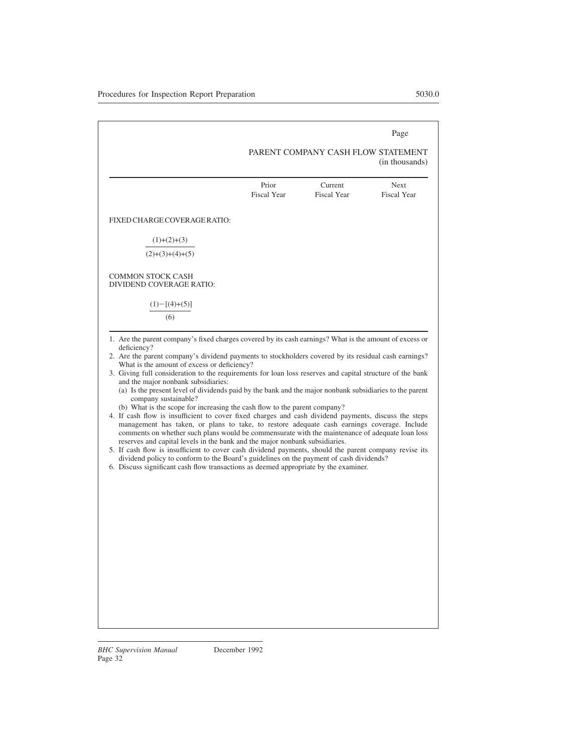# PARENT COMPANY CASH FLOW STATEMENT

|                                                      |                             |                               | (in thousands)                    |
|------------------------------------------------------|-----------------------------|-------------------------------|-----------------------------------|
|                                                      | Prior<br><b>Fiscal Year</b> | Current<br><b>Fiscal Year</b> | <b>Next</b><br><b>Fiscal Year</b> |
| FIXED CHARGE COVERAGE RATIO:                         |                             |                               |                                   |
| $(1)+(2)+(3)$                                        |                             |                               |                                   |
| $(2)+(3)+(4)+(5)$                                    |                             |                               |                                   |
| <b>COMMON STOCK CASH</b><br>DIVIDEND COVERAGE RATIO: |                             |                               |                                   |
| $(1) - [(4) + (5)]$<br>(6)                           |                             |                               |                                   |

- 1. Are the parent company's fixed charges covered by its cash earnings? What is the amount of excess or deficiency?
- 2. Are the parent company's dividend payments to stockholders covered by its residual cash earnings? What is the amount of excess or deficiency?
- 3. Giving full consideration to the requirements for loan loss reserves and capital structure of the bank and the major nonbank subsidiaries:
	- (a) Is the present level of dividends paid by the bank and the major nonbank subsidiaries to the parent company sustainable?
	- (b) What is the scope for increasing the cash flow to the parent company?
- 4. If cash flow is insufficient to cover fixed charges and cash dividend payments, discuss the steps management has taken, or plans to take, to restore adequate cash earnings coverage. Include comments on whether such plans would be commensurate with the maintenance of adequate loan loss reserves and capital levels in the bank and the major nonbank subsidiaries.
- 5. If cash flow is insufficient to cover cash dividend payments, should the parent company revise its dividend policy to conform to the Board's guidelines on the payment of cash dividends?
- 6. Discuss significant cash flow transactions as deemed appropriate by the examiner.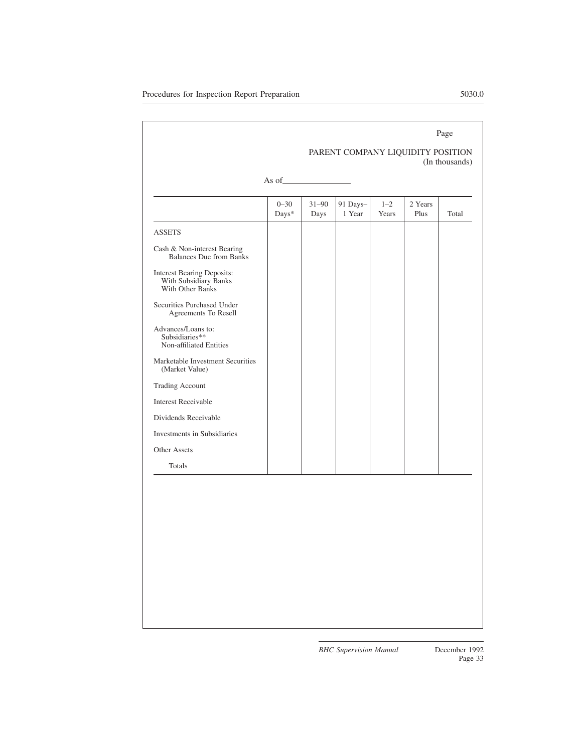|                                                                                |                   |                   |                                   |                  |                 | Page           |
|--------------------------------------------------------------------------------|-------------------|-------------------|-----------------------------------|------------------|-----------------|----------------|
|                                                                                |                   |                   | PARENT COMPANY LIQUIDITY POSITION |                  |                 | (In thousands) |
|                                                                                | As of             |                   |                                   |                  |                 |                |
|                                                                                | $0 - 30$<br>Days* | $31 - 90$<br>Days | 91 Days-<br>1 Year                | $1 - 2$<br>Years | 2 Years<br>Plus | Total          |
| <b>ASSETS</b>                                                                  |                   |                   |                                   |                  |                 |                |
| Cash & Non-interest Bearing<br><b>Balances Due from Banks</b>                  |                   |                   |                                   |                  |                 |                |
| <b>Interest Bearing Deposits:</b><br>With Subsidiary Banks<br>With Other Banks |                   |                   |                                   |                  |                 |                |
| Securities Purchased Under<br>Agreements To Resell                             |                   |                   |                                   |                  |                 |                |
| Advances/Loans to:<br>Subsidiaries**<br>Non-affiliated Entities                |                   |                   |                                   |                  |                 |                |
| Marketable Investment Securities<br>(Market Value)                             |                   |                   |                                   |                  |                 |                |
| <b>Trading Account</b>                                                         |                   |                   |                                   |                  |                 |                |
| <b>Interest Receivable</b>                                                     |                   |                   |                                   |                  |                 |                |
| Dividends Receivable                                                           |                   |                   |                                   |                  |                 |                |
| Investments in Subsidiaries                                                    |                   |                   |                                   |                  |                 |                |
| Other Assets                                                                   |                   |                   |                                   |                  |                 |                |
| Totals                                                                         |                   |                   |                                   |                  |                 |                |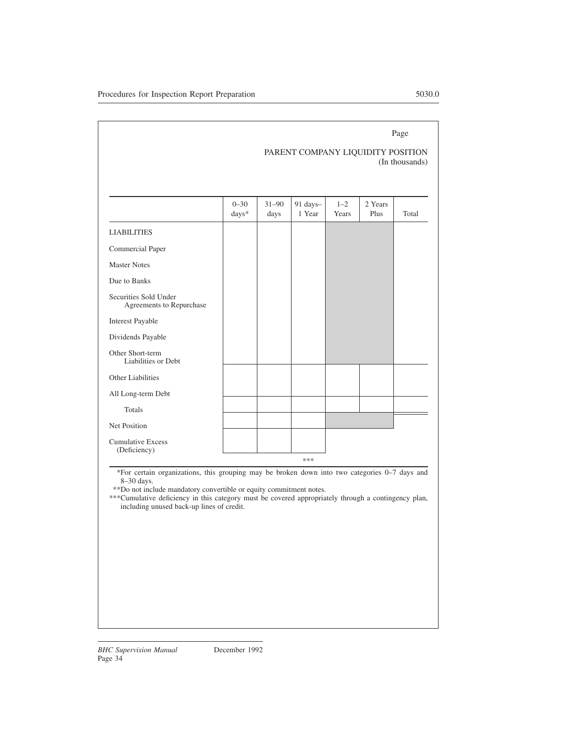# PARENT COMPANY LIQUIDITY POSITION (In thousands)

|                                                   | $0 - 30$<br>days* | $31 - 90$<br>days | 91 days-<br>1 Year | $1 - 2$<br>Years | 2 Years<br>Plus | Total |
|---------------------------------------------------|-------------------|-------------------|--------------------|------------------|-----------------|-------|
| <b>LIABILITIES</b>                                |                   |                   |                    |                  |                 |       |
| Commercial Paper                                  |                   |                   |                    |                  |                 |       |
| <b>Master Notes</b>                               |                   |                   |                    |                  |                 |       |
| Due to Banks                                      |                   |                   |                    |                  |                 |       |
| Securities Sold Under<br>Agreements to Repurchase |                   |                   |                    |                  |                 |       |
| <b>Interest Payable</b>                           |                   |                   |                    |                  |                 |       |
| Dividends Payable                                 |                   |                   |                    |                  |                 |       |
| Other Short-term<br>Liabilities or Debt           |                   |                   |                    |                  |                 |       |
| <b>Other Liabilities</b>                          |                   |                   |                    |                  |                 |       |
| All Long-term Debt                                |                   |                   |                    |                  |                 |       |
| Totals                                            |                   |                   |                    |                  |                 |       |
| <b>Net Position</b>                               |                   |                   |                    |                  |                 |       |
| <b>Cumulative Excess</b><br>(Deficiency)          |                   |                   |                    |                  |                 |       |
|                                                   |                   |                   | ***                |                  |                 |       |

\*For certain organizations, this grouping may be broken down into two categories 0–7 days and 8–30 days.

\*\*Do not include mandatory convertible or equity commitment notes.

\*\*\*Cumulative deficiency in this category must be covered appropriately through a contingency plan, including unused back-up lines of credit.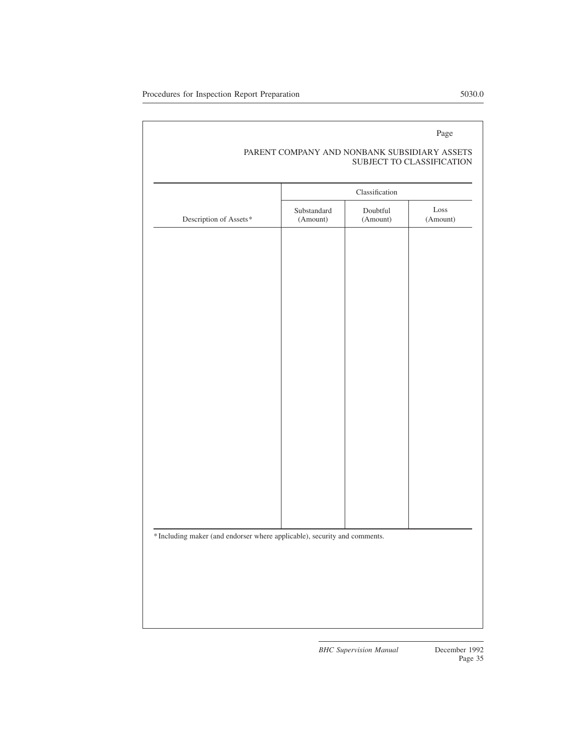|                                                                           | Classification          |                      |                                   |  |  |
|---------------------------------------------------------------------------|-------------------------|----------------------|-----------------------------------|--|--|
| Description of Assets*                                                    | Substandard<br>(Amount) | Doubtful<br>(Amount) | $\operatorname{Loss}$<br>(Amount) |  |  |
|                                                                           |                         |                      |                                   |  |  |
|                                                                           |                         |                      |                                   |  |  |
|                                                                           |                         |                      |                                   |  |  |
|                                                                           |                         |                      |                                   |  |  |
|                                                                           |                         |                      |                                   |  |  |
|                                                                           |                         |                      |                                   |  |  |
|                                                                           |                         |                      |                                   |  |  |
|                                                                           |                         |                      |                                   |  |  |
|                                                                           |                         |                      |                                   |  |  |
|                                                                           |                         |                      |                                   |  |  |
|                                                                           |                         |                      |                                   |  |  |
|                                                                           |                         |                      |                                   |  |  |
|                                                                           |                         |                      |                                   |  |  |
|                                                                           |                         |                      |                                   |  |  |
|                                                                           |                         |                      |                                   |  |  |
|                                                                           |                         |                      |                                   |  |  |
|                                                                           |                         |                      |                                   |  |  |
|                                                                           |                         |                      |                                   |  |  |
|                                                                           |                         |                      |                                   |  |  |
|                                                                           |                         |                      |                                   |  |  |
|                                                                           |                         |                      |                                   |  |  |
|                                                                           |                         |                      |                                   |  |  |
| * Including maker (and endorser where applicable), security and comments. |                         |                      |                                   |  |  |
|                                                                           |                         |                      |                                   |  |  |
|                                                                           |                         |                      |                                   |  |  |
|                                                                           |                         |                      |                                   |  |  |

# PARENT COMPANY AND NONBANK SUBSIDIARY ASSETS SUBJECT TO CLASSIFICATION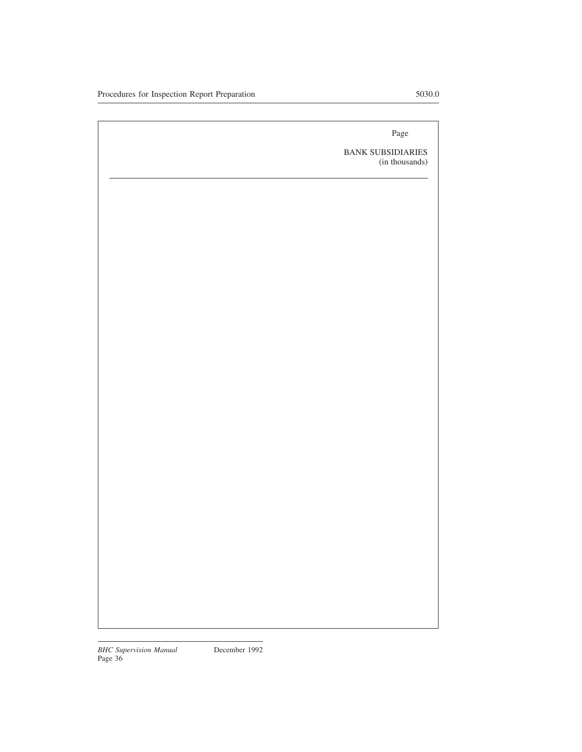BANK SUBSIDIARIES (in thousands)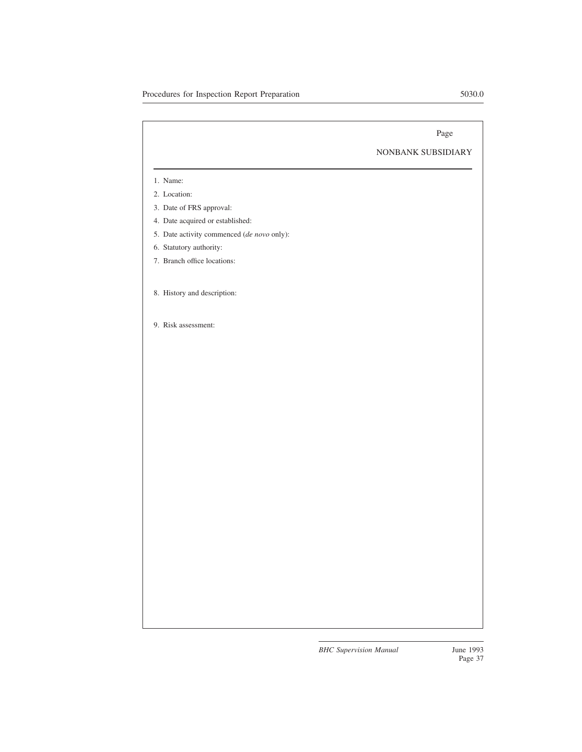# NONBANK SUBSIDIARY

- 1. Name:
- 2. Location:
- 3. Date of FRS approval:
- 4. Date acquired or established:
- 5. Date activity commenced (*de novo* only):
- 6. Statutory authority:
- 7. Branch office locations:
- 8. History and description:
- 9. Risk assessment: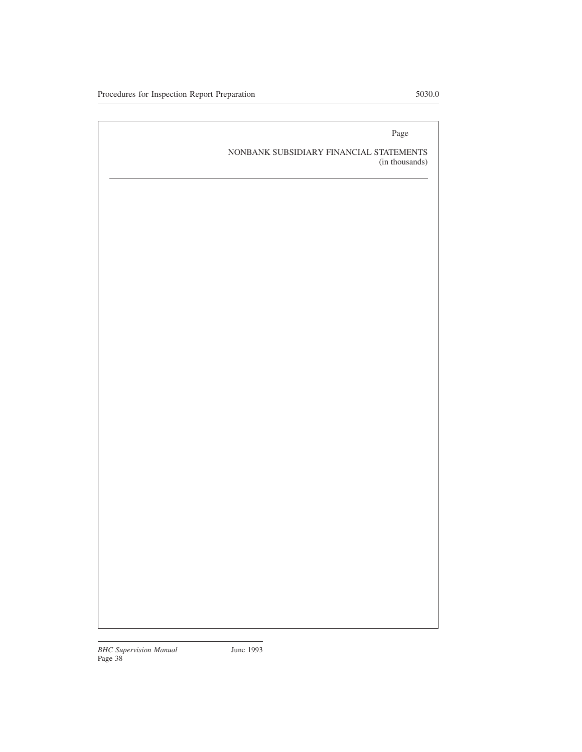NONBANK SUBSIDIARY FINANCIAL STATEMENTS (in thousands)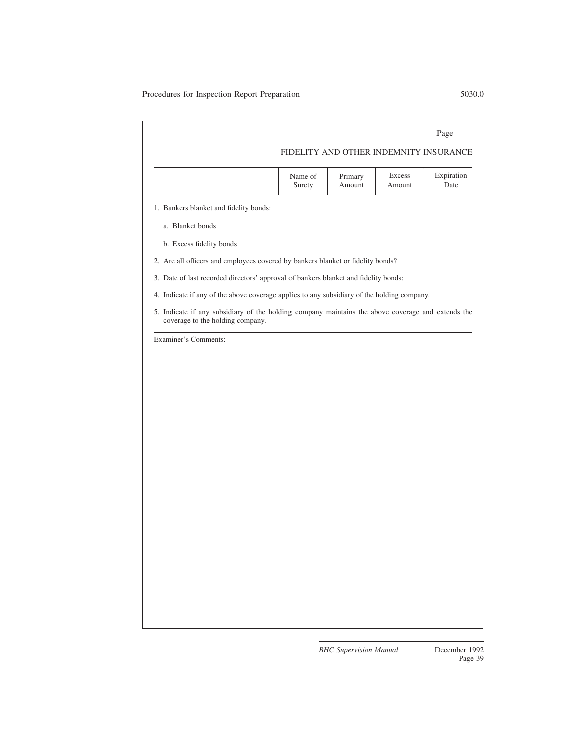|                                                                                                                                       |                   |                   |                  | Page                                   |  |
|---------------------------------------------------------------------------------------------------------------------------------------|-------------------|-------------------|------------------|----------------------------------------|--|
|                                                                                                                                       |                   |                   |                  | FIDELITY AND OTHER INDEMNITY INSURANCE |  |
|                                                                                                                                       | Name of<br>Surety | Primary<br>Amount | Excess<br>Amount | Expiration<br>Date                     |  |
| 1. Bankers blanket and fidelity bonds:                                                                                                |                   |                   |                  |                                        |  |
| a. Blanket bonds                                                                                                                      |                   |                   |                  |                                        |  |
| b. Excess fidelity bonds                                                                                                              |                   |                   |                  |                                        |  |
| 2. Are all officers and employees covered by bankers blanket or fidelity bonds?                                                       |                   |                   |                  |                                        |  |
| 3. Date of last recorded directors' approval of bankers blanket and fidelity bonds:                                                   |                   |                   |                  |                                        |  |
| 4. Indicate if any of the above coverage applies to any subsidiary of the holding company.                                            |                   |                   |                  |                                        |  |
| 5. Indicate if any subsidiary of the holding company maintains the above coverage and extends the<br>coverage to the holding company. |                   |                   |                  |                                        |  |
| Examiner's Comments:                                                                                                                  |                   |                   |                  |                                        |  |
|                                                                                                                                       |                   |                   |                  |                                        |  |
|                                                                                                                                       |                   |                   |                  |                                        |  |
|                                                                                                                                       |                   |                   |                  |                                        |  |
|                                                                                                                                       |                   |                   |                  |                                        |  |
|                                                                                                                                       |                   |                   |                  |                                        |  |
|                                                                                                                                       |                   |                   |                  |                                        |  |
|                                                                                                                                       |                   |                   |                  |                                        |  |
|                                                                                                                                       |                   |                   |                  |                                        |  |
|                                                                                                                                       |                   |                   |                  |                                        |  |
|                                                                                                                                       |                   |                   |                  |                                        |  |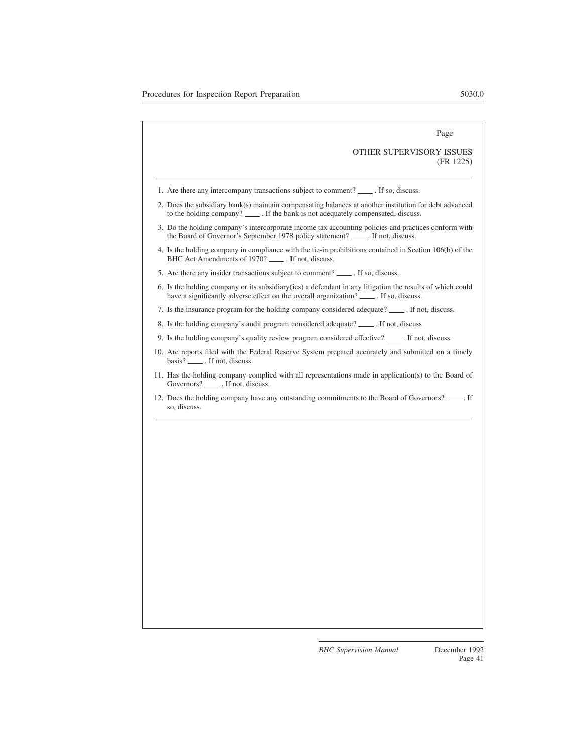# OTHER SUPERVISORY ISSUES (FR 1225)

- 1. Are there any intercompany transactions subject to comment? \_\_\_\_\_. If so, discuss.
- 2. Does the subsidiary bank(s) maintain compensating balances at another institution for debt advanced to the holding company? \_\_\_\_\_\_. If the bank is not adequately compensated, discuss.
- 3. Do the holding company's intercorporate income tax accounting policies and practices conform with the Board of Governor's September 1978 policy statement? \_\_\_\_\_\_. If not, discuss.
- 4. Is the holding company in compliance with the tie-in prohibitions contained in Section 106(b) of the BHC Act Amendments of 1970? \_\_\_\_\_. If not, discuss.
- 5. Are there any insider transactions subject to comment? \_\_\_\_\_\_. If so, discuss.
- 6. Is the holding company or its subsidiary(ies) a defendant in any litigation the results of which could have a significantly adverse effect on the overall organization? \_\_\_\_\_\_. If so, discuss.
- 7. Is the insurance program for the holding company considered adequate? \_\_\_\_\_\_. If not, discuss.
- 8. Is the holding company's audit program considered adequate? . If not, discuss
- 9. Is the holding company's quality review program considered effective?  $\frac{1}{\sqrt{1-\frac{1}{n}}}$ . If not, discuss.
- 10. Are reports filed with the Federal Reserve System prepared accurately and submitted on a timely basis? \_\_\_\_\_\_. If not, discuss.
- 11. Has the holding company complied with all representations made in application(s) to the Board of Governors? \_\_\_\_\_\_. If not, discuss.
- 12. Does the holding company have any outstanding commitments to the Board of Governors? . If so, discuss.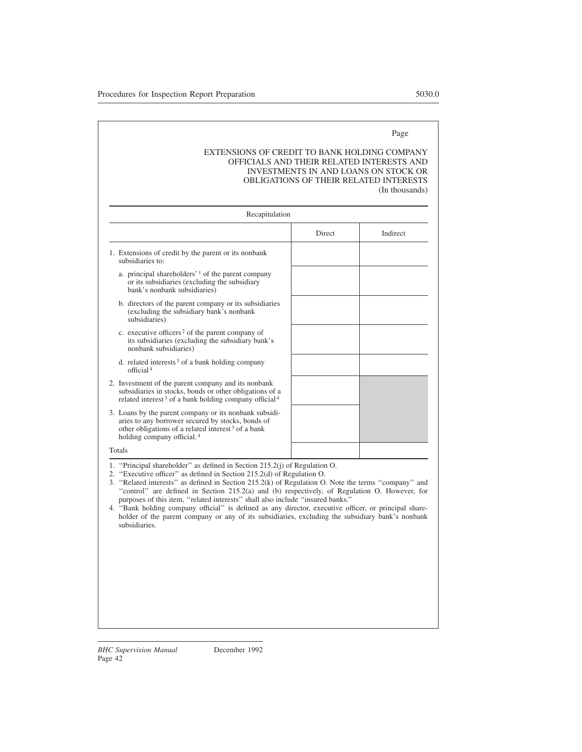# EXTENSIONS OF CREDIT TO BANK HOLDING COMPANY OFFICIALS AND THEIR RELATED INTERESTS AND INVESTMENTS IN AND LOANS ON STOCK OR OBLIGATIONS OF THEIR RELATED INTERESTS (In thousands)

| Recapitulation                                                                                                                                                                                                 |               |          |
|----------------------------------------------------------------------------------------------------------------------------------------------------------------------------------------------------------------|---------------|----------|
|                                                                                                                                                                                                                | <b>Direct</b> | Indirect |
| 1. Extensions of credit by the parent or its nonbank<br>subsidiaries to:                                                                                                                                       |               |          |
| a. principal shareholders' $\frac{1}{1}$ of the parent company<br>or its subsidiaries (excluding the subsidiary<br>bank's nonbank subsidiaries)                                                                |               |          |
| b. directors of the parent company or its subsidiaries<br>(excluding the subsidiary bank's nonbank)<br>subsidiaries)                                                                                           |               |          |
| c. executive officers <sup>2</sup> of the parent company of<br>its subsidiaries (excluding the subsidiary bank's<br>nonbank subsidiaries)                                                                      |               |          |
| d. related interests $3$ of a bank holding company<br>official <sup>4</sup>                                                                                                                                    |               |          |
| 2. Investment of the parent company and its nonbank<br>subsidiaries in stocks, bonds or other obligations of a<br>related interest <sup>3</sup> of a bank holding company official <sup>4</sup>                |               |          |
| 3. Loans by the parent company or its nonbank subsidi-<br>aries to any borrower secured by stocks, bonds of<br>other obligations of a related interest $3$ of a bank<br>holding company official. <sup>4</sup> |               |          |
| Totals                                                                                                                                                                                                         |               |          |

- 1. ''Principal shareholder'' as defined in Section 215.2(j) of Regulation O.
- 2. ''Executive officer'' as defined in Section 215.2(d) of Regulation O.
- 3. ''Related interests'' as defined in Section 215.2(k) of Regulation O. Note the terms ''company'' and ''control'' are defined in Section 215.2(a) and (b) respectively, of Regulation O. However, for purposes of this item, ''related interests'' shall also include ''insured banks.''
- 4. ''Bank holding company official'' is defined as any director, executive officer, or principal shareholder of the parent company or any of its subsidiaries, excluding the subsidiary bank's nonbank subsidiaries.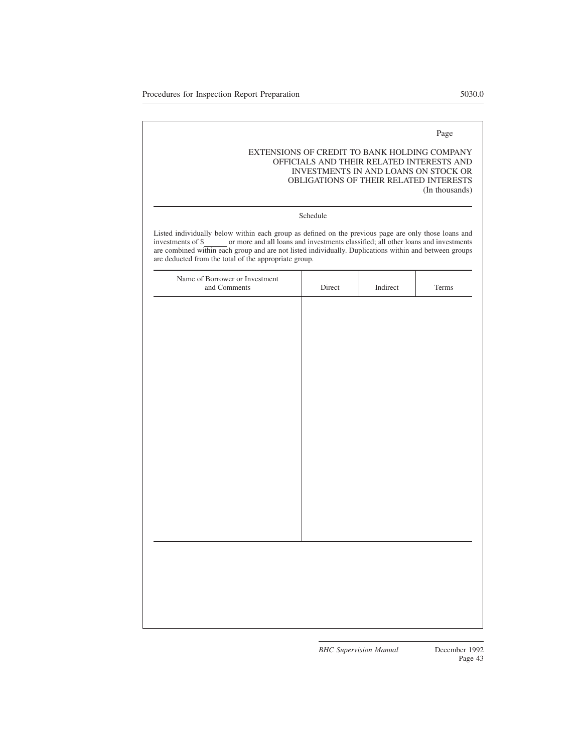# EXTENSIONS OF CREDIT TO BANK HOLDING COMPANY OFFICIALS AND THEIR RELATED INTERESTS AND INVESTMENTS IN AND LOANS ON STOCK OR OBLIGATIONS OF THEIR RELATED INTERESTS (In thousands)

#### Schedule

Listed individually below within each group as defined on the previous page are only those loans and investments of \$ or more and all loans and investments classified; all other loans and investments are combined within each group and are not listed individually. Duplications within and between groups are deducted from the total of the appropriate group.

| Name of Borrower or Investment<br>and Comments | $\rm Direct$ | $In direct% \begin{center} \includegraphics[width=1\textwidth]{figures/fig_1a}% \label{fig:2a}% \end{center} \caption{The first part of the parameter $\rho$ in the case of the parameter $\rho$ in the case of the parameter $\rho$ in the case of the parameter $\rho$ in the case of the parameter $\rho$ in the case of the parameter $\rho$ in the case of the parameter $\rho$ in the case of the parameter $\rho$ in the case of the parameter $\rho$ in the case of the parameter $\rho$ in the case of the parameter $\rho$ in the case of the parameter $\rho$ in the case of the parameter $\rho$ in the case of the parameter $\rho$ in the case of the parameter $\rho$ in the case of the parameter $\rho$ in the case of the parameter $\rho$ in the case of the parameter $\rho$ in the case of the parameter $\rho$ in the case of the parameter $\$ | Terms |
|------------------------------------------------|--------------|-----------------------------------------------------------------------------------------------------------------------------------------------------------------------------------------------------------------------------------------------------------------------------------------------------------------------------------------------------------------------------------------------------------------------------------------------------------------------------------------------------------------------------------------------------------------------------------------------------------------------------------------------------------------------------------------------------------------------------------------------------------------------------------------------------------------------------------------------------------------------|-------|
|                                                |              |                                                                                                                                                                                                                                                                                                                                                                                                                                                                                                                                                                                                                                                                                                                                                                                                                                                                       |       |
|                                                |              |                                                                                                                                                                                                                                                                                                                                                                                                                                                                                                                                                                                                                                                                                                                                                                                                                                                                       |       |
|                                                |              |                                                                                                                                                                                                                                                                                                                                                                                                                                                                                                                                                                                                                                                                                                                                                                                                                                                                       |       |
|                                                |              |                                                                                                                                                                                                                                                                                                                                                                                                                                                                                                                                                                                                                                                                                                                                                                                                                                                                       |       |
|                                                |              |                                                                                                                                                                                                                                                                                                                                                                                                                                                                                                                                                                                                                                                                                                                                                                                                                                                                       |       |
|                                                |              |                                                                                                                                                                                                                                                                                                                                                                                                                                                                                                                                                                                                                                                                                                                                                                                                                                                                       |       |
|                                                |              |                                                                                                                                                                                                                                                                                                                                                                                                                                                                                                                                                                                                                                                                                                                                                                                                                                                                       |       |
|                                                |              |                                                                                                                                                                                                                                                                                                                                                                                                                                                                                                                                                                                                                                                                                                                                                                                                                                                                       |       |
|                                                |              |                                                                                                                                                                                                                                                                                                                                                                                                                                                                                                                                                                                                                                                                                                                                                                                                                                                                       |       |
|                                                |              |                                                                                                                                                                                                                                                                                                                                                                                                                                                                                                                                                                                                                                                                                                                                                                                                                                                                       |       |
|                                                |              |                                                                                                                                                                                                                                                                                                                                                                                                                                                                                                                                                                                                                                                                                                                                                                                                                                                                       |       |
|                                                |              |                                                                                                                                                                                                                                                                                                                                                                                                                                                                                                                                                                                                                                                                                                                                                                                                                                                                       |       |
|                                                |              |                                                                                                                                                                                                                                                                                                                                                                                                                                                                                                                                                                                                                                                                                                                                                                                                                                                                       |       |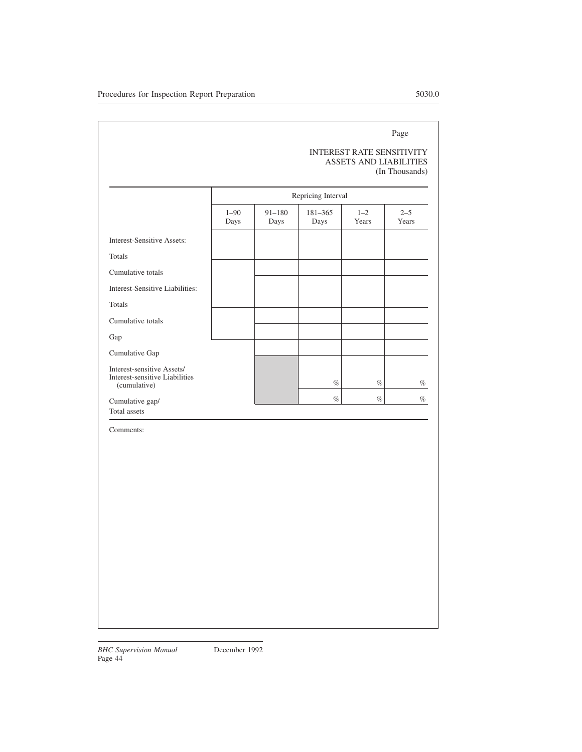# INTEREST RATE SENSITIVITY ASSETS AND LIABILITIES (In Thousands)

|                                                                              |                  | Repricing Interval |                 |                  |                  |  |
|------------------------------------------------------------------------------|------------------|--------------------|-----------------|------------------|------------------|--|
|                                                                              | $1 - 90$<br>Days | $91 - 180$<br>Days | 181-365<br>Days | $1 - 2$<br>Years | $2 - 5$<br>Years |  |
| Interest-Sensitive Assets:                                                   |                  |                    |                 |                  |                  |  |
| Totals                                                                       |                  |                    |                 |                  |                  |  |
| Cumulative totals                                                            |                  |                    |                 |                  |                  |  |
| Interest-Sensitive Liabilities:                                              |                  |                    |                 |                  |                  |  |
| Totals                                                                       |                  |                    |                 |                  |                  |  |
| Cumulative totals                                                            |                  |                    |                 |                  |                  |  |
| Gap                                                                          |                  |                    |                 |                  |                  |  |
| Cumulative Gap                                                               |                  |                    |                 |                  |                  |  |
| Interest-sensitive Assets/<br>Interest-sensitive Liabilities<br>(cumulative) |                  |                    | $\%$            | $\%$             | $\%$             |  |
| Cumulative gap/<br>Total assets                                              |                  |                    | $\%$            | $\%$             | %                |  |

Comments: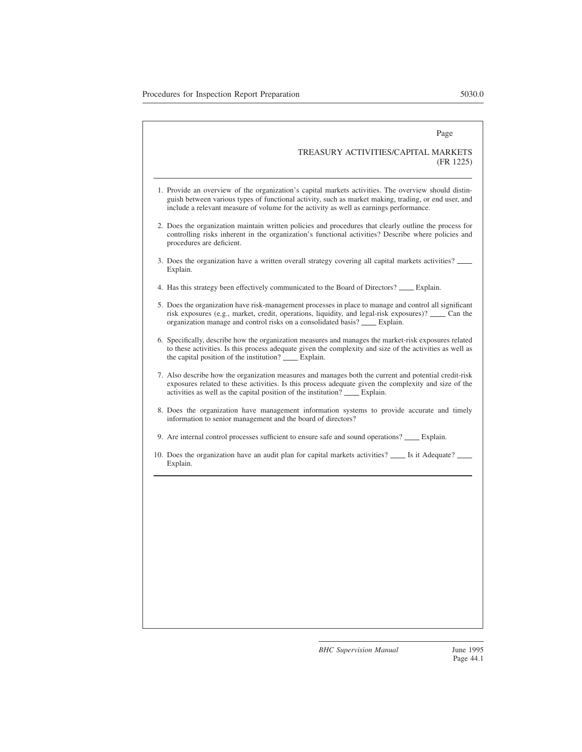#### TREASURY ACTIVITIES/CAPITAL MARKETS (FR 1225)

- 1. Provide an overview of the organization's capital markets activities. The overview should distinguish between various types of functional activity, such as market making, trading, or end user, and include a relevant measure of volume for the activity as well as earnings performance.
- 2. Does the organization maintain written policies and procedures that clearly outline the process for controlling risks inherent in the organization's functional activities? Describe where policies and procedures are deficient.
- 3. Does the organization have a written overall strategy covering all capital markets activities? Explain.
- 4. Has this strategy been effectively communicated to the Board of Directors? \_\_\_\_\_ Explain.
- 5. Does the organization have risk-management processes in place to manage and control all significant risk exposures (e.g., market, credit, operations, liquidity, and legal-risk exposures)?  $\_\_\_\_\_\_\_\_\$ Can the organization manage and control risks on a consolidated basis? \_\_\_\_\_ Explain.
- 6. Specifically, describe how the organization measures and manages the market-risk exposures related to these activities. Is this process adequate given the complexity and size of the activities as well as the capital position of the institution? Explain.
- 7. Also describe how the organization measures and manages both the current and potential credit-risk exposures related to these activities. Is this process adequate given the complexity and size of the activities as well as the capital position of the institution? Explain.
- 8. Does the organization have management information systems to provide accurate and timely information to senior management and the board of directors?
- 9. Are internal control processes sufficient to ensure safe and sound operations? Explain.
- 10. Does the organization have an audit plan for capital markets activities? \_\_\_\_ Is it Adequate? \_ Explain.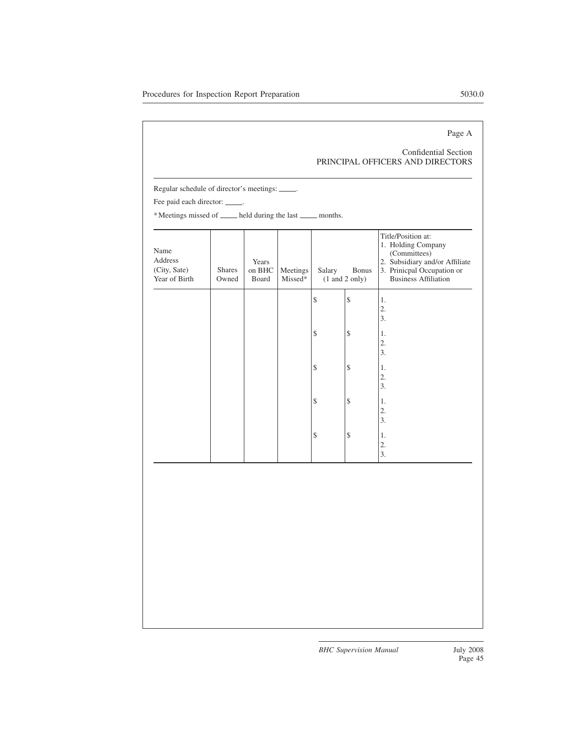# Page A

# Confidential Section PRINCIPAL OFFICERS AND DIRECTORS

Regular schedule of director's meetings: ..........

Fee paid each director: ...........

\* Meetings missed of \_\_\_\_\_ held during the last \_\_\_\_\_ months.

| Name<br>Address<br>(City, Sate)<br>Year of Birth | <b>Shares</b><br>Owned | Years<br>on BHC<br>Board | Meetings<br>Missed* | Salary | Bonus<br>$(1 \text{ and } 2 \text{ only})$ | Title/Position at:<br>1. Holding Company<br>(Committees)<br>2. Subsidiary and/or Affiliate<br>3. Prinicpal Occupation or<br><b>Business Affiliation</b> |
|--------------------------------------------------|------------------------|--------------------------|---------------------|--------|--------------------------------------------|---------------------------------------------------------------------------------------------------------------------------------------------------------|
|                                                  |                        |                          |                     | \$     | \$                                         | 1.<br>2.<br>3.                                                                                                                                          |
|                                                  |                        |                          |                     | \$     | $\mathcal{S}$                              | 1.<br>$\mathbf{2}$ .<br>3.                                                                                                                              |
|                                                  |                        |                          |                     | \$     | \$                                         | 1.<br>$\mathbf{2}$ .<br>3.                                                                                                                              |
|                                                  |                        |                          |                     | \$     | \$                                         | 1.<br>$\mathbf{2}$ .<br>3.                                                                                                                              |
|                                                  |                        |                          |                     | \$     | \$                                         | 1.<br>2.<br>3.                                                                                                                                          |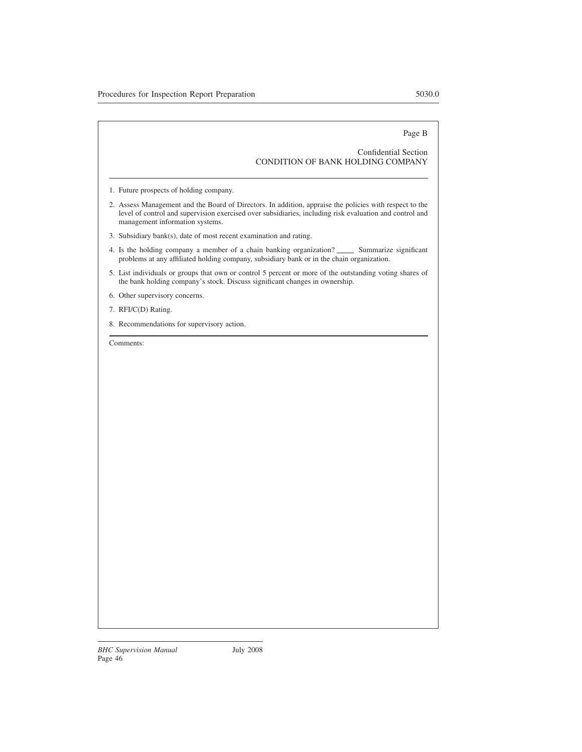Page B

# Confidential Section CONDITION OF BANK HOLDING COMPANY

- 1. Future prospects of holding company.
- 2. Assess Management and the Board of Directors. In addition, appraise the policies with respect to the level of control and supervision exercised over subsidiaries, including risk evaluation and control and management information systems.
- 3. Subsidiary bank(s), date of most recent examination and rating.
- 4. Is the holding company a member of a chain banking organization? Summarize significant problems at any affiliated holding company, subsidiary bank or in the chain organization.
- 5. List individuals or groups that own or control 5 percent or more of the outstanding voting shares of the bank holding company's stock. Discuss significant changes in ownership.
- 6. Other supervisory concerns.
- 7. RFI/C(D) Rating.
- 8. Recommendations for supervisory action.

Comments: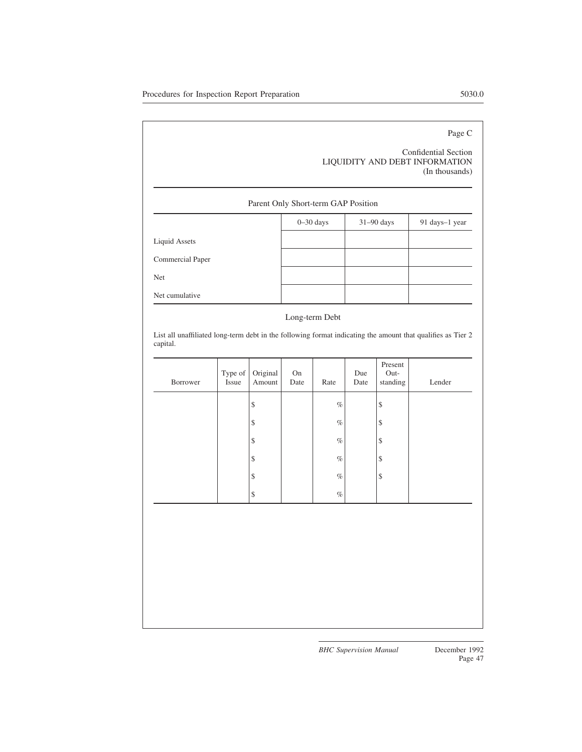# Page C

# Confidential Section LIQUIDITY AND DEBT INFORMATION (In thousands)

# Parent Only Short-term GAP Position

|                  | $0 - 30$ days | $31-90$ days | 91 days-1 year |
|------------------|---------------|--------------|----------------|
| Liquid Assets    |               |              |                |
| Commercial Paper |               |              |                |
| Net              |               |              |                |
| Net cumulative   |               |              |                |

# Long-term Debt

List all unaffiliated long-term debt in the following format indicating the amount that qualifies as Tier 2 capital.

| Borrower | Type of $\vert$<br>Issue | Original<br>Amount | On<br>Date | Rate | Due<br>Date | Present<br>Out-<br>standing | Lender |
|----------|--------------------------|--------------------|------------|------|-------------|-----------------------------|--------|
|          |                          | $\boldsymbol{\$}$  |            | $\%$ |             | \$                          |        |
|          |                          | $\boldsymbol{\$}$  |            | $\%$ |             | \$                          |        |
|          |                          | $\boldsymbol{\$}$  |            | $\%$ |             | \$                          |        |
|          |                          | $\mathbb{S}$       |            | $\%$ |             | \$                          |        |
|          |                          | $\mathbb{S}$       |            | $\%$ |             | \$                          |        |
|          |                          | $\mathbb S$        |            | $\%$ |             |                             |        |
|          |                          |                    |            |      |             |                             |        |
|          |                          |                    |            |      |             |                             |        |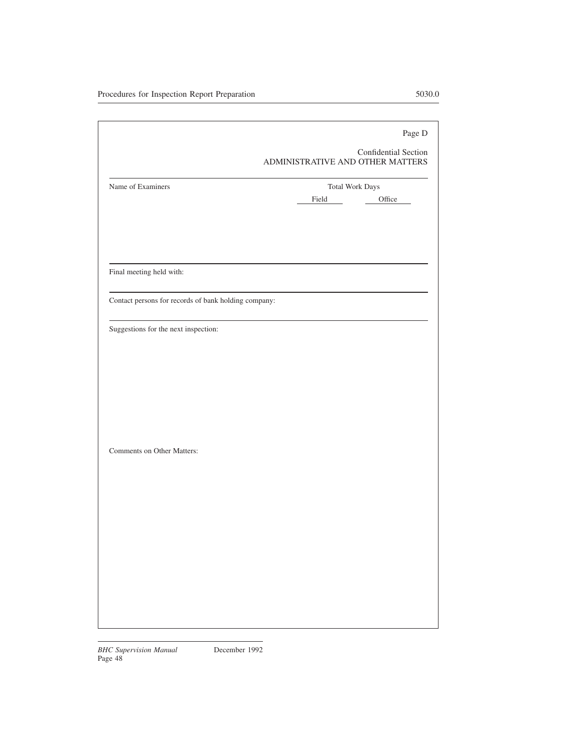|                                                      | Page D<br>Confidential Section   |
|------------------------------------------------------|----------------------------------|
|                                                      | ADMINISTRATIVE AND OTHER MATTERS |
| Name of Examiners                                    | <b>Total Work Days</b>           |
|                                                      | Office<br>Field                  |
|                                                      |                                  |
|                                                      |                                  |
|                                                      |                                  |
| Final meeting held with:                             |                                  |
| Contact persons for records of bank holding company: |                                  |
| Suggestions for the next inspection:                 |                                  |
|                                                      |                                  |
|                                                      |                                  |
|                                                      |                                  |
|                                                      |                                  |
|                                                      |                                  |
|                                                      |                                  |
| Comments on Other Matters:                           |                                  |
|                                                      |                                  |
|                                                      |                                  |
|                                                      |                                  |
|                                                      |                                  |
|                                                      |                                  |
|                                                      |                                  |
|                                                      |                                  |
|                                                      |                                  |
|                                                      |                                  |
|                                                      |                                  |
|                                                      |                                  |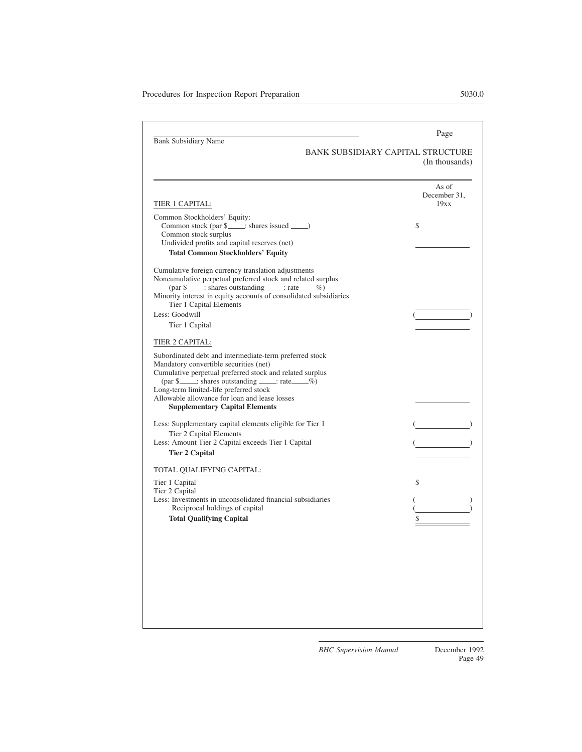| <b>Bank Subsidiary Name</b><br><b>BANK SUBSIDIARY CAPITAL STRUCTURE</b><br>TIER 1 CAPITAL:<br>Common Stockholders' Equity:<br>Common stock (par \$____; shares issued _____)<br>\$<br>Common stock surplus<br>Undivided profits and capital reserves (net)<br><b>Total Common Stockholders' Equity</b><br>Cumulative foreign currency translation adjustments<br>Noncumulative perpetual preferred stock and related surplus<br>Minority interest in equity accounts of consolidated subsidiaries<br>Tier 1 Capital Elements<br>Less: Goodwill<br>Tier 1 Capital<br>TIER 2 CAPITAL:<br>Subordinated debt and intermediate-term preferred stock<br>Mandatory convertible securities (net)<br>Cumulative perpetual preferred stock and related surplus<br>$\left(\text{par } \S \right)$ : shares outstanding _____: rate $\_\_\%$<br>Long-term limited-life preferred stock<br>Allowable allowance for loan and lease losses<br><b>Supplementary Capital Elements</b> | (In thousands)<br>As of<br>December 31,<br>19xx |
|----------------------------------------------------------------------------------------------------------------------------------------------------------------------------------------------------------------------------------------------------------------------------------------------------------------------------------------------------------------------------------------------------------------------------------------------------------------------------------------------------------------------------------------------------------------------------------------------------------------------------------------------------------------------------------------------------------------------------------------------------------------------------------------------------------------------------------------------------------------------------------------------------------------------------------------------------------------------|-------------------------------------------------|
|                                                                                                                                                                                                                                                                                                                                                                                                                                                                                                                                                                                                                                                                                                                                                                                                                                                                                                                                                                      |                                                 |
|                                                                                                                                                                                                                                                                                                                                                                                                                                                                                                                                                                                                                                                                                                                                                                                                                                                                                                                                                                      |                                                 |
|                                                                                                                                                                                                                                                                                                                                                                                                                                                                                                                                                                                                                                                                                                                                                                                                                                                                                                                                                                      |                                                 |
|                                                                                                                                                                                                                                                                                                                                                                                                                                                                                                                                                                                                                                                                                                                                                                                                                                                                                                                                                                      |                                                 |
|                                                                                                                                                                                                                                                                                                                                                                                                                                                                                                                                                                                                                                                                                                                                                                                                                                                                                                                                                                      |                                                 |
| Less: Supplementary capital elements eligible for Tier 1<br>Tier 2 Capital Elements<br>Less: Amount Tier 2 Capital exceeds Tier 1 Capital<br><b>Tier 2 Capital</b>                                                                                                                                                                                                                                                                                                                                                                                                                                                                                                                                                                                                                                                                                                                                                                                                   |                                                 |
| TOTAL QUALIFYING CAPITAL:<br>\$<br>Tier 1 Capital<br>Tier 2 Capital<br>Less: Investments in unconsolidated financial subsidiaries<br>Reciprocal holdings of capital<br><b>Total Qualifying Capital</b>                                                                                                                                                                                                                                                                                                                                                                                                                                                                                                                                                                                                                                                                                                                                                               |                                                 |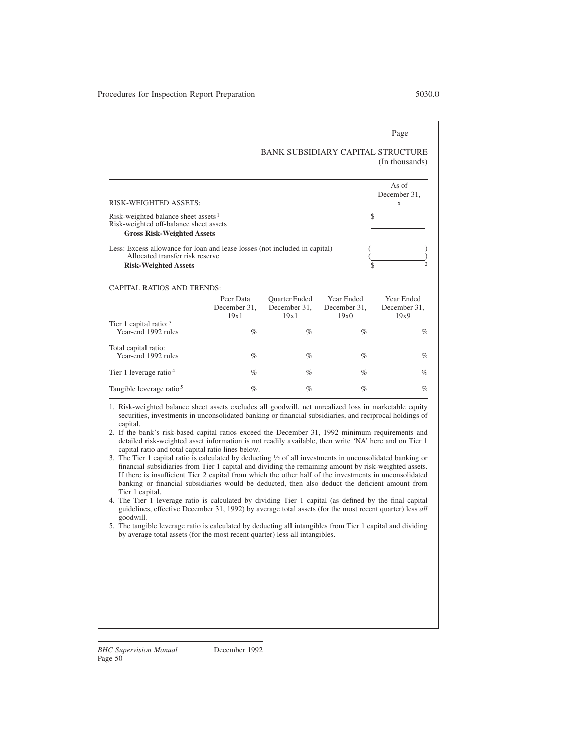|                                                                                                                                              |                                   |                                              |                                    | Page<br>BANK SUBSIDIARY CAPITAL STRUCTURE<br>(In thousands) |
|----------------------------------------------------------------------------------------------------------------------------------------------|-----------------------------------|----------------------------------------------|------------------------------------|-------------------------------------------------------------|
| RISK-WEIGHTED ASSETS:                                                                                                                        |                                   |                                              |                                    | As of<br>December 31,<br>X                                  |
| Risk-weighted balance sheet assets $1$<br>Risk-weighted off-balance sheet assets<br><b>Gross Risk-Weighted Assets</b>                        |                                   |                                              |                                    | \$                                                          |
| Less: Excess allowance for loan and lease losses (not included in capital)<br>Allocated transfer risk reserve<br><b>Risk-Weighted Assets</b> |                                   |                                              |                                    |                                                             |
| <b>CAPITAL RATIOS AND TRENDS:</b>                                                                                                            |                                   |                                              |                                    |                                                             |
|                                                                                                                                              | Peer Data<br>December 31,<br>19x1 | <b>Ouarter</b> Ended<br>December 31,<br>19x1 | Year Ended<br>December 31,<br>19x0 | Year Ended<br>December 31,<br>19x9                          |
| Tier 1 capital ratio: $3$<br>Year-end 1992 rules                                                                                             | $\%$                              | $\%$                                         | $\%$                               | $\%$                                                        |
| Total capital ratio:<br>Year-end 1992 rules                                                                                                  | $\%$                              | $\%$                                         | $\%$                               | $\%$                                                        |
| Tier 1 leverage ratio $4$                                                                                                                    | $\%$                              | $\%$                                         | $\%$                               | $\%$                                                        |
| Tangible leverage ratio <sup>5</sup>                                                                                                         | $\%$                              | $\%$                                         | $\%$                               | $\%$                                                        |

1. Risk-weighted balance sheet assets excludes all goodwill, net unrealized loss in marketable equity securities, investments in unconsolidated banking or financial subsidiaries, and reciprocal holdings of capital.

- 2. If the bank's risk-based capital ratios exceed the December 31, 1992 minimum requirements and detailed risk-weighted asset information is not readily available, then write 'NA' here and on Tier 1 capital ratio and total capital ratio lines below.
- 3. The Tier 1 capital ratio is calculated by deducting <sup>1</sup> ⁄<sup>2</sup> of all investments in unconsolidated banking or financial subsidiaries from Tier 1 capital and dividing the remaining amount by risk-weighted assets. If there is insufficient Tier 2 capital from which the other half of the investments in unconsolidated banking or financial subsidiaries would be deducted, then also deduct the deficient amount from Tier 1 capital.
- 4. The Tier 1 leverage ratio is calculated by dividing Tier 1 capital (as defined by the final capital guidelines, effective December 31, 1992) by average total assets (for the most recent quarter) less *all* goodwill.
- 5. The tangible leverage ratio is calculated by deducting all intangibles from Tier 1 capital and dividing by average total assets (for the most recent quarter) less all intangibles.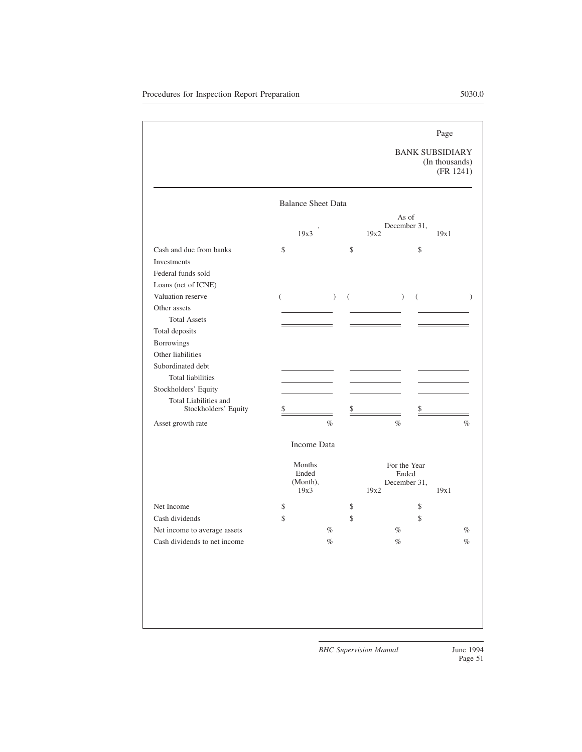BANK SUBSIDIARY (In thousands) (FR 1241)

|                                               | <b>Balance Sheet Data</b>           |               |      |                                       |      |      |
|-----------------------------------------------|-------------------------------------|---------------|------|---------------------------------------|------|------|
|                                               | 19x3                                |               | 19x2 | As of<br>December 31,                 | 19x1 |      |
| Cash and due from banks                       | \$                                  |               | \$   | \$                                    |      |      |
| Investments                                   |                                     |               |      |                                       |      |      |
| Federal funds sold                            |                                     |               |      |                                       |      |      |
| Loans (net of ICNE)                           |                                     |               |      |                                       |      |      |
| Valuation reserve                             | $\left($                            | $\mathcal{L}$ | (    | $\lambda$<br>$\left($                 |      |      |
| Other assets                                  |                                     |               |      |                                       |      |      |
| <b>Total Assets</b>                           |                                     |               |      |                                       |      |      |
| Total deposits                                |                                     |               |      |                                       |      |      |
| <b>Borrowings</b>                             |                                     |               |      |                                       |      |      |
| Other liabilities                             |                                     |               |      |                                       |      |      |
| Subordinated debt                             |                                     |               |      |                                       |      |      |
| <b>Total liabilities</b>                      |                                     |               |      |                                       |      |      |
| Stockholders' Equity                          |                                     |               |      |                                       |      |      |
| Total Liabilities and<br>Stockholders' Equity | \$                                  |               | \$   | S                                     |      |      |
| Asset growth rate                             |                                     | $\%$          |      | $\%$                                  |      | $\%$ |
|                                               | Income Data                         |               |      |                                       |      |      |
|                                               | Months<br>Ended<br>(Month),<br>19x3 |               | 19x2 | For the Year<br>Ended<br>December 31, | 19x1 |      |
| Net Income                                    | \$                                  |               | \$   | \$                                    |      |      |
| Cash dividends                                | \$                                  |               | \$   | \$                                    |      |      |
| Net income to average assets                  |                                     | $\%$          |      | $\%$                                  |      | $\%$ |
| Cash dividends to net income                  |                                     | $\%$          |      | $\%$                                  |      | $\%$ |
|                                               |                                     |               |      |                                       |      |      |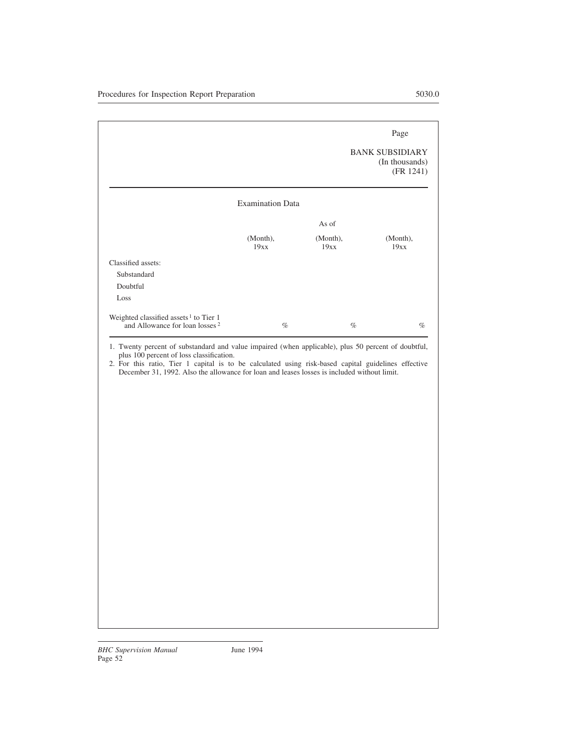|                                                                                                 |                         |                  | Page                                                  |
|-------------------------------------------------------------------------------------------------|-------------------------|------------------|-------------------------------------------------------|
|                                                                                                 |                         |                  | <b>BANK SUBSIDIARY</b><br>(In thousands)<br>(FR 1241) |
|                                                                                                 | <b>Examination Data</b> |                  |                                                       |
|                                                                                                 |                         | As of            |                                                       |
|                                                                                                 | (Month),<br>19xx        | (Month),<br>19xx | (Month),<br>19xx                                      |
| Classified assets:                                                                              |                         |                  |                                                       |
| Substandard                                                                                     |                         |                  |                                                       |
| Doubtful                                                                                        |                         |                  |                                                       |
| Loss                                                                                            |                         |                  |                                                       |
| Weighted classified assets <sup>1</sup> to Tier 1<br>and Allowance for loan losses <sup>2</sup> | $\%$                    |                  | $\%$<br>$\%$                                          |

1. Twenty percent of substandard and value impaired (when applicable), plus 50 percent of doubtful, plus 100 percent of loss classification.

2. For this ratio, Tier 1 capital is to be calculated using risk-based capital guidelines effective December 31, 1992. Also the allowance for loan and leases losses is included without limit.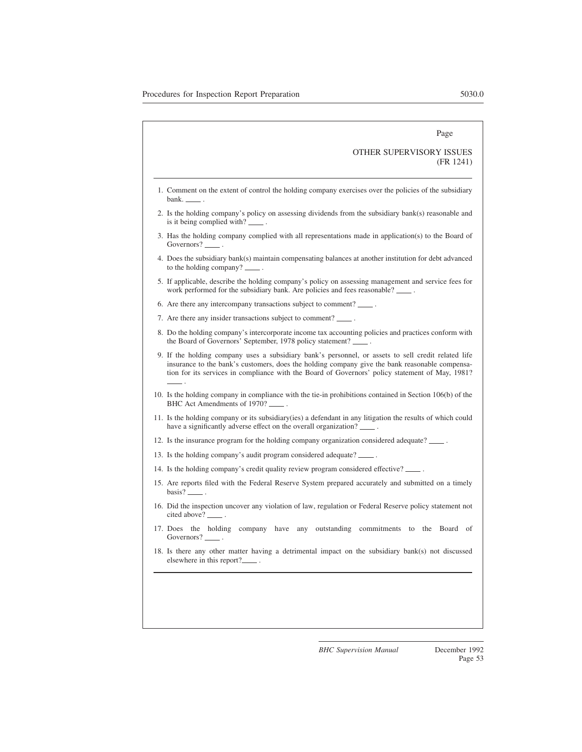# OTHER SUPERVISORY ISSUES (FR 1241)

- 1. Comment on the extent of control the holding company exercises over the policies of the subsidiary bank.  $\overline{\phantom{a}}$
- 2. Is the holding company's policy on assessing dividends from the subsidiary bank(s) reasonable and is it being complied with?
- 3. Has the holding company complied with all representations made in application(s) to the Board of Governors? \_
- 4. Does the subsidiary bank(s) maintain compensating balances at another institution for debt advanced to the holding company? \_\_\_\_\_.
- 5. If applicable, describe the holding company's policy on assessing management and service fees for work performed for the subsidiary bank. Are policies and fees reasonable?
- 6. Are there any intercompany transactions subject to comment? .
- 7. Are there any insider transactions subject to comment? .
- 8. Do the holding company's intercorporate income tax accounting policies and practices conform with the Board of Governors' September, 1978 policy statement?
- 9. If the holding company uses a subsidiary bank's personnel, or assets to sell credit related life insurance to the bank's customers, does the holding company give the bank reasonable compensation for its services in compliance with the Board of Governors' policy statement of May, 1981? .
- 10. Is the holding company in compliance with the tie-in prohibitions contained in Section 106(b) of the BHC Act Amendments of 1970? .
- 11. Is the holding company or its subsidiary(ies) a defendant in any litigation the results of which could have a significantly adverse effect on the overall organization?
- 12. Is the insurance program for the holding company organization considered adequate? .
- 13. Is the holding company's audit program considered adequate?
- 14. Is the holding company's credit quality review program considered effective? .
- 15. Are reports filed with the Federal Reserve System prepared accurately and submitted on a timely basis? .
- 16. Did the inspection uncover any violation of law, regulation or Federal Reserve policy statement not cited above? \_\_\_\_\_.
- 17. Does the holding company have any outstanding commitments to the Board of Governors? \_
- 18. Is there any other matter having a detrimental impact on the subsidiary bank(s) not discussed elsewhere in this report?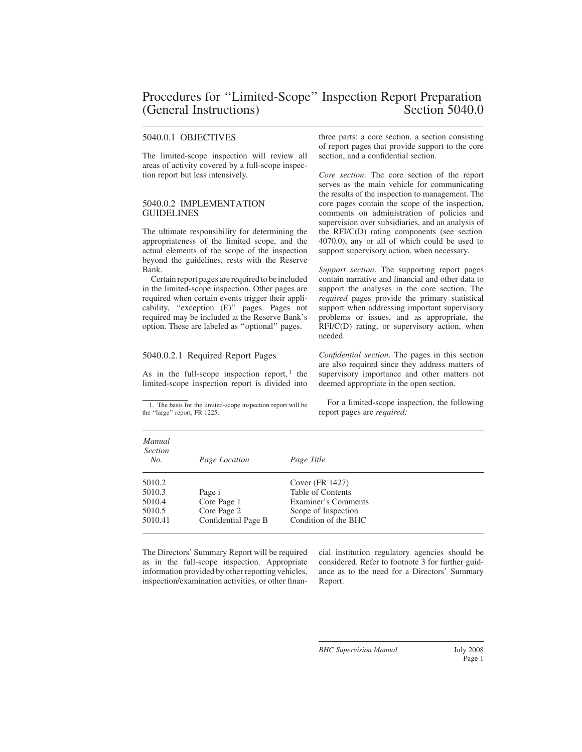# 5040.0.1 OBJECTIVES

The limited-scope inspection will review all areas of activity covered by a full-scope inspection report but less intensively.

# 5040.0.2 IMPLEMENTATION **GUIDELINES**

The ultimate responsibility for determining the appropriateness of the limited scope, and the actual elements of the scope of the inspection beyond the guidelines, rests with the Reserve Bank.

Certain report pages are required to be included in the limited-scope inspection. Other pages are required when certain events trigger their applicability, ''exception (E)'' pages. Pages not required may be included at the Reserve Bank's option. These are labeled as ''optional'' pages.

# 5040.0.2.1 Required Report Pages

As in the full-scope inspection report, $<sup>1</sup>$  the</sup> limited-scope inspection report is divided into three parts: a core section, a section consisting of report pages that provide support to the core section, and a confidential section.

*Core section*. The core section of the report serves as the main vehicle for communicating the results of the inspection to management. The core pages contain the scope of the inspection, comments on administration of policies and supervision over subsidiaries, and an analysis of the RFI/C(D) rating components (see section 4070.0), any or all of which could be used to support supervisory action, when necessary.

*Support section*. The supporting report pages contain narrative and financial and other data to support the analyses in the core section. The *required* pages provide the primary statistical support when addressing important supervisory problems or issues, and as appropriate, the RFI/C(D) rating, or supervisory action, when needed.

*Confidential section*. The pages in this section are also required since they address matters of supervisory importance and other matters not deemed appropriate in the open section.

For a limited-scope inspection, the following report pages are *required:*

| Manual<br><b>Section</b><br>No. | Page Location       | Page Title           |
|---------------------------------|---------------------|----------------------|
| 5010.2                          |                     | Cover (FR 1427)      |
| 5010.3                          | Page i              | Table of Contents    |
| 5010.4                          | Core Page 1         | Examiner's Comments  |
| 5010.5                          | Core Page 2         | Scope of Inspection  |
| 5010.41                         | Confidential Page B | Condition of the BHC |

The Directors' Summary Report will be required as in the full-scope inspection. Appropriate information provided by other reporting vehicles, inspection/examination activities, or other financial institution regulatory agencies should be considered. Refer to footnote 3 for further guidance as to the need for a Directors' Summary Report.

<sup>1.</sup> The basis for the limited-scope inspection report will be the ''large'' report, FR 1225.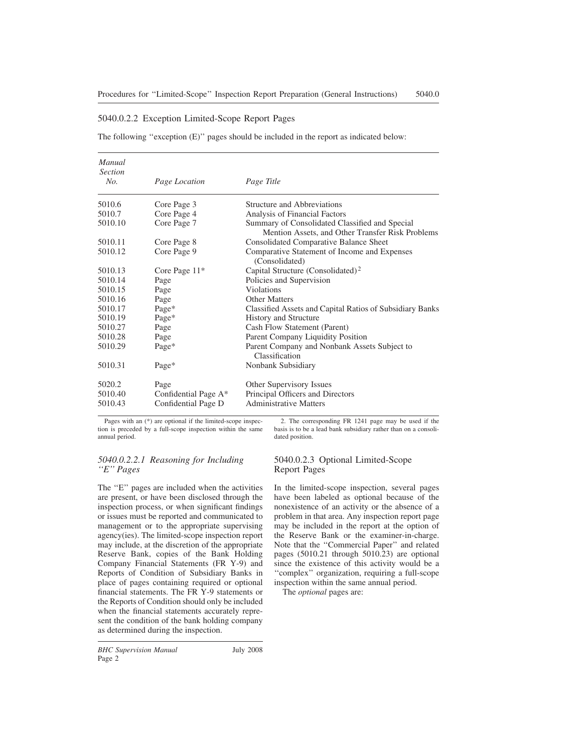# 5040.0.2.2 Exception Limited-Scope Report Pages

The following ''exception (E)'' pages should be included in the report as indicated below:

| Manual<br><b>Section</b> |                      |                                                                                                    |
|--------------------------|----------------------|----------------------------------------------------------------------------------------------------|
| No.                      | Page Location        | Page Title                                                                                         |
| 5010.6                   | Core Page 3          | Structure and Abbreviations                                                                        |
| 5010.7                   | Core Page 4          | Analysis of Financial Factors                                                                      |
| 5010.10                  | Core Page 7          | Summary of Consolidated Classified and Special<br>Mention Assets, and Other Transfer Risk Problems |
| 5010.11                  | Core Page 8          | <b>Consolidated Comparative Balance Sheet</b>                                                      |
| 5010.12                  | Core Page 9          | Comparative Statement of Income and Expenses<br>(Consolidated)                                     |
| 5010.13                  | Core Page $11*$      | Capital Structure (Consolidated) <sup>2</sup>                                                      |
| 5010.14                  | Page                 | Policies and Supervision                                                                           |
| 5010.15                  | Page                 | Violations                                                                                         |
| 5010.16                  | Page                 | <b>Other Matters</b>                                                                               |
| 5010.17                  | Page*                | Classified Assets and Capital Ratios of Subsidiary Banks                                           |
| 5010.19                  | Page*                | <b>History and Structure</b>                                                                       |
| 5010.27                  | Page                 | Cash Flow Statement (Parent)                                                                       |
| 5010.28                  | Page                 | Parent Company Liquidity Position                                                                  |
| 5010.29                  | Page*                | Parent Company and Nonbank Assets Subject to<br>Classification                                     |
| 5010.31                  | Page*                | Nonbank Subsidiary                                                                                 |
| 5020.2                   | Page                 | Other Supervisory Issues                                                                           |
| 5010.40                  | Confidential Page A* | Principal Officers and Directors                                                                   |
| 5010.43                  | Confidential Page D  | <b>Administrative Matters</b>                                                                      |

Pages with an (\*) are optional if the limited-scope inspection is preceded by a full-scope inspection within the same annual period.

# *5040.0.2.2.1 Reasoning for Including ''E'' Pages*

The ''E'' pages are included when the activities are present, or have been disclosed through the inspection process, or when significant findings or issues must be reported and communicated to management or to the appropriate supervising agency(ies). The limited-scope inspection report may include, at the discretion of the appropriate Reserve Bank, copies of the Bank Holding Company Financial Statements (FR Y-9) and Reports of Condition of Subsidiary Banks in place of pages containing required or optional financial statements. The FR Y-9 statements or the Reports of Condition should only be included when the financial statements accurately represent the condition of the bank holding company as determined during the inspection.

dated position.

2. The corresponding FR 1241 page may be used if the basis is to be a lead bank subsidiary rather than on a consoli-

# 5040.0.2.3 Optional Limited-Scope Report Pages

In the limited-scope inspection, several pages have been labeled as optional because of the nonexistence of an activity or the absence of a problem in that area. Any inspection report page may be included in the report at the option of the Reserve Bank or the examiner-in-charge. Note that the ''Commercial Paper'' and related pages (5010.21 through 5010.23) are optional since the existence of this activity would be a ''complex'' organization, requiring a full-scope inspection within the same annual period.

The *optional* pages are: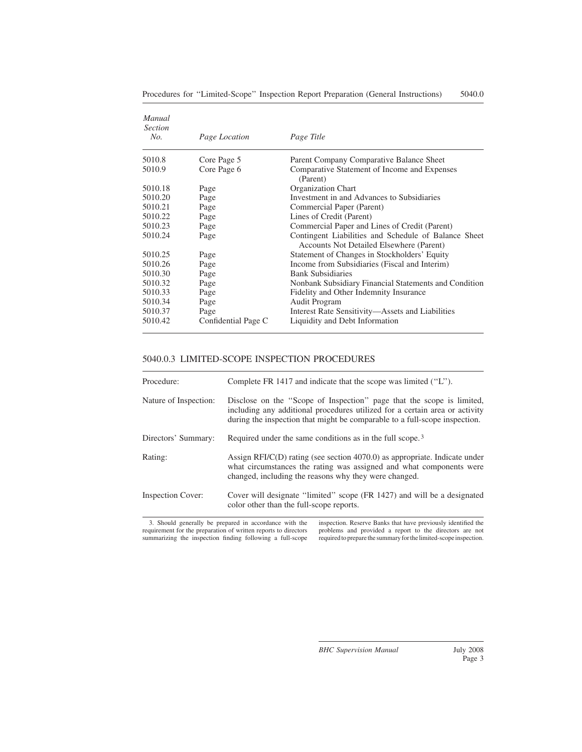| Manual<br><b>Section</b><br>No. | Page Location       | Page Title                                                                                       |
|---------------------------------|---------------------|--------------------------------------------------------------------------------------------------|
|                                 |                     |                                                                                                  |
| 5010.8                          | Core Page 5         | Parent Company Comparative Balance Sheet                                                         |
| 5010.9                          | Core Page 6         | Comparative Statement of Income and Expenses<br>(Parent)                                         |
| 5010.18                         | Page                | Organization Chart                                                                               |
| 5010.20                         | Page                | Investment in and Advances to Subsidiaries                                                       |
| 5010.21                         | Page                | Commercial Paper (Parent)                                                                        |
| 5010.22                         | Page                | Lines of Credit (Parent)                                                                         |
| 5010.23                         | Page                | Commercial Paper and Lines of Credit (Parent)                                                    |
| 5010.24                         | Page                | Contingent Liabilities and Schedule of Balance Sheet<br>Accounts Not Detailed Elsewhere (Parent) |
| 5010.25                         | Page                | Statement of Changes in Stockholders' Equity                                                     |
| 5010.26                         | Page                | Income from Subsidiaries (Fiscal and Interim)                                                    |
| 5010.30                         | Page                | <b>Bank Subsidiaries</b>                                                                         |
| 5010.32                         | Page                | Nonbank Subsidiary Financial Statements and Condition                                            |
| 5010.33                         | Page                | Fidelity and Other Indemnity Insurance                                                           |
| 5010.34                         | Page                | Audit Program                                                                                    |
| 5010.37                         | Page                | Interest Rate Sensitivity—Assets and Liabilities                                                 |
| 5010.42                         | Confidential Page C | Liquidity and Debt Information                                                                   |

# 5040.0.3 LIMITED-SCOPE INSPECTION PROCEDURES

| Procedure:               | Complete FR 1417 and indicate that the scope was limited ("L").                                                                                                                                                                    |
|--------------------------|------------------------------------------------------------------------------------------------------------------------------------------------------------------------------------------------------------------------------------|
|                          |                                                                                                                                                                                                                                    |
| Nature of Inspection:    | Disclose on the "Scope of Inspection" page that the scope is limited,<br>including any additional procedures utilized for a certain area or activity<br>during the inspection that might be comparable to a full-scope inspection. |
| Directors' Summary:      | Required under the same conditions as in the full scope. <sup>3</sup>                                                                                                                                                              |
| Rating:                  | Assign RFI/ $C(D)$ rating (see section 4070.0) as appropriate. Indicate under<br>what circumstances the rating was assigned and what components were<br>changed, including the reasons why they were changed.                      |
| <b>Inspection Cover:</b> | Cover will designate "limited" scope (FR 1427) and will be a designated<br>color other than the full-scope reports.                                                                                                                |

3. Should generally be prepared in accordance with the requirement for the preparation of written reports to directors summarizing the inspection finding following a full-scope inspection. Reserve Banks that have previously identified the problems and provided a report to the directors are not required to prepare the summary for the limited-scope inspection.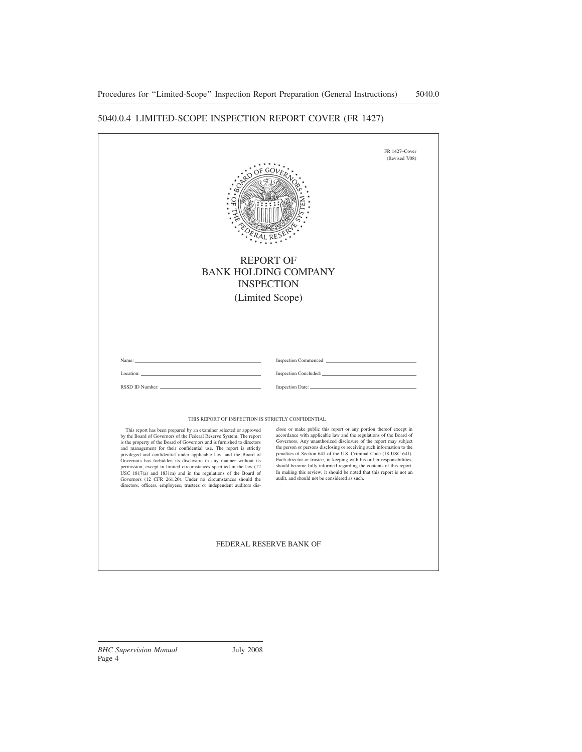# 5040.0.4 LIMITED-SCOPE INSPECTION REPORT COVER (FR 1427)

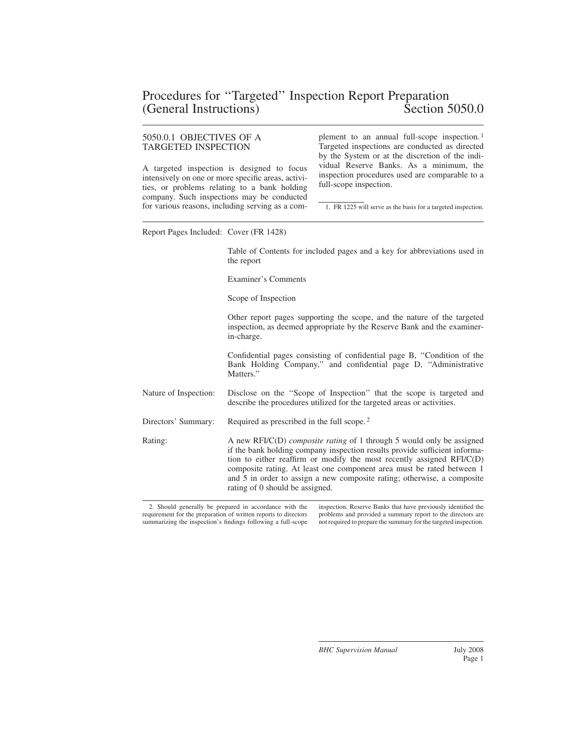# 5050.0.1 OBJECTIVES OF A TARGETED INSPECTION

A targeted inspection is designed to focus intensively on one or more specific areas, activities, or problems relating to a bank holding company. Such inspections may be conducted for various reasons, including serving as a complement to an annual full-scope inspection. <sup>1</sup> Targeted inspections are conducted as directed by the System or at the discretion of the individual Reserve Banks. As a minimum, the inspection procedures used are comparable to a full-scope inspection.

1. FR 1225 will serve as the basis for a targeted inspection.

Report Pages Included: Cover (FR 1428)

Table of Contents for included pages and a key for abbreviations used in the report

Examiner's Comments

Scope of Inspection

Other report pages supporting the scope, and the nature of the targeted inspection, as deemed appropriate by the Reserve Bank and the examinerin-charge.

Confidential pages consisting of confidential page B, ''Condition of the Bank Holding Company,'' and confidential page D, ''Administrative Matters.''

Nature of Inspection: Disclose on the ''Scope of Inspection'' that the scope is targeted and describe the procedures utilized for the targeted areas or activities.

Directors' Summary: Required as prescribed in the full scope.<sup>2</sup>

Rating: A new RFI/C(D) *composite rating* of 1 through 5 would only be assigned if the bank holding company inspection results provide sufficient information to either reaffirm or modify the most recently assigned RFI/C(D) composite rating. At least one component area must be rated between 1 and 5 in order to assign a new composite rating; otherwise, a composite rating of 0 should be assigned.

2. Should generally be prepared in accordance with the requirement for the preparation of written reports to directors summarizing the inspection's findings following a full-scope

inspection. Reserve Banks that have previously identified the problems and provided a summary report to the directors are not required to prepare the summary for the targeted inspection.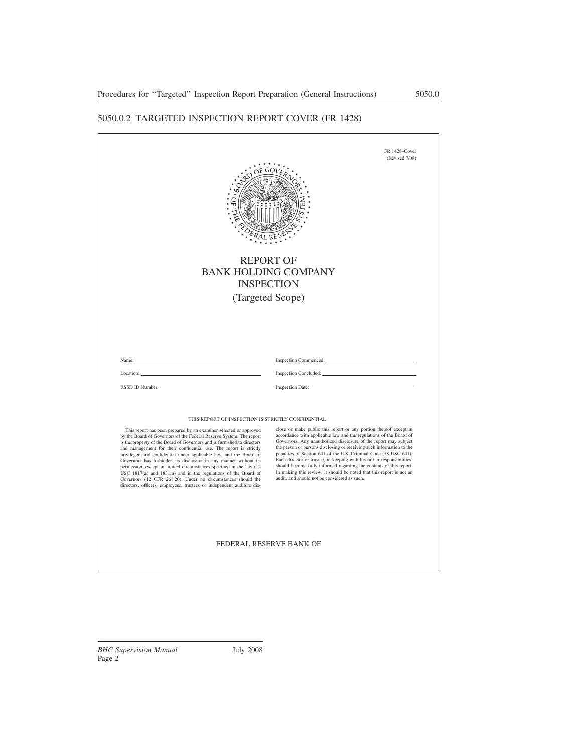# 5050.0.2 TARGETED INSPECTION REPORT COVER (FR 1428)

|                                                                                                                                                                                                                                                                                                                                                                                                                                                                                                                                                                                                                                                                                                                      | (Revised 7/08)<br><b>REPORT OF</b><br><b>BANK HOLDING COMPANY</b><br><b>INSPECTION</b><br>(Targeted Scope)                                                                                                                                                                                                                                                                                                                                                                                                                                                                                                                        |
|----------------------------------------------------------------------------------------------------------------------------------------------------------------------------------------------------------------------------------------------------------------------------------------------------------------------------------------------------------------------------------------------------------------------------------------------------------------------------------------------------------------------------------------------------------------------------------------------------------------------------------------------------------------------------------------------------------------------|-----------------------------------------------------------------------------------------------------------------------------------------------------------------------------------------------------------------------------------------------------------------------------------------------------------------------------------------------------------------------------------------------------------------------------------------------------------------------------------------------------------------------------------------------------------------------------------------------------------------------------------|
| Name:<br>Location:                                                                                                                                                                                                                                                                                                                                                                                                                                                                                                                                                                                                                                                                                                   | Inspection Commenced:                                                                                                                                                                                                                                                                                                                                                                                                                                                                                                                                                                                                             |
| THIS REPORT OF INSPECTION IS STRICTLY CONFIDENTIAL                                                                                                                                                                                                                                                                                                                                                                                                                                                                                                                                                                                                                                                                   |                                                                                                                                                                                                                                                                                                                                                                                                                                                                                                                                                                                                                                   |
| This report has been prepared by an examiner selected or approved<br>by the Board of Governors of the Federal Reserve System. The report<br>is the property of the Board of Governors and is furnished to directors<br>and management for their confidential use. The report is strictly<br>privileged and confidential under applicable law, and the Board of<br>Governors has forbidden its disclosure in any manner without its<br>permission, except in limited circumstances specified in the law (12<br>USC 1817(a) and 1831m) and in the regulations of the Board of<br>Governors (12 CFR 261.20). Under no circumstances should the<br>directors, officers, employees, trustees or independent auditors dis- | close or make public this report or any portion thereof except in<br>accordance with applicable law and the regulations of the Board of<br>Governors. Any unauthorized disclosure of the report may subject<br>the person or persons disclosing or receiving such information to the<br>penalties of Section 641 of the U.S. Criminal Code (18 USC 641).<br>Each director or trustee, in keeping with his or her responsibilities,<br>should become fully informed regarding the contents of this report.<br>In making this review, it should be noted that this report is not an<br>audit, and should not be considered as such. |
|                                                                                                                                                                                                                                                                                                                                                                                                                                                                                                                                                                                                                                                                                                                      | FEDERAL RESERVE BANK OF                                                                                                                                                                                                                                                                                                                                                                                                                                                                                                                                                                                                           |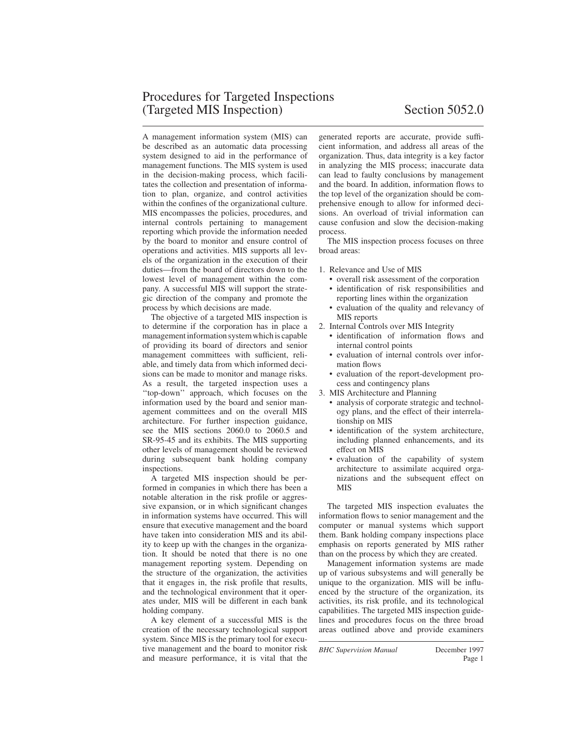A management information system (MIS) can be described as an automatic data processing system designed to aid in the performance of management functions. The MIS system is used in the decision-making process, which facilitates the collection and presentation of information to plan, organize, and control activities within the confines of the organizational culture. MIS encompasses the policies, procedures, and internal controls pertaining to management reporting which provide the information needed by the board to monitor and ensure control of operations and activities. MIS supports all levels of the organization in the execution of their duties—from the board of directors down to the lowest level of management within the company. A successful MIS will support the strategic direction of the company and promote the process by which decisions are made.

The objective of a targeted MIS inspection is to determine if the corporation has in place a management information system which is capable of providing its board of directors and senior management committees with sufficient, reliable, and timely data from which informed decisions can be made to monitor and manage risks. As a result, the targeted inspection uses a ''top-down'' approach, which focuses on the information used by the board and senior management committees and on the overall MIS architecture. For further inspection guidance, see the MIS sections 2060.0 to 2060.5 and SR-95-45 and its exhibits. The MIS supporting other levels of management should be reviewed during subsequent bank holding company inspections.

A targeted MIS inspection should be performed in companies in which there has been a notable alteration in the risk profile or aggressive expansion, or in which significant changes in information systems have occurred. This will ensure that executive management and the board have taken into consideration MIS and its ability to keep up with the changes in the organization. It should be noted that there is no one management reporting system. Depending on the structure of the organization, the activities that it engages in, the risk profile that results, and the technological environment that it operates under, MIS will be different in each bank holding company.

A key element of a successful MIS is the creation of the necessary technological support system. Since MIS is the primary tool for executive management and the board to monitor risk and measure performance, it is vital that the generated reports are accurate, provide sufficient information, and address all areas of the organization. Thus, data integrity is a key factor in analyzing the MIS process; inaccurate data can lead to faulty conclusions by management and the board. In addition, information flows to the top level of the organization should be comprehensive enough to allow for informed decisions. An overload of trivial information can cause confusion and slow the decision-making process.

The MIS inspection process focuses on three broad areas:

- 1. Relevance and Use of MIS
	- overall risk assessment of the corporation
	- identification of risk responsibilities and reporting lines within the organization
	- evaluation of the quality and relevancy of MIS reports
- 2. Internal Controls over MIS Integrity
	- identification of information flows and internal control points
	- evaluation of internal controls over information flows
	- evaluation of the report-development process and contingency plans
- 3. MIS Architecture and Planning
	- analysis of corporate strategic and technology plans, and the effect of their interrelationship on MIS
	- identification of the system architecture, including planned enhancements, and its effect on MIS
	- evaluation of the capability of system architecture to assimilate acquired organizations and the subsequent effect on MIS

The targeted MIS inspection evaluates the information flows to senior management and the computer or manual systems which support them. Bank holding company inspections place emphasis on reports generated by MIS rather than on the process by which they are created.

Management information systems are made up of various subsystems and will generally be unique to the organization. MIS will be influenced by the structure of the organization, its activities, its risk profile, and its technological capabilities. The targeted MIS inspection guidelines and procedures focus on the three broad areas outlined above and provide examiners

*BHC Supervision Manual* December 1997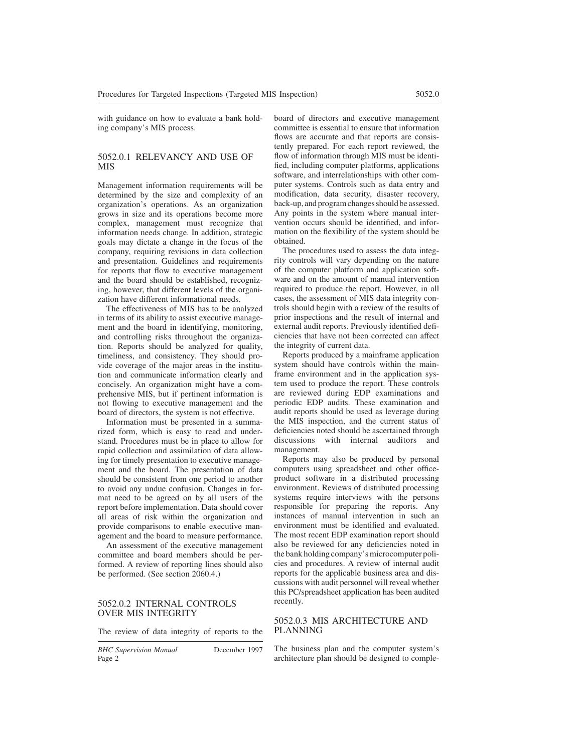with guidance on how to evaluate a bank holding company's MIS process.

# 5052.0.1 RELEVANCY AND USE OF MIS

Management information requirements will be determined by the size and complexity of an organization's operations. As an organization grows in size and its operations become more complex, management must recognize that information needs change. In addition, strategic goals may dictate a change in the focus of the company, requiring revisions in data collection and presentation. Guidelines and requirements for reports that flow to executive management and the board should be established, recognizing, however, that different levels of the organization have different informational needs.

The effectiveness of MIS has to be analyzed in terms of its ability to assist executive management and the board in identifying, monitoring, and controlling risks throughout the organization. Reports should be analyzed for quality, timeliness, and consistency. They should provide coverage of the major areas in the institution and communicate information clearly and concisely. An organization might have a comprehensive MIS, but if pertinent information is not flowing to executive management and the board of directors, the system is not effective.

Information must be presented in a summarized form, which is easy to read and understand. Procedures must be in place to allow for rapid collection and assimilation of data allowing for timely presentation to executive management and the board. The presentation of data should be consistent from one period to another to avoid any undue confusion. Changes in format need to be agreed on by all users of the report before implementation. Data should cover all areas of risk within the organization and provide comparisons to enable executive management and the board to measure performance.

An assessment of the executive management committee and board members should be performed. A review of reporting lines should also be performed. (See section 2060.4.)

#### 5052.0.2 INTERNAL CONTROLS OVER MIS INTEGRITY

The review of data integrity of reports to the

*BHC Supervision Manual* December 1997 Page 2

board of directors and executive management committee is essential to ensure that information flows are accurate and that reports are consistently prepared. For each report reviewed, the flow of information through MIS must be identified, including computer platforms, applications software, and interrelationships with other computer systems. Controls such as data entry and modification, data security, disaster recovery, back-up, and program changes should be assessed. Any points in the system where manual intervention occurs should be identified, and information on the flexibility of the system should be obtained.

The procedures used to assess the data integrity controls will vary depending on the nature of the computer platform and application software and on the amount of manual intervention required to produce the report. However, in all cases, the assessment of MIS data integrity controls should begin with a review of the results of prior inspections and the result of internal and external audit reports. Previously identified deficiencies that have not been corrected can affect the integrity of current data.

Reports produced by a mainframe application system should have controls within the mainframe environment and in the application system used to produce the report. These controls are reviewed during EDP examinations and periodic EDP audits. These examination and audit reports should be used as leverage during the MIS inspection, and the current status of deficiencies noted should be ascertained through discussions with internal auditors and management.

Reports may also be produced by personal computers using spreadsheet and other officeproduct software in a distributed processing environment. Reviews of distributed processing systems require interviews with the persons responsible for preparing the reports. Any instances of manual intervention in such an environment must be identified and evaluated. The most recent EDP examination report should also be reviewed for any deficiencies noted in the bank holding company's microcomputer policies and procedures. A review of internal audit reports for the applicable business area and discussions with audit personnel will reveal whether this PC/spreadsheet application has been audited recently.

# 5052.0.3 MIS ARCHITECTURE AND PLANNING

The business plan and the computer system's architecture plan should be designed to comple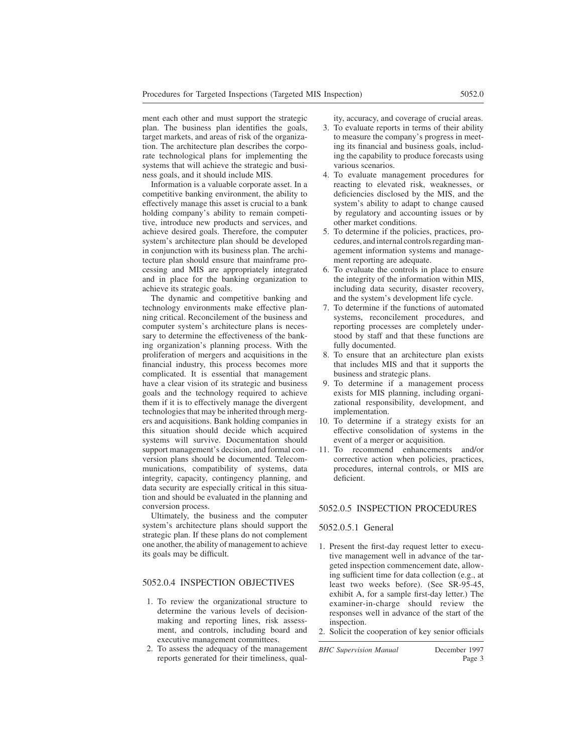ment each other and must support the strategic plan. The business plan identifies the goals, target markets, and areas of risk of the organization. The architecture plan describes the corporate technological plans for implementing the systems that will achieve the strategic and business goals, and it should include MIS.

Information is a valuable corporate asset. In a competitive banking environment, the ability to effectively manage this asset is crucial to a bank holding company's ability to remain competitive, introduce new products and services, and achieve desired goals. Therefore, the computer system's architecture plan should be developed in conjunction with its business plan. The architecture plan should ensure that mainframe processing and MIS are appropriately integrated and in place for the banking organization to achieve its strategic goals.

The dynamic and competitive banking and technology environments make effective planning critical. Reconcilement of the business and computer system's architecture plans is necessary to determine the effectiveness of the banking organization's planning process. With the proliferation of mergers and acquisitions in the financial industry, this process becomes more complicated. It is essential that management have a clear vision of its strategic and business goals and the technology required to achieve them if it is to effectively manage the divergent technologies that may be inherited through mergers and acquisitions. Bank holding companies in this situation should decide which acquired systems will survive. Documentation should support management's decision, and formal conversion plans should be documented. Telecommunications, compatibility of systems, data integrity, capacity, contingency planning, and data security are especially critical in this situation and should be evaluated in the planning and conversion process.

Ultimately, the business and the computer system's architecture plans should support the strategic plan. If these plans do not complement one another, the ability of management to achieve its goals may be difficult.

# 5052.0.4 INSPECTION OBJECTIVES

- 1. To review the organizational structure to determine the various levels of decisionmaking and reporting lines, risk assessment, and controls, including board and executive management committees.
- 2. To assess the adequacy of the management reports generated for their timeliness, qual-

ity, accuracy, and coverage of crucial areas.

- 3. To evaluate reports in terms of their ability to measure the company's progress in meeting its financial and business goals, including the capability to produce forecasts using various scenarios.
- 4. To evaluate management procedures for reacting to elevated risk, weaknesses, or deficiencies disclosed by the MIS, and the system's ability to adapt to change caused by regulatory and accounting issues or by other market conditions.
- 5. To determine if the policies, practices, procedures, and internal controls regarding management information systems and management reporting are adequate.
- 6. To evaluate the controls in place to ensure the integrity of the information within MIS, including data security, disaster recovery, and the system's development life cycle.
- 7. To determine if the functions of automated systems, reconcilement procedures, and reporting processes are completely understood by staff and that these functions are fully documented.
- 8. To ensure that an architecture plan exists that includes MIS and that it supports the business and strategic plans.
- 9. To determine if a management process exists for MIS planning, including organizational responsibility, development, and implementation.
- 10. To determine if a strategy exists for an effective consolidation of systems in the event of a merger or acquisition.
- 11. To recommend enhancements and/or corrective action when policies, practices, procedures, internal controls, or MIS are deficient.

#### 5052.0.5 INSPECTION PROCEDURES

#### 5052.0.5.1 General

- 1. Present the first-day request letter to executive management well in advance of the targeted inspection commencement date, allowing sufficient time for data collection (e.g., at least two weeks before). (See SR-95-45, exhibit A, for a sample first-day letter.) The examiner-in-charge should review the responses well in advance of the start of the inspection.
- 2. Solicit the cooperation of key senior officials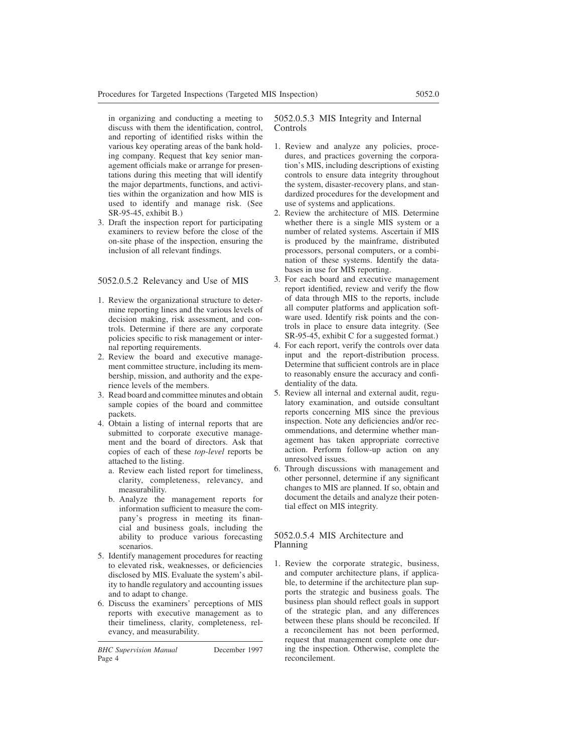in organizing and conducting a meeting to discuss with them the identification, control, and reporting of identified risks within the various key operating areas of the bank holding company. Request that key senior management officials make or arrange for presentations during this meeting that will identify the major departments, functions, and activities within the organization and how MIS is used to identify and manage risk. (See SR-95-45, exhibit B.)

3. Draft the inspection report for participating examiners to review before the close of the on-site phase of the inspection, ensuring the inclusion of all relevant findings.

# 5052.0.5.2 Relevancy and Use of MIS

- 1. Review the organizational structure to determine reporting lines and the various levels of decision making, risk assessment, and controls. Determine if there are any corporate policies specific to risk management or internal reporting requirements.
- 2. Review the board and executive management committee structure, including its membership, mission, and authority and the experience levels of the members.
- 3. Read board and committee minutes and obtain sample copies of the board and committee packets.
- 4. Obtain a listing of internal reports that are submitted to corporate executive management and the board of directors. Ask that copies of each of these *top-level* reports be attached to the listing.
	- a. Review each listed report for timeliness, clarity, completeness, relevancy, and measurability.
	- b. Analyze the management reports for information sufficient to measure the company's progress in meeting its financial and business goals, including the ability to produce various forecasting scenarios.
- 5. Identify management procedures for reacting to elevated risk, weaknesses, or deficiencies disclosed by MIS. Evaluate the system's ability to handle regulatory and accounting issues and to adapt to change.
- 6. Discuss the examiners' perceptions of MIS reports with executive management as to their timeliness, clarity, completeness, relevancy, and measurability.

# 5052.0.5.3 MIS Integrity and Internal Controls

- 1. Review and analyze any policies, procedures, and practices governing the corporation's MIS, including descriptions of existing controls to ensure data integrity throughout the system, disaster-recovery plans, and standardized procedures for the development and use of systems and applications.
- 2. Review the architecture of MIS. Determine whether there is a single MIS system or a number of related systems. Ascertain if MIS is produced by the mainframe, distributed processors, personal computers, or a combination of these systems. Identify the databases in use for MIS reporting.
- 3. For each board and executive management report identified, review and verify the flow of data through MIS to the reports, include all computer platforms and application software used. Identify risk points and the controls in place to ensure data integrity. (See SR-95-45, exhibit C for a suggested format.)
- 4. For each report, verify the controls over data input and the report-distribution process. Determine that sufficient controls are in place to reasonably ensure the accuracy and confidentiality of the data.
- 5. Review all internal and external audit, regulatory examination, and outside consultant reports concerning MIS since the previous inspection. Note any deficiencies and/or recommendations, and determine whether management has taken appropriate corrective action. Perform follow-up action on any unresolved issues.
- 6. Through discussions with management and other personnel, determine if any significant changes to MIS are planned. If so, obtain and document the details and analyze their potential effect on MIS integrity.

# 5052.0.5.4 MIS Architecture and Planning

1. Review the corporate strategic, business, and computer architecture plans, if applicable, to determine if the architecture plan supports the strategic and business goals. The business plan should reflect goals in support of the strategic plan, and any differences between these plans should be reconciled. If a reconcilement has not been performed, request that management complete one during the inspection. Otherwise, complete the reconcilement.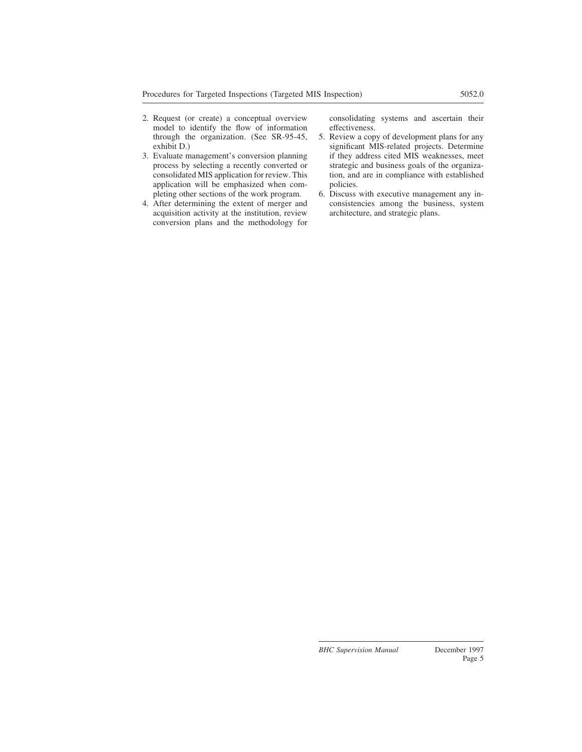- 2. Request (or create) a conceptual overview model to identify the flow of information through the organization. (See SR-95-45, exhibit D.)
- 3. Evaluate management's conversion planning process by selecting a recently converted or consolidated MIS application for review. This application will be emphasized when completing other sections of the work program.
- 4. After determining the extent of merger and acquisition activity at the institution, review conversion plans and the methodology for

consolidating systems and ascertain their effectiveness.

- 5. Review a copy of development plans for any significant MIS-related projects. Determine if they address cited MIS weaknesses, meet strategic and business goals of the organization, and are in compliance with established policies.
- 6. Discuss with executive management any inconsistencies among the business, system architecture, and strategic plans.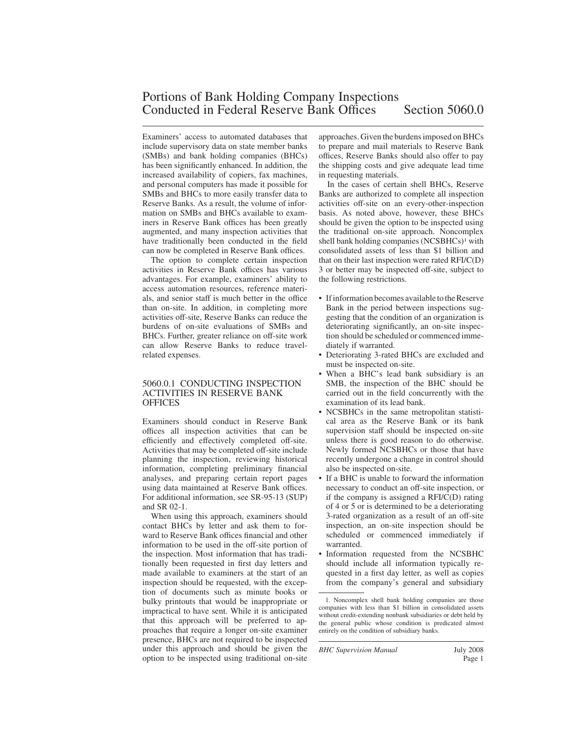Examiners' access to automated databases that include supervisory data on state member banks (SMBs) and bank holding companies (BHCs) has been significantly enhanced. In addition, the increased availability of copiers, fax machines, and personal computers has made it possible for SMBs and BHCs to more easily transfer data to Reserve Banks. As a result, the volume of information on SMBs and BHCs available to examiners in Reserve Bank offices has been greatly augmented, and many inspection activities that have traditionally been conducted in the field can now be completed in Reserve Bank offices.

The option to complete certain inspection activities in Reserve Bank offices has various advantages. For example, examiners' ability to access automation resources, reference materials, and senior staff is much better in the office than on-site. In addition, in completing more activities off-site, Reserve Banks can reduce the burdens of on-site evaluations of SMBs and BHCs. Further, greater reliance on off-site work can allow Reserve Banks to reduce travelrelated expenses.

# 5060.0.1 CONDUCTING INSPECTION ACTIVITIES IN RESERVE BANK **OFFICES**

Examiners should conduct in Reserve Bank offices all inspection activities that can be efficiently and effectively completed off-site. Activities that may be completed off-site include planning the inspection, reviewing historical information, completing preliminary financial analyses, and preparing certain report pages using data maintained at Reserve Bank offices. For additional information, see SR-95-13 (SUP) and SR 02-1.

When using this approach, examiners should contact BHCs by letter and ask them to forward to Reserve Bank offices financial and other information to be used in the off-site portion of the inspection. Most information that has traditionally been requested in first day letters and made available to examiners at the start of an inspection should be requested, with the exception of documents such as minute books or bulky printouts that would be inappropriate or impractical to have sent. While it is anticipated that this approach will be preferred to approaches that require a longer on-site examiner presence, BHCs are not required to be inspected under this approach and should be given the option to be inspected using traditional on-site

approaches. Given the burdens imposed on BHCs to prepare and mail materials to Reserve Bank offices, Reserve Banks should also offer to pay the shipping costs and give adequate lead time in requesting materials.

In the cases of certain shell BHCs, Reserve Banks are authorized to complete all inspection activities off-site on an every-other-inspection basis. As noted above, however, these BHCs should be given the option to be inspected using the traditional on-site approach. Noncomplex shell bank holding companies (NCSBHCs)<sup>1</sup> with consolidated assets of less than \$1 billion and that on their last inspection were rated RFI/C(D) 3 or better may be inspected off-site, subject to the following restrictions.

- If information becomes available to the Reserve Bank in the period between inspections suggesting that the condition of an organization is deteriorating significantly, an on-site inspection should be scheduled or commenced immediately if warranted.
- Deteriorating 3-rated BHCs are excluded and must be inspected on-site.
- When a BHC's lead bank subsidiary is an SMB, the inspection of the BHC should be carried out in the field concurrently with the examination of its lead bank.
- NCSBHCs in the same metropolitan statistical area as the Reserve Bank or its bank supervision staff should be inspected on-site unless there is good reason to do otherwise. Newly formed NCSBHCs or those that have recently undergone a change in control should also be inspected on-site.
- If a BHC is unable to forward the information necessary to conduct an off-site inspection, or if the company is assigned a RFI/C(D) rating of 4 or 5 or is determined to be a deteriorating 3-rated organization as a result of an off-site inspection, an on-site inspection should be scheduled or commenced immediately if warranted.
- Information requested from the NCSBHC should include all information typically requested in a first day letter, as well as copies from the company's general and subsidiary

*BHC Supervision Manual* July 2008

<sup>1.</sup> Noncomplex shell bank holding companies are those companies with less than \$1 billion in consolidated assets without credit-extending nonbank subsidiaries or debt held by the general public whose condition is predicated almost entirely on the condition of subsidiary banks.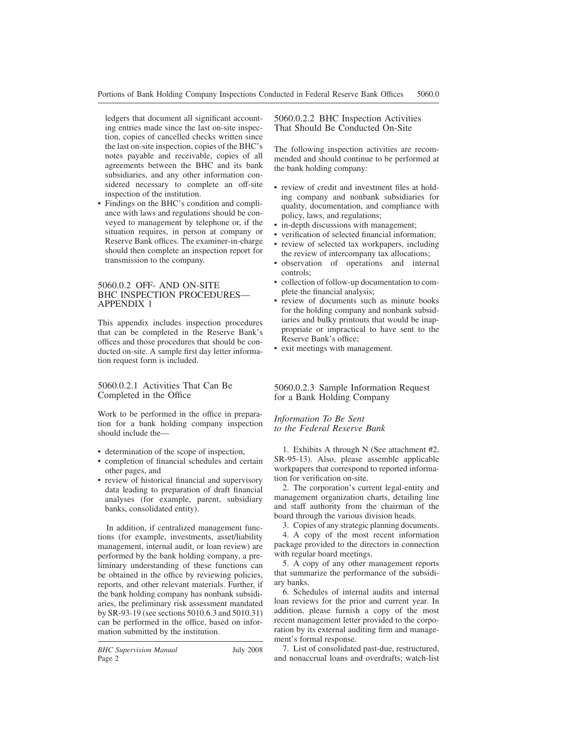ledgers that document all significant accounting entries made since the last on-site inspection, copies of cancelled checks written since the last on-site inspection, copies of the BHC's notes payable and receivable, copies of all agreements between the BHC and its bank subsidiaries, and any other information considered necessary to complete an off-site inspection of the institution.

• Findings on the BHC's condition and compliance with laws and regulations should be conveyed to management by telephone or, if the situation requires, in person at company or Reserve Bank offices. The examiner-in-charge should then complete an inspection report for transmission to the company.

# 5060.0.2 OFF- AND ON-SITE BHC INSPECTION PROCEDURES— APPENDIX 1

This appendix includes inspection procedures that can be completed in the Reserve Bank's offices and those procedures that should be conducted on-site. A sample first day letter information request form is included.

5060.0.2.1 Activities That Can Be Completed in the Office

Work to be performed in the office in preparation for a bank holding company inspection should include the—

- determination of the scope of inspection,
- completion of financial schedules and certain other pages, and
- review of historical financial and supervisory data leading to preparation of draft financial analyses (for example, parent, subsidiary banks, consolidated entity).

In addition, if centralized management functions (for example, investments, asset/liability management, internal audit, or loan review) are performed by the bank holding company, a preliminary understanding of these functions can be obtained in the office by reviewing policies, reports, and other relevant materials. Further, if the bank holding company has nonbank subsidiaries, the preliminary risk assessment mandated by SR-93-19 (see sections 5010.6.3 and 5010.31) can be performed in the office, based on information submitted by the institution.

5060.0.2.2 BHC Inspection Activities That Should Be Conducted On-Site

The following inspection activities are recommended and should continue to be performed at the bank holding company:

- review of credit and investment files at holding company and nonbank subsidiaries for quality, documentation, and compliance with policy, laws, and regulations;
- in-depth discussions with management;
- verification of selected financial information;
- review of selected tax workpapers, including the review of intercompany tax allocations;
- observation of operations and internal controls;
- collection of follow-up documentation to complete the financial analysis;
- review of documents such as minute books for the holding company and nonbank subsidiaries and bulky printouts that would be inappropriate or impractical to have sent to the Reserve Bank's office;
- exit meetings with management.

5060.0.2.3 Sample Information Request for a Bank Holding Company

*Information To Be Sent to the Federal Reserve Bank*

1. Exhibits A through N (See attachment #2, SR-95-13). Also, please assemble applicable workpapers that correspond to reported information for verification on-site.

2. The corporation's current legal-entity and management organization charts, detailing line and staff authority from the chairman of the board through the various division heads.

3. Copies of any strategic planning documents. 4. A copy of the most recent information package provided to the directors in connection with regular board meetings.

5. A copy of any other management reports that summarize the performance of the subsidiary banks.

6. Schedules of internal audits and internal loan reviews for the prior and current year. In addition, please furnish a copy of the most recent management letter provided to the corporation by its external auditing firm and management's formal response.

7. List of consolidated past-due, restructured, and nonaccrual loans and overdrafts; watch-list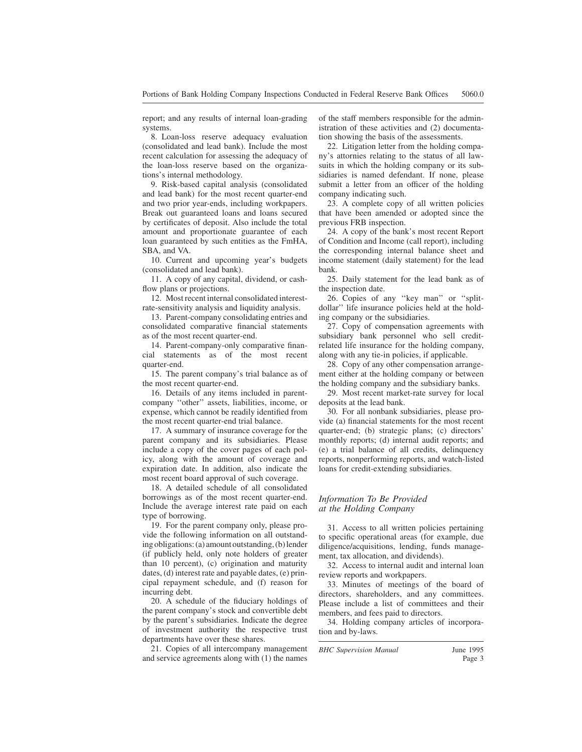report; and any results of internal loan-grading systems.

8. Loan-loss reserve adequacy evaluation (consolidated and lead bank). Include the most recent calculation for assessing the adequacy of the loan-loss reserve based on the organizations's internal methodology.

9. Risk-based capital analysis (consolidated and lead bank) for the most recent quarter-end and two prior year-ends, including workpapers. Break out guaranteed loans and loans secured by certificates of deposit. Also include the total amount and proportionate guarantee of each loan guaranteed by such entities as the FmHA, SBA, and VA.

10. Current and upcoming year's budgets (consolidated and lead bank).

11. A copy of any capital, dividend, or cashflow plans or projections.

12. Most recent internal consolidated interestrate-sensitivity analysis and liquidity analysis.

13. Parent-company consolidating entries and consolidated comparative financial statements as of the most recent quarter-end.

14. Parent-company-only comparative financial statements as of the most recent quarter-end.

15. The parent company's trial balance as of the most recent quarter-end.

16. Details of any items included in parentcompany ''other'' assets, liabilities, income, or expense, which cannot be readily identified from the most recent quarter-end trial balance.

17. A summary of insurance coverage for the parent company and its subsidiaries. Please include a copy of the cover pages of each policy, along with the amount of coverage and expiration date. In addition, also indicate the most recent board approval of such coverage.

18. A detailed schedule of all consolidated borrowings as of the most recent quarter-end. Include the average interest rate paid on each type of borrowing.

19. For the parent company only, please provide the following information on all outstanding obligations: (a) amount outstanding, (b) lender (if publicly held, only note holders of greater than 10 percent), (c) origination and maturity dates, (d) interest rate and payable dates, (e) principal repayment schedule, and (f) reason for incurring debt.

20. A schedule of the fiduciary holdings of the parent company's stock and convertible debt by the parent's subsidiaries. Indicate the degree of investment authority the respective trust departments have over these shares.

21. Copies of all intercompany management and service agreements along with (1) the names of the staff members responsible for the administration of these activities and (2) documentation showing the basis of the assessments.

22. Litigation letter from the holding company's attornies relating to the status of all lawsuits in which the holding company or its subsidiaries is named defendant. If none, please submit a letter from an officer of the holding company indicating such.

23. A complete copy of all written policies that have been amended or adopted since the previous FRB inspection.

24. A copy of the bank's most recent Report of Condition and Income (call report), including the corresponding internal balance sheet and income statement (daily statement) for the lead bank.

25. Daily statement for the lead bank as of the inspection date.

26. Copies of any ''key man'' or ''splitdollar'' life insurance policies held at the holding company or the subsidiaries.

27. Copy of compensation agreements with subsidiary bank personnel who sell creditrelated life insurance for the holding company, along with any tie-in policies, if applicable.

28. Copy of any other compensation arrangement either at the holding company or between the holding company and the subsidiary banks.

29. Most recent market-rate survey for local deposits at the lead bank.

30. For all nonbank subsidiaries, please provide (a) financial statements for the most recent quarter-end; (b) strategic plans; (c) directors' monthly reports; (d) internal audit reports; and (e) a trial balance of all credits, delinquency reports, nonperforming reports, and watch-listed loans for credit-extending subsidiaries.

# *Information To Be Provided at the Holding Company*

31. Access to all written policies pertaining to specific operational areas (for example, due diligence/acquisitions, lending, funds management, tax allocation, and dividends).

32. Access to internal audit and internal loan review reports and workpapers.

33. Minutes of meetings of the board of directors, shareholders, and any committees. Please include a list of committees and their members, and fees paid to directors.

34. Holding company articles of incorporation and by-laws.

*BHC Supervision Manual* June 1995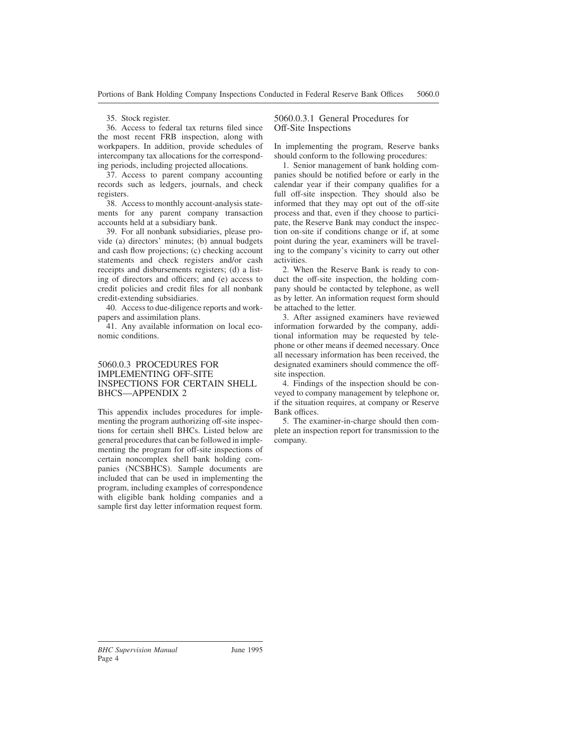## 35. Stock register.

36. Access to federal tax returns filed since the most recent FRB inspection, along with workpapers. In addition, provide schedules of intercompany tax allocations for the corresponding periods, including projected allocations.

37. Access to parent company accounting records such as ledgers, journals, and check registers.

38. Access to monthly account-analysis statements for any parent company transaction accounts held at a subsidiary bank.

39. For all nonbank subsidiaries, please provide (a) directors' minutes; (b) annual budgets and cash flow projections; (c) checking account statements and check registers and/or cash receipts and disbursements registers; (d) a listing of directors and officers; and (e) access to credit policies and credit files for all nonbank credit-extending subsidiaries.

40. Access to due-diligence reports and workpapers and assimilation plans.

41. Any available information on local economic conditions.

# 5060.0.3 PROCEDURES FOR IMPLEMENTING OFF-SITE INSPECTIONS FOR CERTAIN SHELL BHCS—APPENDIX 2

This appendix includes procedures for implementing the program authorizing off-site inspections for certain shell BHCs. Listed below are general procedures that can be followed in implementing the program for off-site inspections of certain noncomplex shell bank holding companies (NCSBHCS). Sample documents are included that can be used in implementing the program, including examples of correspondence with eligible bank holding companies and a sample first day letter information request form.

# 5060.0.3.1 General Procedures for Off-Site Inspections

In implementing the program, Reserve banks should conform to the following procedures:

1. Senior management of bank holding companies should be notified before or early in the calendar year if their company qualifies for a full off-site inspection. They should also be informed that they may opt out of the off-site process and that, even if they choose to participate, the Reserve Bank may conduct the inspection on-site if conditions change or if, at some point during the year, examiners will be traveling to the company's vicinity to carry out other activities.

2. When the Reserve Bank is ready to conduct the off-site inspection, the holding company should be contacted by telephone, as well as by letter. An information request form should be attached to the letter.

3. After assigned examiners have reviewed information forwarded by the company, additional information may be requested by telephone or other means if deemed necessary. Once all necessary information has been received, the designated examiners should commence the offsite inspection.

4. Findings of the inspection should be conveyed to company management by telephone or, if the situation requires, at company or Reserve Bank offices.

5. The examiner-in-charge should then complete an inspection report for transmission to the company.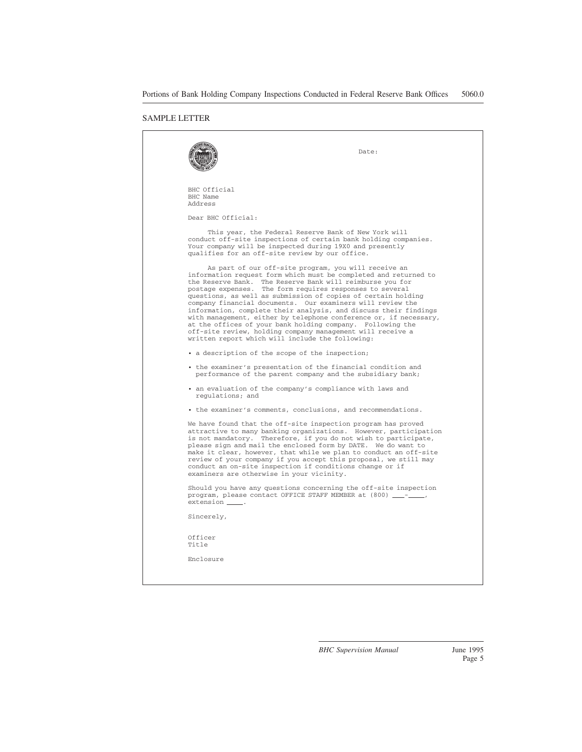#### SAMPLE LETTER

|                                     | Date:                                                                                                                                                                                                                                                                                                                                                                                                                                                                                                                                                                                                                                                                                                     |
|-------------------------------------|-----------------------------------------------------------------------------------------------------------------------------------------------------------------------------------------------------------------------------------------------------------------------------------------------------------------------------------------------------------------------------------------------------------------------------------------------------------------------------------------------------------------------------------------------------------------------------------------------------------------------------------------------------------------------------------------------------------|
| BHC Official<br>BHC Name<br>Address |                                                                                                                                                                                                                                                                                                                                                                                                                                                                                                                                                                                                                                                                                                           |
| Dear BHC Official:                  |                                                                                                                                                                                                                                                                                                                                                                                                                                                                                                                                                                                                                                                                                                           |
|                                     | This year, the Federal Reserve Bank of New York will<br>conduct off-site inspections of certain bank holding companies.<br>Your company will be inspected during 19X0 and presently<br>qualifies for an off-site review by our office.                                                                                                                                                                                                                                                                                                                                                                                                                                                                    |
|                                     | As part of our off-site program, you will receive an<br>information request form which must be completed and returned to<br>the Reserve Bank. The Reserve Bank will reimburse you for<br>postage expenses. The form requires responses to several<br>questions, as well as submission of copies of certain holding<br>company financial documents. Our examiners will review the<br>information, complete their analysis, and discuss their findings<br>with management, either by telephone conference or, if necessary,<br>at the offices of your bank holding company. Following the<br>off-site review, holding company management will receive a<br>written report which will include the following: |
|                                     | • a description of the scope of the inspection;                                                                                                                                                                                                                                                                                                                                                                                                                                                                                                                                                                                                                                                           |
|                                     | • the examiner's presentation of the financial condition and<br>performance of the parent company and the subsidiary bank;                                                                                                                                                                                                                                                                                                                                                                                                                                                                                                                                                                                |
| regulations; and                    | • an evaluation of the company's compliance with laws and                                                                                                                                                                                                                                                                                                                                                                                                                                                                                                                                                                                                                                                 |
|                                     | • the examiner's comments, conclusions, and recommendations.                                                                                                                                                                                                                                                                                                                                                                                                                                                                                                                                                                                                                                              |
|                                     | We have found that the off-site inspection program has proved<br>attractive to many banking organizations. However, participation<br>is not mandatory. Therefore, if you do not wish to participate,<br>please sign and mail the enclosed form by DATE. We do want to<br>make it clear, however, that while we plan to conduct an off-site<br>review of your company if you accept this proposal, we still may<br>conduct an on-site inspection if conditions change or if<br>examiners are otherwise in your vicinity.                                                                                                                                                                                   |
| extension _____.                    | Should you have any questions concerning the off-site inspection<br>program, please contact OFFICE STAFF MEMBER at (800) __-__                                                                                                                                                                                                                                                                                                                                                                                                                                                                                                                                                                            |
| Sincerely,                          |                                                                                                                                                                                                                                                                                                                                                                                                                                                                                                                                                                                                                                                                                                           |
| Officer<br>Title                    |                                                                                                                                                                                                                                                                                                                                                                                                                                                                                                                                                                                                                                                                                                           |
| Enclosure                           |                                                                                                                                                                                                                                                                                                                                                                                                                                                                                                                                                                                                                                                                                                           |
|                                     |                                                                                                                                                                                                                                                                                                                                                                                                                                                                                                                                                                                                                                                                                                           |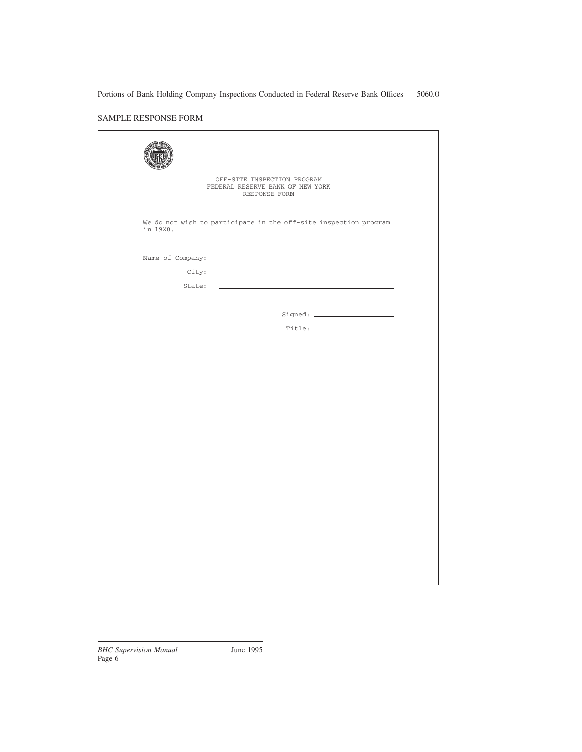# SAMPLE RESPONSE FORM

| OFF-SITE INSPECTION PROGRAM<br>FEDERAL RESERVE BANK OF NEW YORK<br>RESPONSE FORM                                                                             |  |
|--------------------------------------------------------------------------------------------------------------------------------------------------------------|--|
| We do not wish to participate in the off-site inspection program<br>in 19X0.                                                                                 |  |
| Name of Company:<br>City:<br>State:<br><u> 1989 - Johann Stein, marwolaethau a bhann an t-Albann an t-Albann an t-Albann an t-Albann an t-Albann an t-Al</u> |  |
|                                                                                                                                                              |  |
|                                                                                                                                                              |  |
|                                                                                                                                                              |  |
|                                                                                                                                                              |  |
|                                                                                                                                                              |  |
|                                                                                                                                                              |  |
|                                                                                                                                                              |  |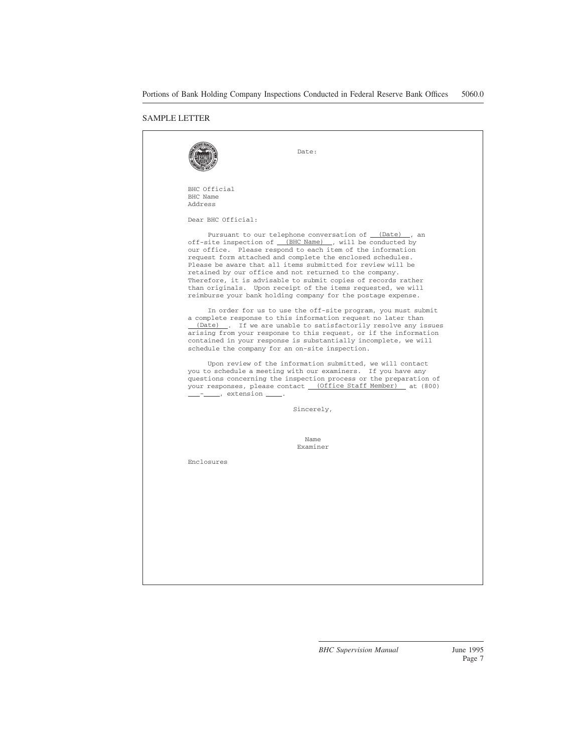### SAMPLE LETTER

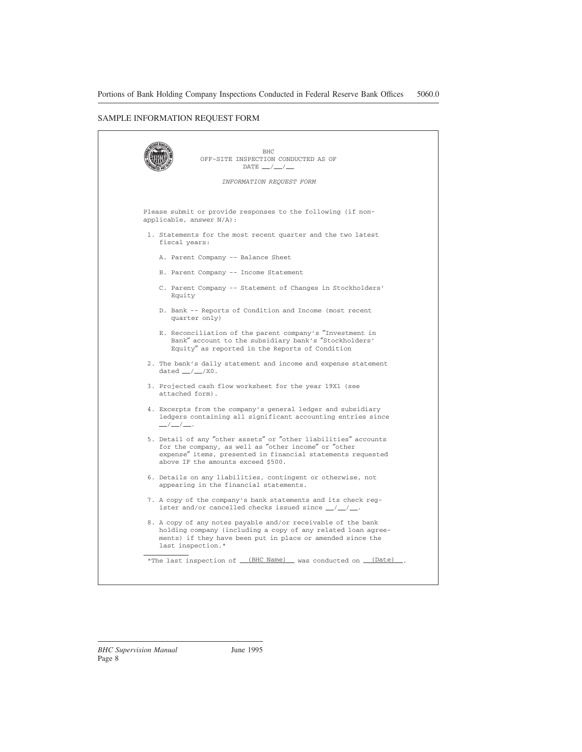# SAMPLE INFORMATION REQUEST FORM

| DATE $\_\,\_\,\_\,\_\,\_\,\_\,\_\,$                                                                                                                                                                                          |
|------------------------------------------------------------------------------------------------------------------------------------------------------------------------------------------------------------------------------|
| INFORMATION REQUEST FORM                                                                                                                                                                                                     |
|                                                                                                                                                                                                                              |
| Please submit or provide responses to the following (if non-<br>applicable, answer N/A):                                                                                                                                     |
| 1. Statements for the most recent quarter and the two latest<br>fiscal years:                                                                                                                                                |
| A. Parent Company -- Balance Sheet                                                                                                                                                                                           |
| B. Parent Company -- Income Statement                                                                                                                                                                                        |
| C. Parent Company -- Statement of Changes in Stockholders'<br>Equity                                                                                                                                                         |
| D. Bank -- Reports of Condition and Income (most recent<br>quarter only)                                                                                                                                                     |
| E. Reconciliation of the parent company's "Investment in<br>Bank" account to the subsidiary bank's "Stockholders'<br>Equity" as reported in the Reports of Condition                                                         |
| 2. The bank's daily statement and income and expense statement<br>dated $\_\,\_\,\_\,\_\,\xspace / X0$ .                                                                                                                     |
| 3. Projected cash flow worksheet for the year 19X1 (see<br>attached form).                                                                                                                                                   |
| 4. Excerpts from the company's general ledger and subsidiary<br>ledgers containing all significant accounting entries since<br>$\frac{\mu}{\mu}$                                                                             |
| 5. Detail of any "other assets" or "other liabilities" accounts<br>for the company, as well as "other income" or "other<br>expense" items, presented in financial statements requested<br>above IF the amounts exceed \$500. |
| 6. Details on any liabilities, contingent or otherwise, not<br>appearing in the financial statements.                                                                                                                        |
| 7. A copy of the company's bank statements and its check reg-<br>ister and/or cancelled checks issued since $\_\/\_\$ .                                                                                                      |
| 8. A copy of any notes payable and/or receivable of the bank<br>holding company (including a copy of any related loan agree-<br>ments) if they have been put in place or amended since the<br>last inspection.*              |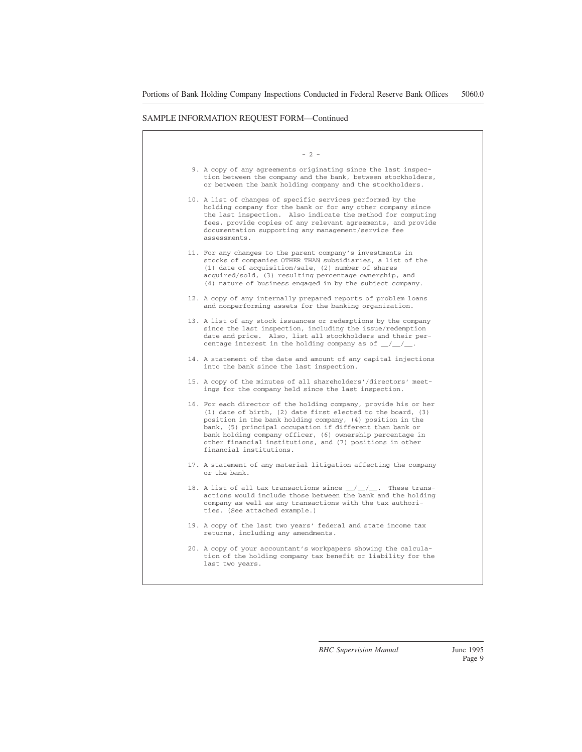#### SAMPLE INFORMATION REQUEST FORM—Continued

 $- 2 -$ 

- 9. A copy of any agreements originating since the last inspection between the company and the bank, between stockholders, or between the bank holding company and the stockholders.
- 10. A list of changes of specific services performed by the holding company for the bank or for any other company since the last inspection. Also indicate the method for computing fees, provide copies of any relevant agreements, and provide documentation supporting any management/service fee assessments.
- 11. For any changes to the parent company's investments in stocks of companies OTHER THAN subsidiaries, a list of the (1) date of acquisition/sale, (2) number of shares acquired/sold, (3) resulting percentage ownership, and (4) nature of business engaged in by the subject company.
- 12. A copy of any internally prepared reports of problem loans and nonperforming assets for the banking organization.
- 13. A list of any stock issuances or redemptions by the company since the last inspection, including the issue/redemption date and price. Also, list all stockholders and their percentage interest in the holding company as of  $\angle$  / $\angle$ .
- 14. A statement of the date and amount of any capital injections into the bank since the last inspection.
- 15. A copy of the minutes of all shareholders'/directors' meetings for the company held since the last inspection.
- 16. For each director of the holding company, provide his or her (1) date of birth, (2) date first elected to the board, (3) position in the bank holding company, (4) position in the bank, (5) principal occupation if different than bank or bank holding company officer, (6) ownership percentage in other financial institutions, and (7) positions in other financial institutions.
- 17. A statement of any material litigation affecting the company or the bank.
- 18. A list of all tax transactions since  $\frac{\ }{\ }$  / $\frac{\ }{\ }$ . These transactions would include those between the bank and the holding company as well as any transactions with the tax authorities. (See attached example.)
- 19. A copy of the last two years' federal and state income tax returns, including any amendments.
- 20. A copy of your accountant's workpapers showing the calculation of the holding company tax benefit or liability for the last two years.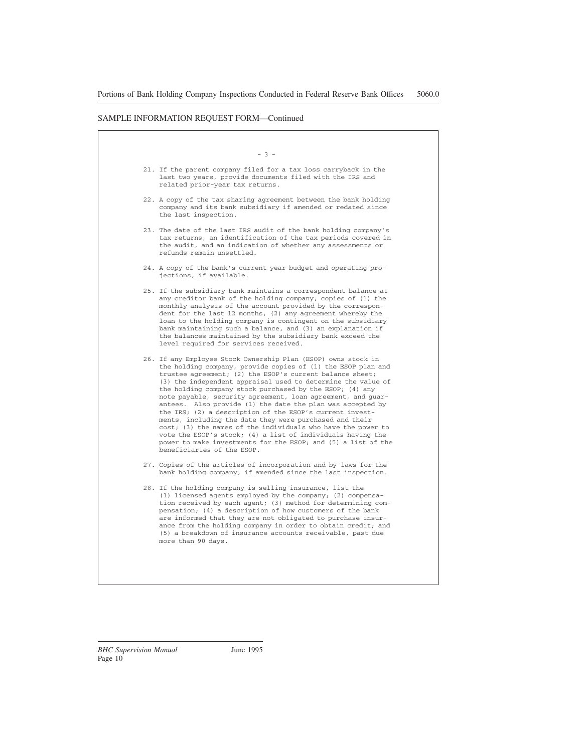#### SAMPLE INFORMATION REQUEST FORM—Continued

#### - 3 -

- 21. If the parent company filed for a tax loss carryback in the last two years, provide documents filed with the IRS and related prior-year tax returns.
- 22. A copy of the tax sharing agreement between the bank holding company and its bank subsidiary if amended or redated since the last inspection.
- 23. The date of the last IRS audit of the bank holding company's tax returns, an identification of the tax periods covered in the audit, and an indication of whether any assessments or refunds remain unsettled.
- 24. A copy of the bank's current year budget and operating projections, if available.
- 25. If the subsidiary bank maintains a correspondent balance at any creditor bank of the holding company, copies of (1) the monthly analysis of the account provided by the correspondent for the last 12 months, (2) any agreement whereby the loan to the holding company is contingent on the subsidiary bank maintaining such a balance, and (3) an explanation if the balances maintained by the subsidiary bank exceed the level required for services received.
- 26. If any Employee Stock Ownership Plan (ESOP) owns stock in the holding company, provide copies of (1) the ESOP plan and trustee agreement; (2) the ESOP's current balance sheet; (3) the independent appraisal used to determine the value of the holding company stock purchased by the ESOP; (4) any note payable, security agreement, loan agreement, and guarantees. Also provide (1) the date the plan was accepted by the IRS; (2) a description of the ESOP's current investments, including the date they were purchased and their cost; (3) the names of the individuals who have the power to vote the ESOP's stock; (4) a list of individuals having the power to make investments for the ESOP; and (5) a list of the beneficiaries of the ESOP.
- 27. Copies of the articles of incorporation and by-laws for the bank holding company, if amended since the last inspection.
- 28. If the holding company is selling insurance, list the (1) licensed agents employed by the company; (2) compensation received by each agent; (3) method for determining compensation; (4) a description of how customers of the bank are informed that they are not obligated to purchase insurance from the holding company in order to obtain credit; and (5) a breakdown of insurance accounts receivable, past due more than 90 days.